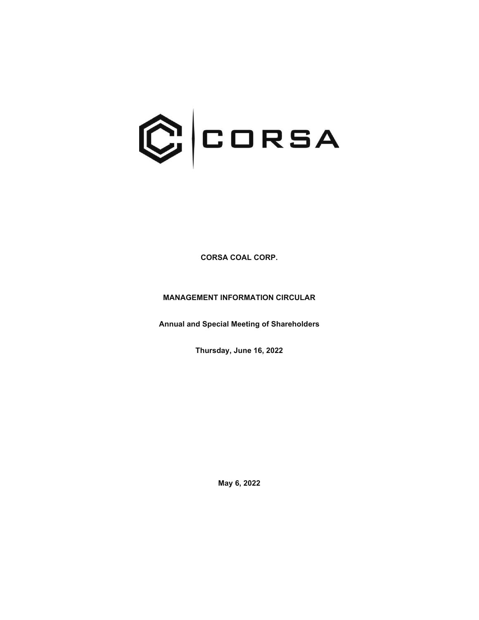

**CORSA COAL CORP.** 

**MANAGEMENT INFORMATION CIRCULAR** 

**Annual and Special Meeting of Shareholders** 

**Thursday, June 16, 2022** 

**May 6, 2022**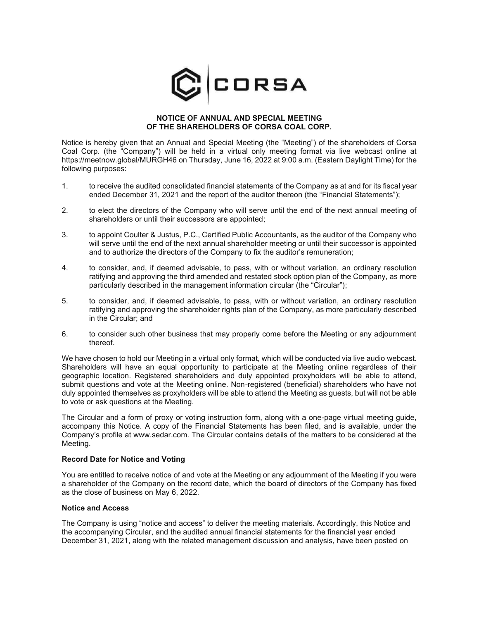

#### **NOTICE OF ANNUAL AND SPECIAL MEETING OF THE SHAREHOLDERS OF CORSA COAL CORP.**

Notice is hereby given that an Annual and Special Meeting (the "Meeting") of the shareholders of Corsa Coal Corp. (the "Company") will be held in a virtual only meeting format via live webcast online at https://meetnow.global/MURGH46 on Thursday, June 16, 2022 at 9:00 a.m. (Eastern Daylight Time) for the following purposes:

- 1. to receive the audited consolidated financial statements of the Company as at and for its fiscal year ended December 31, 2021 and the report of the auditor thereon (the "Financial Statements");
- 2. to elect the directors of the Company who will serve until the end of the next annual meeting of shareholders or until their successors are appointed;
- 3. to appoint Coulter & Justus, P.C., Certified Public Accountants, as the auditor of the Company who will serve until the end of the next annual shareholder meeting or until their successor is appointed and to authorize the directors of the Company to fix the auditor's remuneration;
- 4. to consider, and, if deemed advisable, to pass, with or without variation, an ordinary resolution ratifying and approving the third amended and restated stock option plan of the Company, as more particularly described in the management information circular (the "Circular");
- 5. to consider, and, if deemed advisable, to pass, with or without variation, an ordinary resolution ratifying and approving the shareholder rights plan of the Company, as more particularly described in the Circular; and
- 6. to consider such other business that may properly come before the Meeting or any adjournment thereof.

We have chosen to hold our Meeting in a virtual only format, which will be conducted via live audio webcast. Shareholders will have an equal opportunity to participate at the Meeting online regardless of their geographic location. Registered shareholders and duly appointed proxyholders will be able to attend, submit questions and vote at the Meeting online. Non-registered (beneficial) shareholders who have not duly appointed themselves as proxyholders will be able to attend the Meeting as guests, but will not be able to vote or ask questions at the Meeting.

The Circular and a form of proxy or voting instruction form, along with a one-page virtual meeting guide, accompany this Notice. A copy of the Financial Statements has been filed, and is available, under the Company's profile at www.sedar.com. The Circular contains details of the matters to be considered at the Meeting.

#### **Record Date for Notice and Voting**

You are entitled to receive notice of and vote at the Meeting or any adjournment of the Meeting if you were a shareholder of the Company on the record date, which the board of directors of the Company has fixed as the close of business on May 6, 2022.

#### **Notice and Access**

The Company is using "notice and access" to deliver the meeting materials. Accordingly, this Notice and the accompanying Circular, and the audited annual financial statements for the financial year ended December 31, 2021, along with the related management discussion and analysis, have been posted on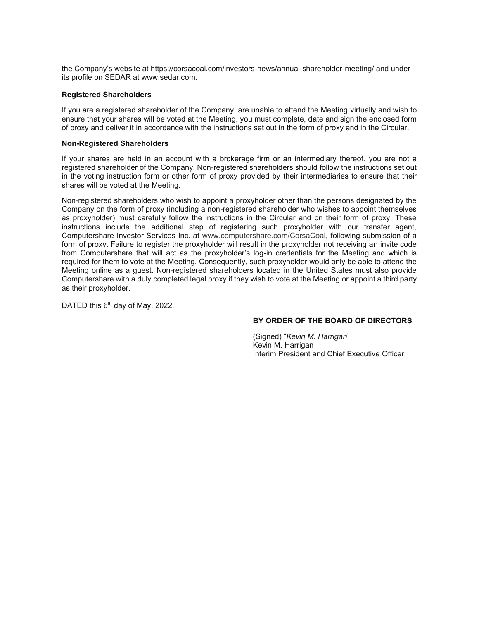the Company's website at https://corsacoal.com/investors-news/annual-shareholder-meeting/ and under its profile on SEDAR at www.sedar.com.

### **Registered Shareholders**

If you are a registered shareholder of the Company, are unable to attend the Meeting virtually and wish to ensure that your shares will be voted at the Meeting, you must complete, date and sign the enclosed form of proxy and deliver it in accordance with the instructions set out in the form of proxy and in the Circular.

#### **Non-Registered Shareholders**

If your shares are held in an account with a brokerage firm or an intermediary thereof, you are not a registered shareholder of the Company. Non-registered shareholders should follow the instructions set out in the voting instruction form or other form of proxy provided by their intermediaries to ensure that their shares will be voted at the Meeting.

Non-registered shareholders who wish to appoint a proxyholder other than the persons designated by the Company on the form of proxy (including a non-registered shareholder who wishes to appoint themselves as proxyholder) must carefully follow the instructions in the Circular and on their form of proxy. These instructions include the additional step of registering such proxyholder with our transfer agent, Computershare Investor Services Inc. at www.computershare.com/CorsaCoal, following submission of a form of proxy. Failure to register the proxyholder will result in the proxyholder not receiving an invite code from Computershare that will act as the proxyholder's log-in credentials for the Meeting and which is required for them to vote at the Meeting. Consequently, such proxyholder would only be able to attend the Meeting online as a guest. Non-registered shareholders located in the United States must also provide Computershare with a duly completed legal proxy if they wish to vote at the Meeting or appoint a third party as their proxyholder.

DATED this 6<sup>th</sup> day of May, 2022.

## **BY ORDER OF THE BOARD OF DIRECTORS**

(Signed) "*Kevin M. Harrigan*" Kevin M. Harrigan Interim President and Chief Executive Officer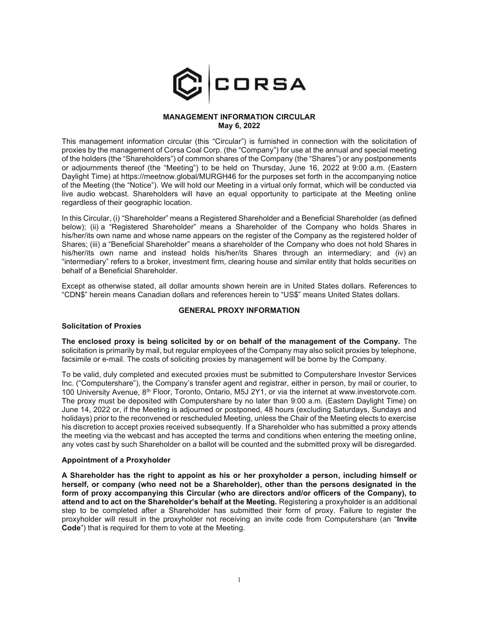

### **MANAGEMENT INFORMATION CIRCULAR May 6, 2022**

This management information circular (this "Circular") is furnished in connection with the solicitation of proxies by the management of Corsa Coal Corp. (the "Company") for use at the annual and special meeting of the holders (the "Shareholders") of common shares of the Company (the "Shares") or any postponements or adjournments thereof (the "Meeting") to be held on Thursday, June 16, 2022 at 9:00 a.m. (Eastern Daylight Time) at https://meetnow.global/MURGH46 for the purposes set forth in the accompanying notice of the Meeting (the "Notice"). We will hold our Meeting in a virtual only format, which will be conducted via live audio webcast. Shareholders will have an equal opportunity to participate at the Meeting online regardless of their geographic location.

In this Circular, (i) "Shareholder" means a Registered Shareholder and a Beneficial Shareholder (as defined below); (ii) a "Registered Shareholder" means a Shareholder of the Company who holds Shares in his/her/its own name and whose name appears on the register of the Company as the registered holder of Shares; (iii) a "Beneficial Shareholder" means a shareholder of the Company who does not hold Shares in his/her/its own name and instead holds his/her/its Shares through an intermediary; and (iv) an "intermediary" refers to a broker, investment firm, clearing house and similar entity that holds securities on behalf of a Beneficial Shareholder.

Except as otherwise stated, all dollar amounts shown herein are in United States dollars. References to "CDN\$" herein means Canadian dollars and references herein to "US\$" means United States dollars.

## **GENERAL PROXY INFORMATION**

#### **Solicitation of Proxies**

**The enclosed proxy is being solicited by or on behalf of the management of the Company.** The solicitation is primarily by mail, but regular employees of the Company may also solicit proxies by telephone, facsimile or e-mail. The costs of soliciting proxies by management will be borne by the Company.

To be valid, duly completed and executed proxies must be submitted to Computershare Investor Services Inc. ("Computershare"), the Company's transfer agent and registrar, either in person, by mail or courier, to 100 University Avenue, 8<sup>th</sup> Floor, Toronto, Ontario, M5J 2Y1, or via the internet at www.investorvote.com. The proxy must be deposited with Computershare by no later than 9:00 a.m. (Eastern Daylight Time) on June 14, 2022 or, if the Meeting is adjourned or postponed, 48 hours (excluding Saturdays, Sundays and holidays) prior to the reconvened or rescheduled Meeting, unless the Chair of the Meeting elects to exercise his discretion to accept proxies received subsequently. If a Shareholder who has submitted a proxy attends the meeting via the webcast and has accepted the terms and conditions when entering the meeting online, any votes cast by such Shareholder on a ballot will be counted and the submitted proxy will be disregarded.

### **Appointment of a Proxyholder**

**A Shareholder has the right to appoint as his or her proxyholder a person, including himself or herself, or company (who need not be a Shareholder), other than the persons designated in the form of proxy accompanying this Circular (who are directors and/or officers of the Company), to attend and to act on the Shareholder's behalf at the Meeting.** Registering a proxyholder is an additional step to be completed after a Shareholder has submitted their form of proxy. Failure to register the proxyholder will result in the proxyholder not receiving an invite code from Computershare (an "**Invite Code**") that is required for them to vote at the Meeting.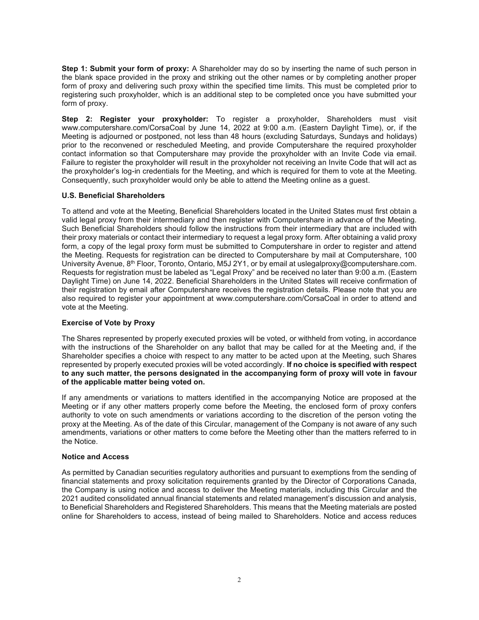**Step 1: Submit your form of proxy:** A Shareholder may do so by inserting the name of such person in the blank space provided in the proxy and striking out the other names or by completing another proper form of proxy and delivering such proxy within the specified time limits. This must be completed prior to registering such proxyholder, which is an additional step to be completed once you have submitted your form of proxy.

**Step 2: Register your proxyholder:** To register a proxyholder, Shareholders must visit www.computershare.com/CorsaCoal by June 14, 2022 at 9:00 a.m. (Eastern Daylight Time), or, if the Meeting is adjourned or postponed, not less than 48 hours (excluding Saturdays, Sundays and holidays) prior to the reconvened or rescheduled Meeting, and provide Computershare the required proxyholder contact information so that Computershare may provide the proxyholder with an Invite Code via email. Failure to register the proxyholder will result in the proxyholder not receiving an Invite Code that will act as the proxyholder's log-in credentials for the Meeting, and which is required for them to vote at the Meeting. Consequently, such proxyholder would only be able to attend the Meeting online as a guest.

# **U.S. Beneficial Shareholders**

To attend and vote at the Meeting, Beneficial Shareholders located in the United States must first obtain a valid legal proxy from their intermediary and then register with Computershare in advance of the Meeting. Such Beneficial Shareholders should follow the instructions from their intermediary that are included with their proxy materials or contact their intermediary to request a legal proxy form. After obtaining a valid proxy form, a copy of the legal proxy form must be submitted to Computershare in order to register and attend the Meeting. Requests for registration can be directed to Computershare by mail at Computershare, 100 University Avenue, 8<sup>th</sup> Floor, Toronto, Ontario, M5J 2Y1, or by email at uslegalproxy@computershare.com. Requests for registration must be labeled as "Legal Proxy" and be received no later than 9:00 a.m. (Eastern Daylight Time) on June 14, 2022. Beneficial Shareholders in the United States will receive confirmation of their registration by email after Computershare receives the registration details. Please note that you are also required to register your appointment at www.computershare.com/CorsaCoal in order to attend and vote at the Meeting.

## **Exercise of Vote by Proxy**

The Shares represented by properly executed proxies will be voted, or withheld from voting, in accordance with the instructions of the Shareholder on any ballot that may be called for at the Meeting and, if the Shareholder specifies a choice with respect to any matter to be acted upon at the Meeting, such Shares represented by properly executed proxies will be voted accordingly. **If no choice is specified with respect to any such matter, the persons designated in the accompanying form of proxy will vote in favour of the applicable matter being voted on.** 

If any amendments or variations to matters identified in the accompanying Notice are proposed at the Meeting or if any other matters properly come before the Meeting, the enclosed form of proxy confers authority to vote on such amendments or variations according to the discretion of the person voting the proxy at the Meeting. As of the date of this Circular, management of the Company is not aware of any such amendments, variations or other matters to come before the Meeting other than the matters referred to in the Notice.

## **Notice and Access**

As permitted by Canadian securities regulatory authorities and pursuant to exemptions from the sending of financial statements and proxy solicitation requirements granted by the Director of Corporations Canada, the Company is using notice and access to deliver the Meeting materials, including this Circular and the 2021 audited consolidated annual financial statements and related management's discussion and analysis, to Beneficial Shareholders and Registered Shareholders. This means that the Meeting materials are posted online for Shareholders to access, instead of being mailed to Shareholders. Notice and access reduces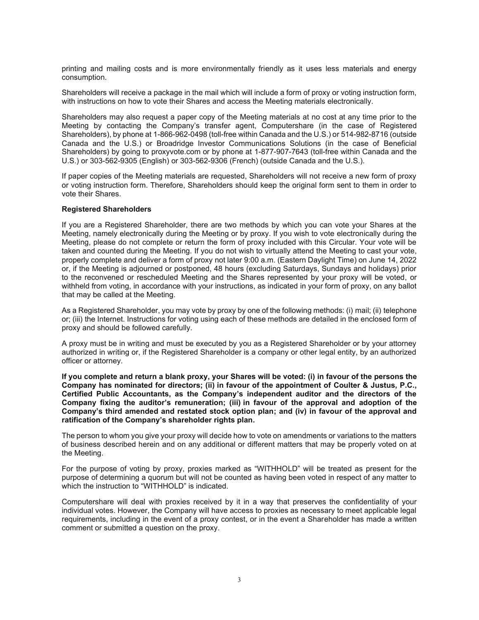printing and mailing costs and is more environmentally friendly as it uses less materials and energy consumption.

Shareholders will receive a package in the mail which will include a form of proxy or voting instruction form, with instructions on how to vote their Shares and access the Meeting materials electronically.

Shareholders may also request a paper copy of the Meeting materials at no cost at any time prior to the Meeting by contacting the Company's transfer agent, Computershare (in the case of Registered Shareholders), by phone at 1-866-962-0498 (toll-free within Canada and the U.S.) or 514-982-8716 (outside Canada and the U.S.) or Broadridge Investor Communications Solutions (in the case of Beneficial Shareholders) by going to proxyvote.com or by phone at 1-877-907-7643 (toll-free within Canada and the U.S.) or 303-562-9305 (English) or 303-562-9306 (French) (outside Canada and the U.S.).

If paper copies of the Meeting materials are requested, Shareholders will not receive a new form of proxy or voting instruction form. Therefore, Shareholders should keep the original form sent to them in order to vote their Shares.

### **Registered Shareholders**

If you are a Registered Shareholder, there are two methods by which you can vote your Shares at the Meeting, namely electronically during the Meeting or by proxy. If you wish to vote electronically during the Meeting, please do not complete or return the form of proxy included with this Circular. Your vote will be taken and counted during the Meeting. If you do not wish to virtually attend the Meeting to cast your vote, properly complete and deliver a form of proxy not later 9:00 a.m. (Eastern Daylight Time) on June 14, 2022 or, if the Meeting is adjourned or postponed, 48 hours (excluding Saturdays, Sundays and holidays) prior to the reconvened or rescheduled Meeting and the Shares represented by your proxy will be voted, or withheld from voting, in accordance with your instructions, as indicated in your form of proxy, on any ballot that may be called at the Meeting.

As a Registered Shareholder, you may vote by proxy by one of the following methods: (i) mail; (ii) telephone or; (iii) the Internet. Instructions for voting using each of these methods are detailed in the enclosed form of proxy and should be followed carefully.

A proxy must be in writing and must be executed by you as a Registered Shareholder or by your attorney authorized in writing or, if the Registered Shareholder is a company or other legal entity, by an authorized officer or attorney.

**If you complete and return a blank proxy, your Shares will be voted: (i) in favour of the persons the Company has nominated for directors; (ii) in favour of the appointment of Coulter & Justus, P.C., Certified Public Accountants, as the Company's independent auditor and the directors of the Company fixing the auditor's remuneration; (iii) in favour of the approval and adoption of the Company's third amended and restated stock option plan; and (iv) in favour of the approval and ratification of the Company's shareholder rights plan.** 

The person to whom you give your proxy will decide how to vote on amendments or variations to the matters of business described herein and on any additional or different matters that may be properly voted on at the Meeting.

For the purpose of voting by proxy, proxies marked as "WITHHOLD" will be treated as present for the purpose of determining a quorum but will not be counted as having been voted in respect of any matter to which the instruction to "WITHHOLD" is indicated.

Computershare will deal with proxies received by it in a way that preserves the confidentiality of your individual votes. However, the Company will have access to proxies as necessary to meet applicable legal requirements, including in the event of a proxy contest, or in the event a Shareholder has made a written comment or submitted a question on the proxy.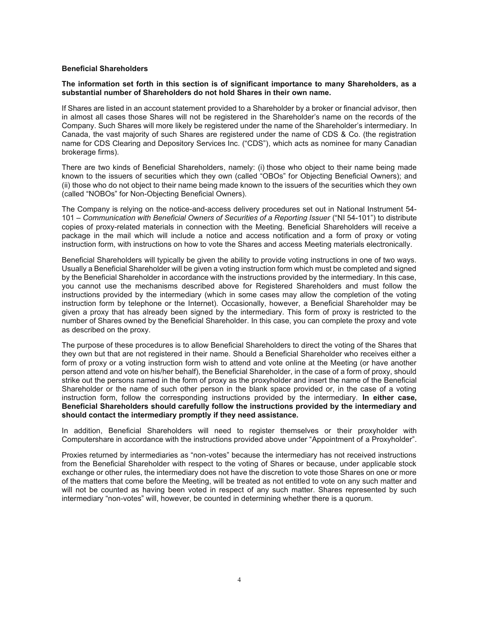#### **Beneficial Shareholders**

#### **The information set forth in this section is of significant importance to many Shareholders, as a substantial number of Shareholders do not hold Shares in their own name.**

If Shares are listed in an account statement provided to a Shareholder by a broker or financial advisor, then in almost all cases those Shares will not be registered in the Shareholder's name on the records of the Company. Such Shares will more likely be registered under the name of the Shareholder's intermediary. In Canada, the vast majority of such Shares are registered under the name of CDS & Co. (the registration name for CDS Clearing and Depository Services Inc. ("CDS"), which acts as nominee for many Canadian brokerage firms).

There are two kinds of Beneficial Shareholders, namely: (i) those who object to their name being made known to the issuers of securities which they own (called "OBOs" for Objecting Beneficial Owners); and (ii) those who do not object to their name being made known to the issuers of the securities which they own (called "NOBOs" for Non-Objecting Beneficial Owners).

The Company is relying on the notice-and-access delivery procedures set out in National Instrument 54- 101 – *Communication with Beneficial Owners of Securities of a Reporting Issuer* ("NI 54-101") to distribute copies of proxy-related materials in connection with the Meeting. Beneficial Shareholders will receive a package in the mail which will include a notice and access notification and a form of proxy or voting instruction form, with instructions on how to vote the Shares and access Meeting materials electronically.

Beneficial Shareholders will typically be given the ability to provide voting instructions in one of two ways. Usually a Beneficial Shareholder will be given a voting instruction form which must be completed and signed by the Beneficial Shareholder in accordance with the instructions provided by the intermediary. In this case, you cannot use the mechanisms described above for Registered Shareholders and must follow the instructions provided by the intermediary (which in some cases may allow the completion of the voting instruction form by telephone or the Internet). Occasionally, however, a Beneficial Shareholder may be given a proxy that has already been signed by the intermediary. This form of proxy is restricted to the number of Shares owned by the Beneficial Shareholder. In this case, you can complete the proxy and vote as described on the proxy.

The purpose of these procedures is to allow Beneficial Shareholders to direct the voting of the Shares that they own but that are not registered in their name. Should a Beneficial Shareholder who receives either a form of proxy or a voting instruction form wish to attend and vote online at the Meeting (or have another person attend and vote on his/her behalf), the Beneficial Shareholder, in the case of a form of proxy, should strike out the persons named in the form of proxy as the proxyholder and insert the name of the Beneficial Shareholder or the name of such other person in the blank space provided or, in the case of a voting instruction form, follow the corresponding instructions provided by the intermediary. **In either case, Beneficial Shareholders should carefully follow the instructions provided by the intermediary and should contact the intermediary promptly if they need assistance.** 

In addition, Beneficial Shareholders will need to register themselves or their proxyholder with Computershare in accordance with the instructions provided above under "Appointment of a Proxyholder".

Proxies returned by intermediaries as "non-votes" because the intermediary has not received instructions from the Beneficial Shareholder with respect to the voting of Shares or because, under applicable stock exchange or other rules, the intermediary does not have the discretion to vote those Shares on one or more of the matters that come before the Meeting, will be treated as not entitled to vote on any such matter and will not be counted as having been voted in respect of any such matter. Shares represented by such intermediary "non-votes" will, however, be counted in determining whether there is a quorum.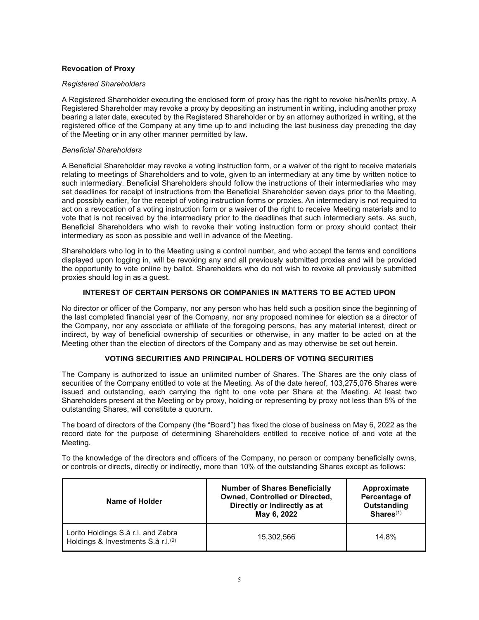## **Revocation of Proxy**

### *Registered Shareholders*

A Registered Shareholder executing the enclosed form of proxy has the right to revoke his/her/its proxy. A Registered Shareholder may revoke a proxy by depositing an instrument in writing, including another proxy bearing a later date, executed by the Registered Shareholder or by an attorney authorized in writing, at the registered office of the Company at any time up to and including the last business day preceding the day of the Meeting or in any other manner permitted by law.

### *Beneficial Shareholders*

A Beneficial Shareholder may revoke a voting instruction form, or a waiver of the right to receive materials relating to meetings of Shareholders and to vote, given to an intermediary at any time by written notice to such intermediary. Beneficial Shareholders should follow the instructions of their intermediaries who may set deadlines for receipt of instructions from the Beneficial Shareholder seven days prior to the Meeting, and possibly earlier, for the receipt of voting instruction forms or proxies. An intermediary is not required to act on a revocation of a voting instruction form or a waiver of the right to receive Meeting materials and to vote that is not received by the intermediary prior to the deadlines that such intermediary sets. As such, Beneficial Shareholders who wish to revoke their voting instruction form or proxy should contact their intermediary as soon as possible and well in advance of the Meeting.

Shareholders who log in to the Meeting using a control number, and who accept the terms and conditions displayed upon logging in, will be revoking any and all previously submitted proxies and will be provided the opportunity to vote online by ballot. Shareholders who do not wish to revoke all previously submitted proxies should log in as a guest.

# **INTEREST OF CERTAIN PERSONS OR COMPANIES IN MATTERS TO BE ACTED UPON**

No director or officer of the Company, nor any person who has held such a position since the beginning of the last completed financial year of the Company, nor any proposed nominee for election as a director of the Company, nor any associate or affiliate of the foregoing persons, has any material interest, direct or indirect, by way of beneficial ownership of securities or otherwise, in any matter to be acted on at the Meeting other than the election of directors of the Company and as may otherwise be set out herein.

## **VOTING SECURITIES AND PRINCIPAL HOLDERS OF VOTING SECURITIES**

The Company is authorized to issue an unlimited number of Shares. The Shares are the only class of securities of the Company entitled to vote at the Meeting. As of the date hereof, 103,275,076 Shares were issued and outstanding, each carrying the right to one vote per Share at the Meeting. At least two Shareholders present at the Meeting or by proxy, holding or representing by proxy not less than 5% of the outstanding Shares, will constitute a quorum.

The board of directors of the Company (the "Board") has fixed the close of business on May 6, 2022 as the record date for the purpose of determining Shareholders entitled to receive notice of and vote at the Meeting.

To the knowledge of the directors and officers of the Company, no person or company beneficially owns, or controls or directs, directly or indirectly, more than 10% of the outstanding Shares except as follows:

| Name of Holder                                                                       | <b>Number of Shares Beneficially</b><br><b>Owned, Controlled or Directed,</b><br>Directly or Indirectly as at<br>May 6, 2022 | Approximate<br>Percentage of<br><b>Outstanding</b><br>$Shares^{(1)}$ |
|--------------------------------------------------------------------------------------|------------------------------------------------------------------------------------------------------------------------------|----------------------------------------------------------------------|
| Lorito Holdings S.à r.l. and Zebra<br>Holdings & Investments S.à r.l. <sup>(2)</sup> | 15.302.566                                                                                                                   | 14.8%                                                                |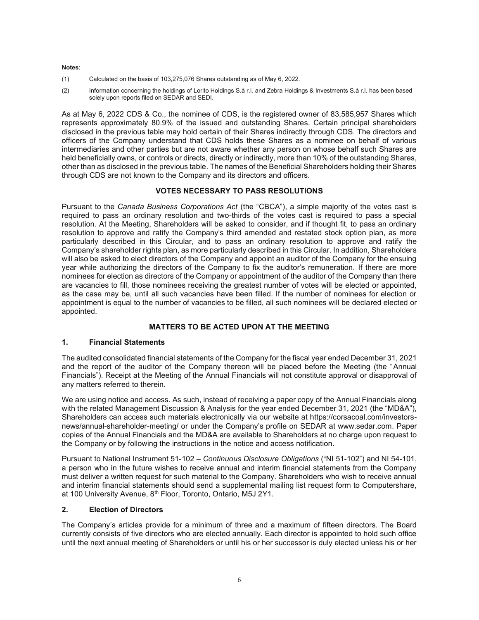#### **Notes**:

- (1) Calculated on the basis of 103,275,076 Shares outstanding as of May 6, 2022.
- (2) Information concerning the holdings of Lorito Holdings S.à r.l. and Zebra Holdings & Investments S.à r.l. has been based solely upon reports filed on SEDAR and SEDI.

As at May 6, 2022 CDS & Co., the nominee of CDS, is the registered owner of 83,585,957 Shares which represents approximately 80.9% of the issued and outstanding Shares. Certain principal shareholders disclosed in the previous table may hold certain of their Shares indirectly through CDS. The directors and officers of the Company understand that CDS holds these Shares as a nominee on behalf of various intermediaries and other parties but are not aware whether any person on whose behalf such Shares are held beneficially owns, or controls or directs, directly or indirectly, more than 10% of the outstanding Shares, other than as disclosed in the previous table. The names of the Beneficial Shareholders holding their Shares through CDS are not known to the Company and its directors and officers.

## **VOTES NECESSARY TO PASS RESOLUTIONS**

Pursuant to the *Canada Business Corporations Act* (the "CBCA"), a simple majority of the votes cast is required to pass an ordinary resolution and two-thirds of the votes cast is required to pass a special resolution. At the Meeting, Shareholders will be asked to consider, and if thought fit, to pass an ordinary resolution to approve and ratify the Company's third amended and restated stock option plan, as more particularly described in this Circular, and to pass an ordinary resolution to approve and ratify the Company's shareholder rights plan, as more particularly described in this Circular. In addition, Shareholders will also be asked to elect directors of the Company and appoint an auditor of the Company for the ensuing year while authorizing the directors of the Company to fix the auditor's remuneration. If there are more nominees for election as directors of the Company or appointment of the auditor of the Company than there are vacancies to fill, those nominees receiving the greatest number of votes will be elected or appointed, as the case may be, until all such vacancies have been filled. If the number of nominees for election or appointment is equal to the number of vacancies to be filled, all such nominees will be declared elected or appointed.

# **MATTERS TO BE ACTED UPON AT THE MEETING**

# **1. Financial Statements**

The audited consolidated financial statements of the Company for the fiscal year ended December 31, 2021 and the report of the auditor of the Company thereon will be placed before the Meeting (the "Annual Financials"). Receipt at the Meeting of the Annual Financials will not constitute approval or disapproval of any matters referred to therein.

We are using notice and access. As such, instead of receiving a paper copy of the Annual Financials along with the related Management Discussion & Analysis for the year ended December 31, 2021 (the "MD&A"), Shareholders can access such materials electronically via our website at https://corsacoal.com/investorsnews/annual-shareholder-meeting/ or under the Company's profile on SEDAR at www.sedar.com. Paper copies of the Annual Financials and the MD&A are available to Shareholders at no charge upon request to the Company or by following the instructions in the notice and access notification.

Pursuant to National Instrument 51-102 – *Continuous Disclosure Obligations* ("NI 51-102") and NI 54-101, a person who in the future wishes to receive annual and interim financial statements from the Company must deliver a written request for such material to the Company. Shareholders who wish to receive annual and interim financial statements should send a supplemental mailing list request form to Computershare, at 100 University Avenue, 8<sup>th</sup> Floor, Toronto, Ontario, M5J 2Y1.

## **2. Election of Directors**

The Company's articles provide for a minimum of three and a maximum of fifteen directors. The Board currently consists of five directors who are elected annually. Each director is appointed to hold such office until the next annual meeting of Shareholders or until his or her successor is duly elected unless his or her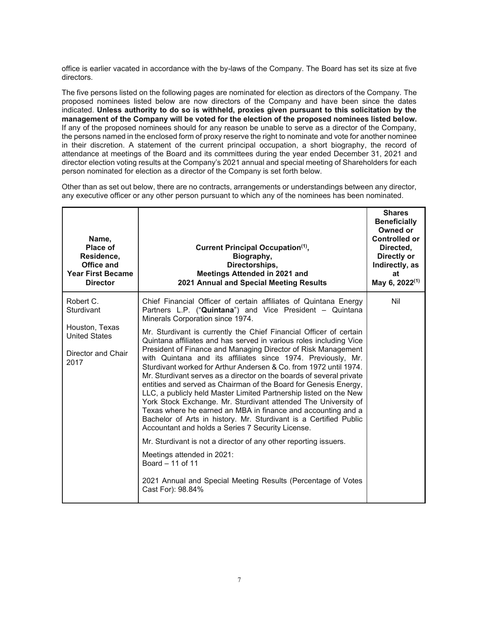office is earlier vacated in accordance with the by-laws of the Company. The Board has set its size at five directors.

The five persons listed on the following pages are nominated for election as directors of the Company. The proposed nominees listed below are now directors of the Company and have been since the dates indicated. **Unless authority to do so is withheld, proxies given pursuant to this solicitation by the management of the Company will be voted for the election of the proposed nominees listed below.**  If any of the proposed nominees should for any reason be unable to serve as a director of the Company, the persons named in the enclosed form of proxy reserve the right to nominate and vote for another nominee in their discretion. A statement of the current principal occupation, a short biography, the record of attendance at meetings of the Board and its committees during the year ended December 31, 2021 and director election voting results at the Company's 2021 annual and special meeting of Shareholders for each person nominated for election as a director of the Company is set forth below.

Other than as set out below, there are no contracts, arrangements or understandings between any director, any executive officer or any other person pursuant to which any of the nominees has been nominated.

| Name,<br><b>Place of</b><br>Residence,<br>Office and<br><b>Year First Became</b><br><b>Director</b> | <b>Current Principal Occupation(1).</b><br>Biography,<br>Directorships,<br>Meetings Attended in 2021 and<br>2021 Annual and Special Meeting Results                                                                                                                                                                                                                                                                                                                                                                                                                                                                                                                                                                                                                                                                         | <b>Shares</b><br><b>Beneficially</b><br>Owned or<br><b>Controlled or</b><br>Directed.<br>Directly or<br>Indirectly, as<br>at<br>May 6, 2022 <sup>(1)</sup> |
|-----------------------------------------------------------------------------------------------------|-----------------------------------------------------------------------------------------------------------------------------------------------------------------------------------------------------------------------------------------------------------------------------------------------------------------------------------------------------------------------------------------------------------------------------------------------------------------------------------------------------------------------------------------------------------------------------------------------------------------------------------------------------------------------------------------------------------------------------------------------------------------------------------------------------------------------------|------------------------------------------------------------------------------------------------------------------------------------------------------------|
| Robert C.<br>Sturdivant                                                                             | Chief Financial Officer of certain affiliates of Quintana Energy<br>Partners L.P. ("Quintana") and Vice President - Quintana<br>Minerals Corporation since 1974.                                                                                                                                                                                                                                                                                                                                                                                                                                                                                                                                                                                                                                                            | Nil                                                                                                                                                        |
| Houston, Texas<br><b>United States</b><br>Director and Chair<br>2017                                | Mr. Sturdivant is currently the Chief Financial Officer of certain<br>Quintana affiliates and has served in various roles including Vice<br>President of Finance and Managing Director of Risk Management<br>with Quintana and its affiliates since 1974. Previously, Mr.<br>Sturdivant worked for Arthur Andersen & Co. from 1972 until 1974.<br>Mr. Sturdivant serves as a director on the boards of several private<br>entities and served as Chairman of the Board for Genesis Energy,<br>LLC, a publicly held Master Limited Partnership listed on the New<br>York Stock Exchange. Mr. Sturdivant attended The University of<br>Texas where he earned an MBA in finance and accounting and a<br>Bachelor of Arts in history. Mr. Sturdivant is a Certified Public<br>Accountant and holds a Series 7 Security License. |                                                                                                                                                            |
|                                                                                                     | Mr. Sturdivant is not a director of any other reporting issuers.<br>Meetings attended in 2021:<br>Board $-11$ of 11                                                                                                                                                                                                                                                                                                                                                                                                                                                                                                                                                                                                                                                                                                         |                                                                                                                                                            |
|                                                                                                     | 2021 Annual and Special Meeting Results (Percentage of Votes<br>Cast For): 98.84%                                                                                                                                                                                                                                                                                                                                                                                                                                                                                                                                                                                                                                                                                                                                           |                                                                                                                                                            |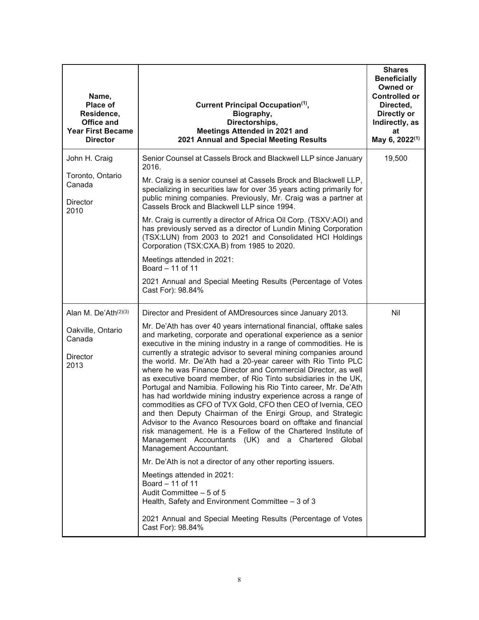| Name,<br><b>Place of</b><br>Residence,<br><b>Office and</b><br><b>Year First Became</b><br><b>Director</b> | Current Principal Occupation <sup>(1)</sup> ,<br>Biography,<br>Directorships,<br>Meetings Attended in 2021 and<br>2021 Annual and Special Meeting Results                                                                                                                                                                                                                                                                                                                                                                                                                                                                                                                                                                                                                                                                                                                                                                                                                                                                                                                                                                                                                                                                                                                                                                           | <b>Shares</b><br><b>Beneficially</b><br>Owned or<br><b>Controlled or</b><br>Directed,<br>Directly or<br>Indirectly, as<br>at<br>May 6, 2022 <sup>(1)</sup> |
|------------------------------------------------------------------------------------------------------------|-------------------------------------------------------------------------------------------------------------------------------------------------------------------------------------------------------------------------------------------------------------------------------------------------------------------------------------------------------------------------------------------------------------------------------------------------------------------------------------------------------------------------------------------------------------------------------------------------------------------------------------------------------------------------------------------------------------------------------------------------------------------------------------------------------------------------------------------------------------------------------------------------------------------------------------------------------------------------------------------------------------------------------------------------------------------------------------------------------------------------------------------------------------------------------------------------------------------------------------------------------------------------------------------------------------------------------------|------------------------------------------------------------------------------------------------------------------------------------------------------------|
| John H. Craig<br>Toronto, Ontario<br>Canada<br><b>Director</b><br>2010                                     | Senior Counsel at Cassels Brock and Blackwell LLP since January<br>2016.<br>Mr. Craig is a senior counsel at Cassels Brock and Blackwell LLP,<br>specializing in securities law for over 35 years acting primarily for<br>public mining companies. Previously, Mr. Craig was a partner at<br>Cassels Brock and Blackwell LLP since 1994.<br>Mr. Craig is currently a director of Africa Oil Corp. (TSXV:AOI) and<br>has previously served as a director of Lundin Mining Corporation<br>(TSX:LUN) from 2003 to 2021 and Consolidated HCI Holdings<br>Corporation (TSX:CXA.B) from 1985 to 2020.<br>Meetings attended in 2021:<br>Board - 11 of 11<br>2021 Annual and Special Meeting Results (Percentage of Votes<br>Cast For): 98.84%                                                                                                                                                                                                                                                                                                                                                                                                                                                                                                                                                                                              | 19,500                                                                                                                                                     |
| Alan M. De'Ath <sup>(2)(3)</sup><br>Oakville, Ontario<br>Canada<br><b>Director</b><br>2013                 | Director and President of AMDresources since January 2013.<br>Mr. De'Ath has over 40 years international financial, offtake sales<br>and marketing, corporate and operational experience as a senior<br>executive in the mining industry in a range of commodities. He is<br>currently a strategic advisor to several mining companies around<br>the world. Mr. De'Ath had a 20-year career with Rio Tinto PLC<br>where he was Finance Director and Commercial Director, as well<br>as executive board member, of Rio Tinto subsidiaries in the UK,<br>Portugal and Namibia. Following his Rio Tinto career, Mr. De'Ath<br>has had worldwide mining industry experience across a range of<br>commodities as CFO of TVX Gold, CFO then CEO of Ivernia, CEO<br>and then Deputy Chairman of the Enirgi Group, and Strategic<br>Advisor to the Avanco Resources board on offtake and financial<br>risk management. He is a Fellow of the Chartered Institute of<br>Management Accountants (UK) and a Chartered Global<br>Management Accountant.<br>Mr. De'Ath is not a director of any other reporting issuers.<br>Meetings attended in 2021:<br>Board - 11 of 11<br>Audit Committee - 5 of 5<br>Health, Safety and Environment Committee - 3 of 3<br>2021 Annual and Special Meeting Results (Percentage of Votes<br>Cast For): 98.84% | Nil                                                                                                                                                        |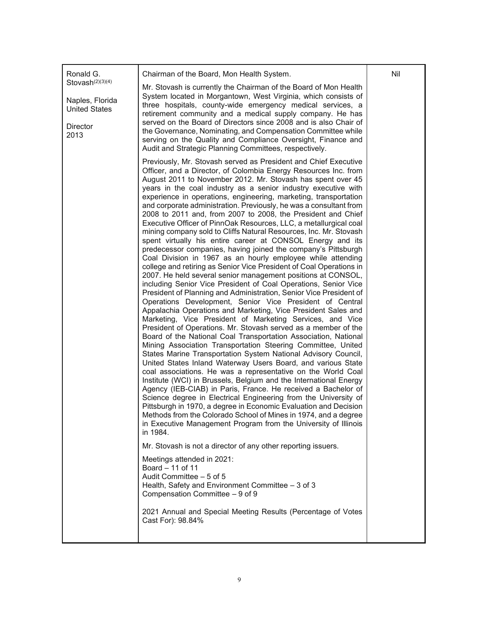| Ronald G.                                                                                   | Chairman of the Board, Mon Health System.                                                                                                                                                                                                                                                                                                                                                                                                                                                                                                                                                                                                                                                                                                                                                                                                                                                                                                                                                                                                                                                                                                                                                                                                                                                                                                                                                                                                                                                                                                                                                                                                                                                                                                                                                                                                                                                                                                                                                                                                                                                                                                                                                                                                                                                                                                                                    | Nil |
|---------------------------------------------------------------------------------------------|------------------------------------------------------------------------------------------------------------------------------------------------------------------------------------------------------------------------------------------------------------------------------------------------------------------------------------------------------------------------------------------------------------------------------------------------------------------------------------------------------------------------------------------------------------------------------------------------------------------------------------------------------------------------------------------------------------------------------------------------------------------------------------------------------------------------------------------------------------------------------------------------------------------------------------------------------------------------------------------------------------------------------------------------------------------------------------------------------------------------------------------------------------------------------------------------------------------------------------------------------------------------------------------------------------------------------------------------------------------------------------------------------------------------------------------------------------------------------------------------------------------------------------------------------------------------------------------------------------------------------------------------------------------------------------------------------------------------------------------------------------------------------------------------------------------------------------------------------------------------------------------------------------------------------------------------------------------------------------------------------------------------------------------------------------------------------------------------------------------------------------------------------------------------------------------------------------------------------------------------------------------------------------------------------------------------------------------------------------------------------|-----|
| Stovash <sup>(2)(3)(4)</sup><br>Naples, Florida<br><b>United States</b><br>Director<br>2013 | Mr. Stovash is currently the Chairman of the Board of Mon Health<br>System located in Morgantown, West Virginia, which consists of<br>three hospitals, county-wide emergency medical services, a<br>retirement community and a medical supply company. He has<br>served on the Board of Directors since 2008 and is also Chair of<br>the Governance, Nominating, and Compensation Committee while<br>serving on the Quality and Compliance Oversight, Finance and<br>Audit and Strategic Planning Committees, respectively.                                                                                                                                                                                                                                                                                                                                                                                                                                                                                                                                                                                                                                                                                                                                                                                                                                                                                                                                                                                                                                                                                                                                                                                                                                                                                                                                                                                                                                                                                                                                                                                                                                                                                                                                                                                                                                                  |     |
|                                                                                             | Previously, Mr. Stovash served as President and Chief Executive<br>Officer, and a Director, of Colombia Energy Resources Inc. from<br>August 2011 to November 2012. Mr. Stovash has spent over 45<br>years in the coal industry as a senior industry executive with<br>experience in operations, engineering, marketing, transportation<br>and corporate administration. Previously, he was a consultant from<br>2008 to 2011 and, from 2007 to 2008, the President and Chief<br>Executive Officer of PinnOak Resources, LLC, a metallurgical coal<br>mining company sold to Cliffs Natural Resources, Inc. Mr. Stovash<br>spent virtually his entire career at CONSOL Energy and its<br>predecessor companies, having joined the company's Pittsburgh<br>Coal Division in 1967 as an hourly employee while attending<br>college and retiring as Senior Vice President of Coal Operations in<br>2007. He held several senior management positions at CONSOL,<br>including Senior Vice President of Coal Operations, Senior Vice<br>President of Planning and Administration, Senior Vice President of<br>Operations Development, Senior Vice President of Central<br>Appalachia Operations and Marketing, Vice President Sales and<br>Marketing, Vice President of Marketing Services, and Vice<br>President of Operations. Mr. Stovash served as a member of the<br>Board of the National Coal Transportation Association, National<br>Mining Association Transportation Steering Committee, United<br>States Marine Transportation System National Advisory Council,<br>United States Inland Waterway Users Board, and various State<br>coal associations. He was a representative on the World Coal<br>Institute (WCI) in Brussels, Belgium and the International Energy<br>Agency (IEB-CIAB) in Paris, France. He received a Bachelor of<br>Science degree in Electrical Engineering from the University of<br>Pittsburgh in 1970, a degree in Economic Evaluation and Decision<br>Methods from the Colorado School of Mines in 1974, and a degree<br>in Executive Management Program from the University of Illinois<br>in 1984.<br>Mr. Stovash is not a director of any other reporting issuers.<br>Meetings attended in 2021:<br>Board - 11 of 11<br>Audit Committee - 5 of 5<br>Health, Safety and Environment Committee - 3 of 3<br>Compensation Committee - 9 of 9 |     |
|                                                                                             | 2021 Annual and Special Meeting Results (Percentage of Votes<br>Cast For): 98.84%                                                                                                                                                                                                                                                                                                                                                                                                                                                                                                                                                                                                                                                                                                                                                                                                                                                                                                                                                                                                                                                                                                                                                                                                                                                                                                                                                                                                                                                                                                                                                                                                                                                                                                                                                                                                                                                                                                                                                                                                                                                                                                                                                                                                                                                                                            |     |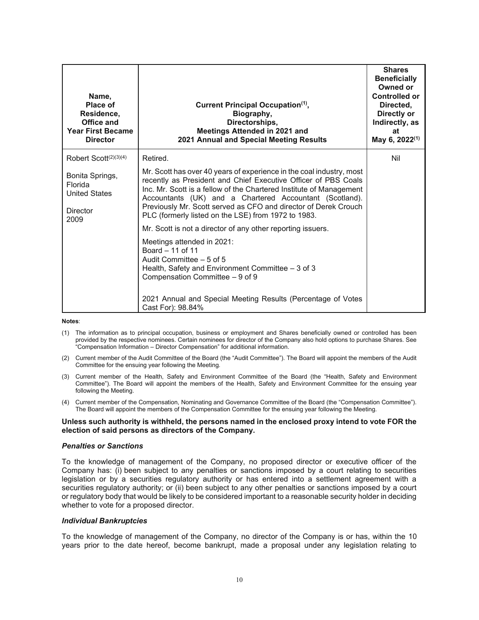| Name,<br>Place of<br>Residence,<br>Office and<br><b>Year First Became</b><br><b>Director</b> | Current Principal Occupation <sup>(1)</sup> ,<br>Biography,<br>Directorships,<br>Meetings Attended in 2021 and<br>2021 Annual and Special Meeting Results                                                                                                                                                                                                                                          | <b>Shares</b><br><b>Beneficially</b><br>Owned or<br><b>Controlled or</b><br>Directed.<br>Directly or<br>Indirectly, as<br>at<br>May 6, 2022 <sup>(1)</sup> |
|----------------------------------------------------------------------------------------------|----------------------------------------------------------------------------------------------------------------------------------------------------------------------------------------------------------------------------------------------------------------------------------------------------------------------------------------------------------------------------------------------------|------------------------------------------------------------------------------------------------------------------------------------------------------------|
| Robert Scott $(2)(3)(4)$                                                                     | Retired.                                                                                                                                                                                                                                                                                                                                                                                           | Nil                                                                                                                                                        |
| Bonita Springs,<br>Florida<br><b>United States</b><br><b>Director</b><br>2009                | Mr. Scott has over 40 years of experience in the coal industry, most<br>recently as President and Chief Executive Officer of PBS Coals<br>Inc. Mr. Scott is a fellow of the Chartered Institute of Management<br>Accountants (UK) and a Chartered Accountant (Scotland).<br>Previously Mr. Scott served as CFO and director of Derek Crouch<br>PLC (formerly listed on the LSE) from 1972 to 1983. |                                                                                                                                                            |
|                                                                                              | Mr. Scott is not a director of any other reporting issuers.<br>Meetings attended in 2021:<br>Board $-11$ of 11<br>Audit Committee - 5 of 5<br>Health, Safety and Environment Committee - 3 of 3<br>Compensation Committee - 9 of 9<br>2021 Annual and Special Meeting Results (Percentage of Votes<br>Cast For): 98.84%                                                                            |                                                                                                                                                            |

#### **Notes**:

- (1) The information as to principal occupation, business or employment and Shares beneficially owned or controlled has been provided by the respective nominees. Certain nominees for director of the Company also hold options to purchase Shares. See "Compensation Information – Director Compensation" for additional information.
- (2) Current member of the Audit Committee of the Board (the "Audit Committee"). The Board will appoint the members of the Audit Committee for the ensuing year following the Meeting.
- (3) Current member of the Health, Safety and Environment Committee of the Board (the "Health, Safety and Environment Committee"). The Board will appoint the members of the Health, Safety and Environment Committee for the ensuing year following the Meeting.
- (4) Current member of the Compensation, Nominating and Governance Committee of the Board (the "Compensation Committee"). The Board will appoint the members of the Compensation Committee for the ensuing year following the Meeting.

#### **Unless such authority is withheld, the persons named in the enclosed proxy intend to vote FOR the election of said persons as directors of the Company.**

#### *Penalties or Sanctions*

To the knowledge of management of the Company, no proposed director or executive officer of the Company has: (i) been subject to any penalties or sanctions imposed by a court relating to securities legislation or by a securities regulatory authority or has entered into a settlement agreement with a securities regulatory authority; or (ii) been subject to any other penalties or sanctions imposed by a court or regulatory body that would be likely to be considered important to a reasonable security holder in deciding whether to vote for a proposed director.

#### *Individual Bankruptcies*

To the knowledge of management of the Company, no director of the Company is or has, within the 10 years prior to the date hereof, become bankrupt, made a proposal under any legislation relating to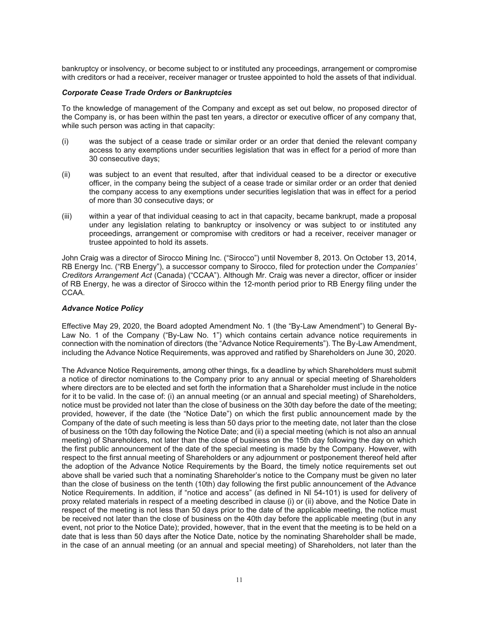bankruptcy or insolvency, or become subject to or instituted any proceedings, arrangement or compromise with creditors or had a receiver, receiver manager or trustee appointed to hold the assets of that individual.

### *Corporate Cease Trade Orders or Bankruptcies*

To the knowledge of management of the Company and except as set out below, no proposed director of the Company is, or has been within the past ten years, a director or executive officer of any company that, while such person was acting in that capacity:

- (i) was the subject of a cease trade or similar order or an order that denied the relevant company access to any exemptions under securities legislation that was in effect for a period of more than 30 consecutive days;
- (ii) was subject to an event that resulted, after that individual ceased to be a director or executive officer, in the company being the subject of a cease trade or similar order or an order that denied the company access to any exemptions under securities legislation that was in effect for a period of more than 30 consecutive days; or
- (iii) within a year of that individual ceasing to act in that capacity, became bankrupt, made a proposal under any legislation relating to bankruptcy or insolvency or was subject to or instituted any proceedings, arrangement or compromise with creditors or had a receiver, receiver manager or trustee appointed to hold its assets.

John Craig was a director of Sirocco Mining Inc. ("Sirocco") until November 8, 2013. On October 13, 2014, RB Energy Inc. ("RB Energy"), a successor company to Sirocco, filed for protection under the *Companies' Creditors Arrangement Act* (Canada) ("CCAA"). Although Mr. Craig was never a director, officer or insider of RB Energy, he was a director of Sirocco within the 12-month period prior to RB Energy filing under the CCAA.

### *Advance Notice Policy*

Effective May 29, 2020, the Board adopted Amendment No. 1 (the "By-Law Amendment") to General By-Law No. 1 of the Company ("By-Law No. 1") which contains certain advance notice requirements in connection with the nomination of directors (the "Advance Notice Requirements"). The By-Law Amendment, including the Advance Notice Requirements, was approved and ratified by Shareholders on June 30, 2020.

The Advance Notice Requirements, among other things, fix a deadline by which Shareholders must submit a notice of director nominations to the Company prior to any annual or special meeting of Shareholders where directors are to be elected and set forth the information that a Shareholder must include in the notice for it to be valid. In the case of: (i) an annual meeting (or an annual and special meeting) of Shareholders, notice must be provided not later than the close of business on the 30th day before the date of the meeting; provided, however, if the date (the "Notice Date") on which the first public announcement made by the Company of the date of such meeting is less than 50 days prior to the meeting date, not later than the close of business on the 10th day following the Notice Date; and (ii) a special meeting (which is not also an annual meeting) of Shareholders, not later than the close of business on the 15th day following the day on which the first public announcement of the date of the special meeting is made by the Company. However, with respect to the first annual meeting of Shareholders or any adjournment or postponement thereof held after the adoption of the Advance Notice Requirements by the Board, the timely notice requirements set out above shall be varied such that a nominating Shareholder's notice to the Company must be given no later than the close of business on the tenth (10th) day following the first public announcement of the Advance Notice Requirements. In addition, if "notice and access" (as defined in NI 54-101) is used for delivery of proxy related materials in respect of a meeting described in clause (i) or (ii) above, and the Notice Date in respect of the meeting is not less than 50 days prior to the date of the applicable meeting, the notice must be received not later than the close of business on the 40th day before the applicable meeting (but in any event, not prior to the Notice Date); provided, however, that in the event that the meeting is to be held on a date that is less than 50 days after the Notice Date, notice by the nominating Shareholder shall be made, in the case of an annual meeting (or an annual and special meeting) of Shareholders, not later than the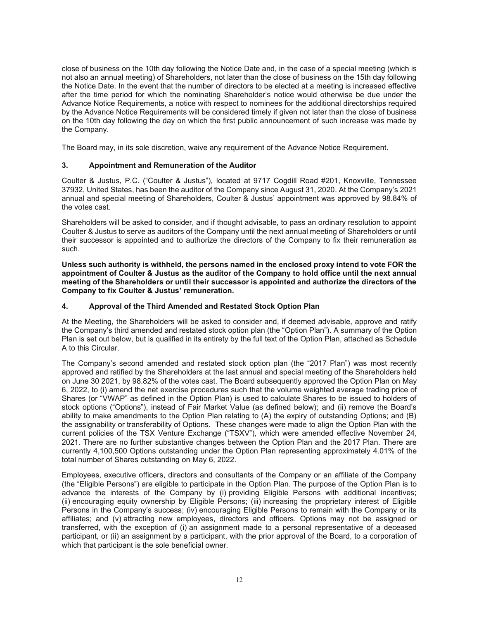close of business on the 10th day following the Notice Date and, in the case of a special meeting (which is not also an annual meeting) of Shareholders, not later than the close of business on the 15th day following the Notice Date. In the event that the number of directors to be elected at a meeting is increased effective after the time period for which the nominating Shareholder's notice would otherwise be due under the Advance Notice Requirements, a notice with respect to nominees for the additional directorships required by the Advance Notice Requirements will be considered timely if given not later than the close of business on the 10th day following the day on which the first public announcement of such increase was made by the Company.

The Board may, in its sole discretion, waive any requirement of the Advance Notice Requirement.

### **3. Appointment and Remuneration of the Auditor**

Coulter & Justus, P.C. ("Coulter & Justus"), located at 9717 Cogdill Road #201, Knoxville, Tennessee 37932, United States, has been the auditor of the Company since August 31, 2020. At the Company's 2021 annual and special meeting of Shareholders, Coulter & Justus' appointment was approved by 98.84% of the votes cast.

Shareholders will be asked to consider, and if thought advisable, to pass an ordinary resolution to appoint Coulter & Justus to serve as auditors of the Company until the next annual meeting of Shareholders or until their successor is appointed and to authorize the directors of the Company to fix their remuneration as such.

**Unless such authority is withheld, the persons named in the enclosed proxy intend to vote FOR the appointment of Coulter & Justus as the auditor of the Company to hold office until the next annual meeting of the Shareholders or until their successor is appointed and authorize the directors of the Company to fix Coulter & Justus' remuneration.** 

### **4. Approval of the Third Amended and Restated Stock Option Plan**

At the Meeting, the Shareholders will be asked to consider and, if deemed advisable, approve and ratify the Company's third amended and restated stock option plan (the "Option Plan"). A summary of the Option Plan is set out below, but is qualified in its entirety by the full text of the Option Plan, attached as Schedule A to this Circular.

The Company's second amended and restated stock option plan (the "2017 Plan") was most recently approved and ratified by the Shareholders at the last annual and special meeting of the Shareholders held on June 30 2021, by 98.82% of the votes cast. The Board subsequently approved the Option Plan on May 6, 2022, to (i) amend the net exercise procedures such that the volume weighted average trading price of Shares (or "VWAP" as defined in the Option Plan) is used to calculate Shares to be issued to holders of stock options ("Options"), instead of Fair Market Value (as defined below); and (ii) remove the Board's ability to make amendments to the Option Plan relating to (A) the expiry of outstanding Options; and (B) the assignability or transferability of Options. These changes were made to align the Option Plan with the current policies of the TSX Venture Exchange ("TSXV"), which were amended effective November 24, 2021. There are no further substantive changes between the Option Plan and the 2017 Plan. There are currently 4,100,500 Options outstanding under the Option Plan representing approximately 4.01% of the total number of Shares outstanding on May 6, 2022.

Employees, executive officers, directors and consultants of the Company or an affiliate of the Company (the "Eligible Persons") are eligible to participate in the Option Plan. The purpose of the Option Plan is to advance the interests of the Company by (i) providing Eligible Persons with additional incentives; (ii) encouraging equity ownership by Eligible Persons; (iii) increasing the proprietary interest of Eligible Persons in the Company's success; (iv) encouraging Eligible Persons to remain with the Company or its affiliates; and (v) attracting new employees, directors and officers. Options may not be assigned or transferred, with the exception of (i) an assignment made to a personal representative of a deceased participant, or (ii) an assignment by a participant, with the prior approval of the Board, to a corporation of which that participant is the sole beneficial owner.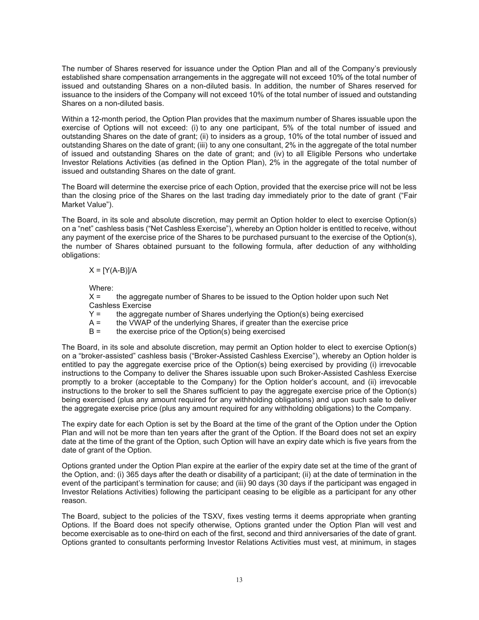The number of Shares reserved for issuance under the Option Plan and all of the Company's previously established share compensation arrangements in the aggregate will not exceed 10% of the total number of issued and outstanding Shares on a non-diluted basis. In addition, the number of Shares reserved for issuance to the insiders of the Company will not exceed 10% of the total number of issued and outstanding Shares on a non-diluted basis.

Within a 12-month period, the Option Plan provides that the maximum number of Shares issuable upon the exercise of Options will not exceed: (i) to any one participant, 5% of the total number of issued and outstanding Shares on the date of grant; (ii) to insiders as a group, 10% of the total number of issued and outstanding Shares on the date of grant; (iii) to any one consultant, 2% in the aggregate of the total number of issued and outstanding Shares on the date of grant; and (iv) to all Eligible Persons who undertake Investor Relations Activities (as defined in the Option Plan), 2% in the aggregate of the total number of issued and outstanding Shares on the date of grant.

The Board will determine the exercise price of each Option, provided that the exercise price will not be less than the closing price of the Shares on the last trading day immediately prior to the date of grant ("Fair Market Value").

The Board, in its sole and absolute discretion, may permit an Option holder to elect to exercise Option(s) on a "net" cashless basis ("Net Cashless Exercise"), whereby an Option holder is entitled to receive, without any payment of the exercise price of the Shares to be purchased pursuant to the exercise of the Option(s), the number of Shares obtained pursuant to the following formula, after deduction of any withholding obligations:

 $X = [Y(A-B)]/A$ 

Where:

X = the aggregate number of Shares to be issued to the Option holder upon such Net Cashless Exercise

- $Y =$  the aggregate number of Shares underlying the Option(s) being exercised
- $A =$  the VWAP of the underlying Shares, if greater than the exercise price
- B = the exercise price of the Option(s) being exercised

The Board, in its sole and absolute discretion, may permit an Option holder to elect to exercise Option(s) on a "broker-assisted" cashless basis ("Broker-Assisted Cashless Exercise"), whereby an Option holder is entitled to pay the aggregate exercise price of the Option(s) being exercised by providing (i) irrevocable instructions to the Company to deliver the Shares issuable upon such Broker-Assisted Cashless Exercise promptly to a broker (acceptable to the Company) for the Option holder's account, and (ii) irrevocable instructions to the broker to sell the Shares sufficient to pay the aggregate exercise price of the Option(s) being exercised (plus any amount required for any withholding obligations) and upon such sale to deliver the aggregate exercise price (plus any amount required for any withholding obligations) to the Company.

The expiry date for each Option is set by the Board at the time of the grant of the Option under the Option Plan and will not be more than ten years after the grant of the Option. If the Board does not set an expiry date at the time of the grant of the Option, such Option will have an expiry date which is five years from the date of grant of the Option.

Options granted under the Option Plan expire at the earlier of the expiry date set at the time of the grant of the Option, and: (i) 365 days after the death or disability of a participant; (ii) at the date of termination in the event of the participant's termination for cause; and (iii) 90 days (30 days if the participant was engaged in Investor Relations Activities) following the participant ceasing to be eligible as a participant for any other reason.

The Board, subject to the policies of the TSXV, fixes vesting terms it deems appropriate when granting Options. If the Board does not specify otherwise, Options granted under the Option Plan will vest and become exercisable as to one-third on each of the first, second and third anniversaries of the date of grant. Options granted to consultants performing Investor Relations Activities must vest, at minimum, in stages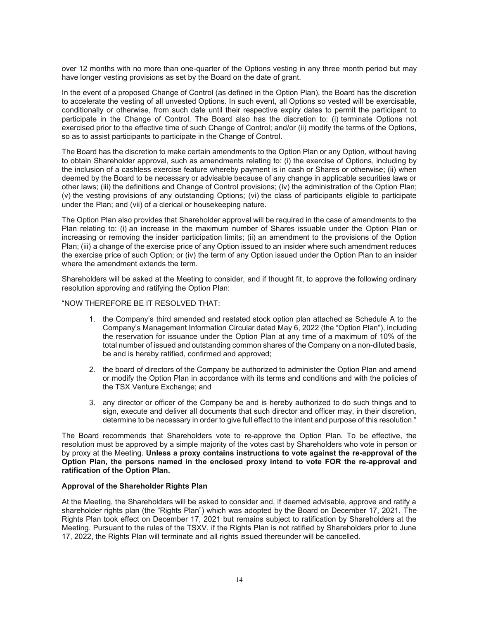over 12 months with no more than one-quarter of the Options vesting in any three month period but may have longer vesting provisions as set by the Board on the date of grant.

In the event of a proposed Change of Control (as defined in the Option Plan), the Board has the discretion to accelerate the vesting of all unvested Options. In such event, all Options so vested will be exercisable, conditionally or otherwise, from such date until their respective expiry dates to permit the participant to participate in the Change of Control. The Board also has the discretion to: (i) terminate Options not exercised prior to the effective time of such Change of Control; and/or (ii) modify the terms of the Options, so as to assist participants to participate in the Change of Control.

The Board has the discretion to make certain amendments to the Option Plan or any Option, without having to obtain Shareholder approval, such as amendments relating to: (i) the exercise of Options, including by the inclusion of a cashless exercise feature whereby payment is in cash or Shares or otherwise; (ii) when deemed by the Board to be necessary or advisable because of any change in applicable securities laws or other laws; (iii) the definitions and Change of Control provisions; (iv) the administration of the Option Plan; (v) the vesting provisions of any outstanding Options; (vi) the class of participants eligible to participate under the Plan; and (vii) of a clerical or housekeeping nature.

The Option Plan also provides that Shareholder approval will be required in the case of amendments to the Plan relating to: (i) an increase in the maximum number of Shares issuable under the Option Plan or increasing or removing the insider participation limits; (ii) an amendment to the provisions of the Option Plan; (iii) a change of the exercise price of any Option issued to an insider where such amendment reduces the exercise price of such Option; or (iv) the term of any Option issued under the Option Plan to an insider where the amendment extends the term.

Shareholders will be asked at the Meeting to consider, and if thought fit, to approve the following ordinary resolution approving and ratifying the Option Plan:

### "NOW THEREFORE BE IT RESOLVED THAT:

- 1. the Company's third amended and restated stock option plan attached as Schedule A to the Company's Management Information Circular dated May 6, 2022 (the "Option Plan"), including the reservation for issuance under the Option Plan at any time of a maximum of 10% of the total number of issued and outstanding common shares of the Company on a non-diluted basis, be and is hereby ratified, confirmed and approved;
- 2. the board of directors of the Company be authorized to administer the Option Plan and amend or modify the Option Plan in accordance with its terms and conditions and with the policies of the TSX Venture Exchange; and
- 3. any director or officer of the Company be and is hereby authorized to do such things and to sign, execute and deliver all documents that such director and officer may, in their discretion, determine to be necessary in order to give full effect to the intent and purpose of this resolution."

The Board recommends that Shareholders vote to re-approve the Option Plan. To be effective, the resolution must be approved by a simple majority of the votes cast by Shareholders who vote in person or by proxy at the Meeting. **Unless a proxy contains instructions to vote against the re-approval of the Option Plan, the persons named in the enclosed proxy intend to vote FOR the re-approval and ratification of the Option Plan.** 

#### **Approval of the Shareholder Rights Plan**

At the Meeting, the Shareholders will be asked to consider and, if deemed advisable, approve and ratify a shareholder rights plan (the "Rights Plan") which was adopted by the Board on December 17, 2021. The Rights Plan took effect on December 17, 2021 but remains subject to ratification by Shareholders at the Meeting. Pursuant to the rules of the TSXV, if the Rights Plan is not ratified by Shareholders prior to June 17, 2022, the Rights Plan will terminate and all rights issued thereunder will be cancelled.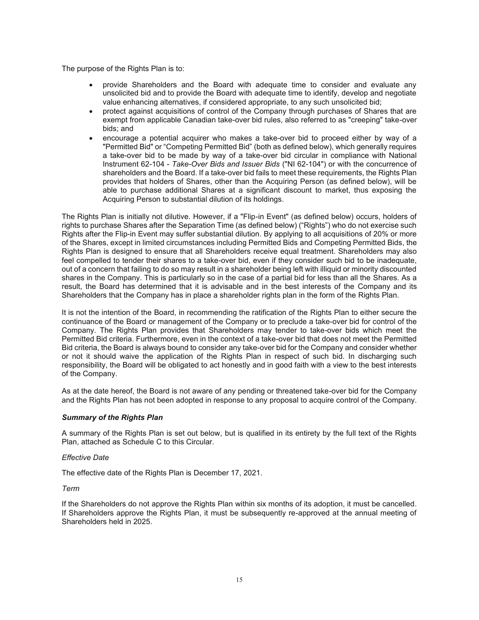The purpose of the Rights Plan is to:

- x provide Shareholders and the Board with adequate time to consider and evaluate any unsolicited bid and to provide the Board with adequate time to identify, develop and negotiate value enhancing alternatives, if considered appropriate, to any such unsolicited bid;
- protect against acquisitions of control of the Company through purchases of Shares that are exempt from applicable Canadian take-over bid rules, also referred to as "creeping" take-over bids; and
- encourage a potential acquirer who makes a take-over bid to proceed either by way of a "Permitted Bid" or "Competing Permitted Bid" (both as defined below), which generally requires a take-over bid to be made by way of a take-over bid circular in compliance with National Instrument 62-104 - *Take-Over Bids and Issuer Bids* ("NI 62-104") or with the concurrence of shareholders and the Board. If a take-over bid fails to meet these requirements, the Rights Plan provides that holders of Shares, other than the Acquiring Person (as defined below), will be able to purchase additional Shares at a significant discount to market, thus exposing the Acquiring Person to substantial dilution of its holdings.

The Rights Plan is initially not dilutive. However, if a "Flip-in Event" (as defined below) occurs, holders of rights to purchase Shares after the Separation Time (as defined below) ("Rights") who do not exercise such Rights after the Flip-in Event may suffer substantial dilution. By applying to all acquisitions of 20% or more of the Shares, except in limited circumstances including Permitted Bids and Competing Permitted Bids, the Rights Plan is designed to ensure that all Shareholders receive equal treatment. Shareholders may also feel compelled to tender their shares to a take-over bid, even if they consider such bid to be inadequate, out of a concern that failing to do so may result in a shareholder being left with illiquid or minority discounted shares in the Company. This is particularly so in the case of a partial bid for less than all the Shares. As a result, the Board has determined that it is advisable and in the best interests of the Company and its Shareholders that the Company has in place a shareholder rights plan in the form of the Rights Plan.

It is not the intention of the Board, in recommending the ratification of the Rights Plan to either secure the continuance of the Board or management of the Company or to preclude a take-over bid for control of the Company. The Rights Plan provides that Shareholders may tender to take-over bids which meet the Permitted Bid criteria. Furthermore, even in the context of a take-over bid that does not meet the Permitted Bid criteria, the Board is always bound to consider any take-over bid for the Company and consider whether or not it should waive the application of the Rights Plan in respect of such bid. In discharging such responsibility, the Board will be obligated to act honestly and in good faith with a view to the best interests of the Company.

As at the date hereof, the Board is not aware of any pending or threatened take-over bid for the Company and the Rights Plan has not been adopted in response to any proposal to acquire control of the Company.

## *Summary of the Rights Plan*

A summary of the Rights Plan is set out below, but is qualified in its entirety by the full text of the Rights Plan, attached as Schedule C to this Circular.

#### *Effective Date*

The effective date of the Rights Plan is December 17, 2021.

*Term* 

If the Shareholders do not approve the Rights Plan within six months of its adoption, it must be cancelled. If Shareholders approve the Rights Plan, it must be subsequently re-approved at the annual meeting of Shareholders held in 2025.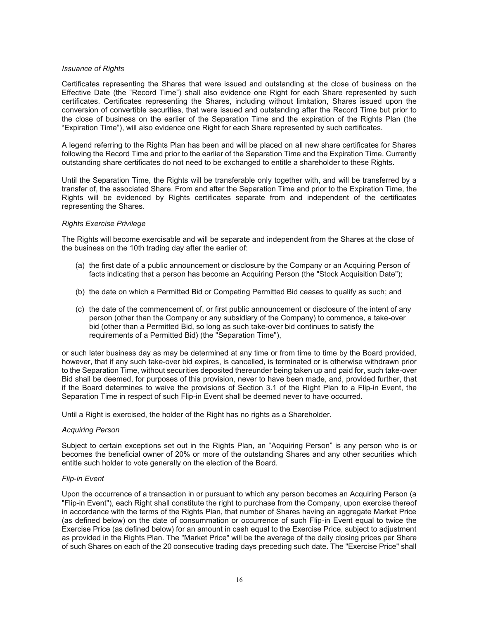#### *Issuance of Rights*

Certificates representing the Shares that were issued and outstanding at the close of business on the Effective Date (the "Record Time") shall also evidence one Right for each Share represented by such certificates. Certificates representing the Shares, including without limitation, Shares issued upon the conversion of convertible securities, that were issued and outstanding after the Record Time but prior to the close of business on the earlier of the Separation Time and the expiration of the Rights Plan (the "Expiration Time"), will also evidence one Right for each Share represented by such certificates.

A legend referring to the Rights Plan has been and will be placed on all new share certificates for Shares following the Record Time and prior to the earlier of the Separation Time and the Expiration Time. Currently outstanding share certificates do not need to be exchanged to entitle a shareholder to these Rights.

Until the Separation Time, the Rights will be transferable only together with, and will be transferred by a transfer of, the associated Share. From and after the Separation Time and prior to the Expiration Time, the Rights will be evidenced by Rights certificates separate from and independent of the certificates representing the Shares.

#### *Rights Exercise Privilege*

The Rights will become exercisable and will be separate and independent from the Shares at the close of the business on the 10th trading day after the earlier of:

- (a) the first date of a public announcement or disclosure by the Company or an Acquiring Person of facts indicating that a person has become an Acquiring Person (the "Stock Acquisition Date");
- (b) the date on which a Permitted Bid or Competing Permitted Bid ceases to qualify as such; and
- (c) the date of the commencement of, or first public announcement or disclosure of the intent of any person (other than the Company or any subsidiary of the Company) to commence, a take-over bid (other than a Permitted Bid, so long as such take-over bid continues to satisfy the requirements of a Permitted Bid) (the "Separation Time"),

or such later business day as may be determined at any time or from time to time by the Board provided, however, that if any such take-over bid expires, is cancelled, is terminated or is otherwise withdrawn prior to the Separation Time, without securities deposited thereunder being taken up and paid for, such take-over Bid shall be deemed, for purposes of this provision, never to have been made, and, provided further, that if the Board determines to waive the provisions of Section 3.1 of the Right Plan to a Flip-in Event, the Separation Time in respect of such Flip-in Event shall be deemed never to have occurred.

Until a Right is exercised, the holder of the Right has no rights as a Shareholder.

#### *Acquiring Person*

Subject to certain exceptions set out in the Rights Plan, an "Acquiring Person" is any person who is or becomes the beneficial owner of 20% or more of the outstanding Shares and any other securities which entitle such holder to vote generally on the election of the Board.

#### *Flip-in Event*

Upon the occurrence of a transaction in or pursuant to which any person becomes an Acquiring Person (a "Flip-in Event"), each Right shall constitute the right to purchase from the Company, upon exercise thereof in accordance with the terms of the Rights Plan, that number of Shares having an aggregate Market Price (as defined below) on the date of consummation or occurrence of such Flip-in Event equal to twice the Exercise Price (as defined below) for an amount in cash equal to the Exercise Price, subject to adjustment as provided in the Rights Plan. The "Market Price" will be the average of the daily closing prices per Share of such Shares on each of the 20 consecutive trading days preceding such date. The "Exercise Price" shall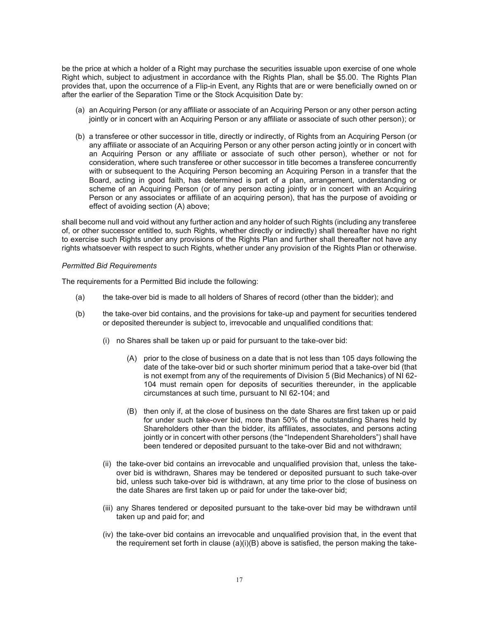be the price at which a holder of a Right may purchase the securities issuable upon exercise of one whole Right which, subject to adjustment in accordance with the Rights Plan, shall be \$5.00. The Rights Plan provides that, upon the occurrence of a Flip-in Event, any Rights that are or were beneficially owned on or after the earlier of the Separation Time or the Stock Acquisition Date by:

- (a) an Acquiring Person (or any affiliate or associate of an Acquiring Person or any other person acting jointly or in concert with an Acquiring Person or any affiliate or associate of such other person); or
- (b) a transferee or other successor in title, directly or indirectly, of Rights from an Acquiring Person (or any affiliate or associate of an Acquiring Person or any other person acting jointly or in concert with an Acquiring Person or any affiliate or associate of such other person), whether or not for consideration, where such transferee or other successor in title becomes a transferee concurrently with or subsequent to the Acquiring Person becoming an Acquiring Person in a transfer that the Board, acting in good faith, has determined is part of a plan, arrangement, understanding or scheme of an Acquiring Person (or of any person acting jointly or in concert with an Acquiring Person or any associates or affiliate of an acquiring person), that has the purpose of avoiding or effect of avoiding section (A) above;

shall become null and void without any further action and any holder of such Rights (including any transferee of, or other successor entitled to, such Rights, whether directly or indirectly) shall thereafter have no right to exercise such Rights under any provisions of the Rights Plan and further shall thereafter not have any rights whatsoever with respect to such Rights, whether under any provision of the Rights Plan or otherwise.

#### *Permitted Bid Requirements*

The requirements for a Permitted Bid include the following:

- (a) the take-over bid is made to all holders of Shares of record (other than the bidder); and
- (b) the take-over bid contains, and the provisions for take-up and payment for securities tendered or deposited thereunder is subject to, irrevocable and unqualified conditions that:
	- (i) no Shares shall be taken up or paid for pursuant to the take-over bid:
		- (A) prior to the close of business on a date that is not less than 105 days following the date of the take-over bid or such shorter minimum period that a take-over bid (that is not exempt from any of the requirements of Division 5 (Bid Mechanics) of NI 62- 104 must remain open for deposits of securities thereunder, in the applicable circumstances at such time, pursuant to NI 62-104; and
		- (B) then only if, at the close of business on the date Shares are first taken up or paid for under such take-over bid, more than 50% of the outstanding Shares held by Shareholders other than the bidder, its affiliates, associates, and persons acting jointly or in concert with other persons (the "Independent Shareholders") shall have been tendered or deposited pursuant to the take-over Bid and not withdrawn;
	- (ii) the take-over bid contains an irrevocable and unqualified provision that, unless the takeover bid is withdrawn, Shares may be tendered or deposited pursuant to such take-over bid, unless such take-over bid is withdrawn, at any time prior to the close of business on the date Shares are first taken up or paid for under the take-over bid;
	- (iii) any Shares tendered or deposited pursuant to the take-over bid may be withdrawn until taken up and paid for; and
	- (iv) the take-over bid contains an irrevocable and unqualified provision that, in the event that the requirement set forth in clause  $(a)(i)(B)$  above is satisfied, the person making the take-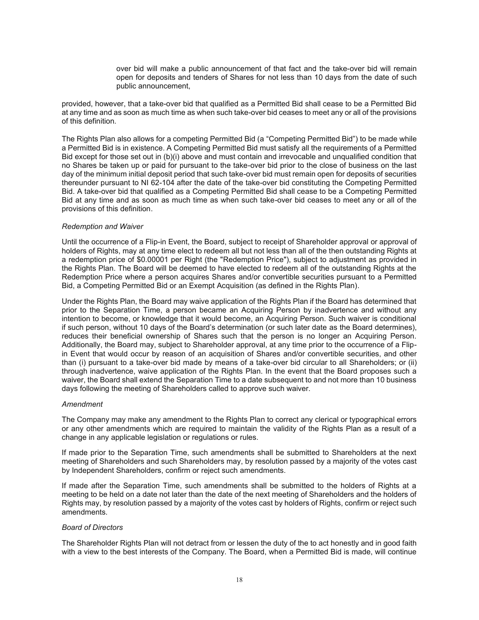over bid will make a public announcement of that fact and the take-over bid will remain open for deposits and tenders of Shares for not less than 10 days from the date of such public announcement,

provided, however, that a take-over bid that qualified as a Permitted Bid shall cease to be a Permitted Bid at any time and as soon as much time as when such take-over bid ceases to meet any or all of the provisions of this definition.

The Rights Plan also allows for a competing Permitted Bid (a "Competing Permitted Bid") to be made while a Permitted Bid is in existence. A Competing Permitted Bid must satisfy all the requirements of a Permitted Bid except for those set out in (b)(i) above and must contain and irrevocable and unqualified condition that no Shares be taken up or paid for pursuant to the take-over bid prior to the close of business on the last day of the minimum initial deposit period that such take-over bid must remain open for deposits of securities thereunder pursuant to NI 62-104 after the date of the take-over bid constituting the Competing Permitted Bid. A take-over bid that qualified as a Competing Permitted Bid shall cease to be a Competing Permitted Bid at any time and as soon as much time as when such take-over bid ceases to meet any or all of the provisions of this definition.

### *Redemption and Waiver*

Until the occurrence of a Flip-in Event, the Board, subject to receipt of Shareholder approval or approval of holders of Rights, may at any time elect to redeem all but not less than all of the then outstanding Rights at a redemption price of \$0.00001 per Right (the "Redemption Price"), subject to adjustment as provided in the Rights Plan. The Board will be deemed to have elected to redeem all of the outstanding Rights at the Redemption Price where a person acquires Shares and/or convertible securities pursuant to a Permitted Bid, a Competing Permitted Bid or an Exempt Acquisition (as defined in the Rights Plan).

Under the Rights Plan, the Board may waive application of the Rights Plan if the Board has determined that prior to the Separation Time, a person became an Acquiring Person by inadvertence and without any intention to become, or knowledge that it would become, an Acquiring Person. Such waiver is conditional if such person, without 10 days of the Board's determination (or such later date as the Board determines), reduces their beneficial ownership of Shares such that the person is no longer an Acquiring Person. Additionally, the Board may, subject to Shareholder approval, at any time prior to the occurrence of a Flipin Event that would occur by reason of an acquisition of Shares and/or convertible securities, and other than (i) pursuant to a take-over bid made by means of a take-over bid circular to all Shareholders; or (ii) through inadvertence, waive application of the Rights Plan. In the event that the Board proposes such a waiver, the Board shall extend the Separation Time to a date subsequent to and not more than 10 business days following the meeting of Shareholders called to approve such waiver.

#### *Amendment*

The Company may make any amendment to the Rights Plan to correct any clerical or typographical errors or any other amendments which are required to maintain the validity of the Rights Plan as a result of a change in any applicable legislation or regulations or rules.

If made prior to the Separation Time, such amendments shall be submitted to Shareholders at the next meeting of Shareholders and such Shareholders may, by resolution passed by a majority of the votes cast by Independent Shareholders, confirm or reject such amendments.

If made after the Separation Time, such amendments shall be submitted to the holders of Rights at a meeting to be held on a date not later than the date of the next meeting of Shareholders and the holders of Rights may, by resolution passed by a majority of the votes cast by holders of Rights, confirm or reject such amendments.

#### *Board of Directors*

The Shareholder Rights Plan will not detract from or lessen the duty of the to act honestly and in good faith with a view to the best interests of the Company. The Board, when a Permitted Bid is made, will continue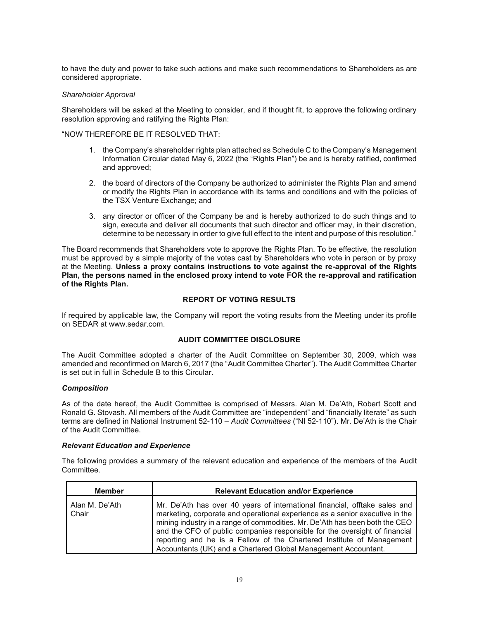to have the duty and power to take such actions and make such recommendations to Shareholders as are considered appropriate.

### *Shareholder Approval*

Shareholders will be asked at the Meeting to consider, and if thought fit, to approve the following ordinary resolution approving and ratifying the Rights Plan:

#### "NOW THEREFORE BE IT RESOLVED THAT:

- 1. the Company's shareholder rights plan attached as Schedule C to the Company's Management Information Circular dated May 6, 2022 (the "Rights Plan") be and is hereby ratified, confirmed and approved;
- 2. the board of directors of the Company be authorized to administer the Rights Plan and amend or modify the Rights Plan in accordance with its terms and conditions and with the policies of the TSX Venture Exchange; and
- 3. any director or officer of the Company be and is hereby authorized to do such things and to sign, execute and deliver all documents that such director and officer may, in their discretion, determine to be necessary in order to give full effect to the intent and purpose of this resolution."

The Board recommends that Shareholders vote to approve the Rights Plan. To be effective, the resolution must be approved by a simple majority of the votes cast by Shareholders who vote in person or by proxy at the Meeting. **Unless a proxy contains instructions to vote against the re-approval of the Rights Plan, the persons named in the enclosed proxy intend to vote FOR the re-approval and ratification of the Rights Plan.**

## **REPORT OF VOTING RESULTS**

If required by applicable law, the Company will report the voting results from the Meeting under its profile on SEDAR at www.sedar.com.

## **AUDIT COMMITTEE DISCLOSURE**

The Audit Committee adopted a charter of the Audit Committee on September 30, 2009, which was amended and reconfirmed on March 6, 2017 (the "Audit Committee Charter"). The Audit Committee Charter is set out in full in Schedule B to this Circular.

#### *Composition*

As of the date hereof, the Audit Committee is comprised of Messrs. Alan M. De'Ath, Robert Scott and Ronald G. Stovash. All members of the Audit Committee are "independent" and "financially literate" as such terms are defined in National Instrument 52-110 – *Audit Committees* ("NI 52-110"). Mr. De'Ath is the Chair of the Audit Committee.

#### *Relevant Education and Experience*

The following provides a summary of the relevant education and experience of the members of the Audit Committee.

| <b>Member</b>           | <b>Relevant Education and/or Experience</b>                                                                                                                                                                                                                                                                                                                                                                                                                        |
|-------------------------|--------------------------------------------------------------------------------------------------------------------------------------------------------------------------------------------------------------------------------------------------------------------------------------------------------------------------------------------------------------------------------------------------------------------------------------------------------------------|
| Alan M. De'Ath<br>Chair | Mr. De'Ath has over 40 years of international financial, offtake sales and<br>marketing, corporate and operational experience as a senior executive in the<br>mining industry in a range of commodities. Mr. De'Ath has been both the CEO<br>and the CFO of public companies responsible for the oversight of financial<br>reporting and he is a Fellow of the Chartered Institute of Management<br>Accountants (UK) and a Chartered Global Management Accountant. |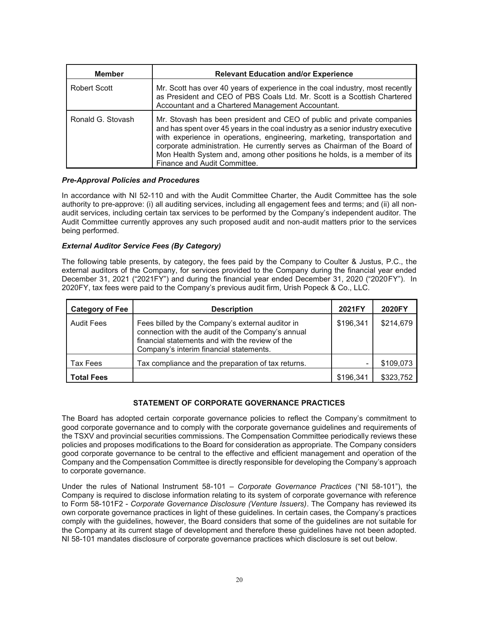| <b>Member</b>       | <b>Relevant Education and/or Experience</b>                                                                                                                                                                                                                                                                                                                                                                                      |
|---------------------|----------------------------------------------------------------------------------------------------------------------------------------------------------------------------------------------------------------------------------------------------------------------------------------------------------------------------------------------------------------------------------------------------------------------------------|
| <b>Robert Scott</b> | Mr. Scott has over 40 years of experience in the coal industry, most recently<br>as President and CEO of PBS Coals Ltd. Mr. Scott is a Scottish Chartered<br>Accountant and a Chartered Management Accountant.                                                                                                                                                                                                                   |
| Ronald G. Stovash   | Mr. Stovash has been president and CEO of public and private companies<br>and has spent over 45 years in the coal industry as a senior industry executive<br>with experience in operations, engineering, marketing, transportation and<br>corporate administration. He currently serves as Chairman of the Board of<br>Mon Health System and, among other positions he holds, is a member of its<br>Finance and Audit Committee. |

### *Pre-Approval Policies and Procedures*

In accordance with NI 52-110 and with the Audit Committee Charter, the Audit Committee has the sole authority to pre-approve: (i) all auditing services, including all engagement fees and terms; and (ii) all nonaudit services, including certain tax services to be performed by the Company's independent auditor. The Audit Committee currently approves any such proposed audit and non-audit matters prior to the services being performed.

### *External Auditor Service Fees (By Category)*

The following table presents, by category, the fees paid by the Company to Coulter & Justus, P.C., the external auditors of the Company, for services provided to the Company during the financial year ended December 31, 2021 ("2021FY") and during the financial year ended December 31, 2020 ("2020FY"). In 2020FY, tax fees were paid to the Company's previous audit firm, Urish Popeck & Co., LLC.

| <b>Category of Fee</b> | <b>Description</b>                                                                                                                                                                                  | 2021FY    | 2020FY    |
|------------------------|-----------------------------------------------------------------------------------------------------------------------------------------------------------------------------------------------------|-----------|-----------|
| <b>Audit Fees</b>      | Fees billed by the Company's external auditor in<br>connection with the audit of the Company's annual<br>financial statements and with the review of the<br>Company's interim financial statements. | \$196,341 | \$214,679 |
| Tax Fees               | Tax compliance and the preparation of tax returns.                                                                                                                                                  |           | \$109,073 |
| <b>Total Fees</b>      |                                                                                                                                                                                                     | \$196,341 | \$323,752 |

## **STATEMENT OF CORPORATE GOVERNANCE PRACTICES**

The Board has adopted certain corporate governance policies to reflect the Company's commitment to good corporate governance and to comply with the corporate governance guidelines and requirements of the TSXV and provincial securities commissions. The Compensation Committee periodically reviews these policies and proposes modifications to the Board for consideration as appropriate. The Company considers good corporate governance to be central to the effective and efficient management and operation of the Company and the Compensation Committee is directly responsible for developing the Company's approach to corporate governance.

Under the rules of National Instrument 58-101 *– Corporate Governance Practices* ("NI 58-101"), the Company is required to disclose information relating to its system of corporate governance with reference to Form 58-101F2 - *Corporate Governance Disclosure (Venture Issuers)*. The Company has reviewed its own corporate governance practices in light of these guidelines. In certain cases, the Company's practices comply with the guidelines, however, the Board considers that some of the guidelines are not suitable for the Company at its current stage of development and therefore these guidelines have not been adopted. NI 58-101 mandates disclosure of corporate governance practices which disclosure is set out below.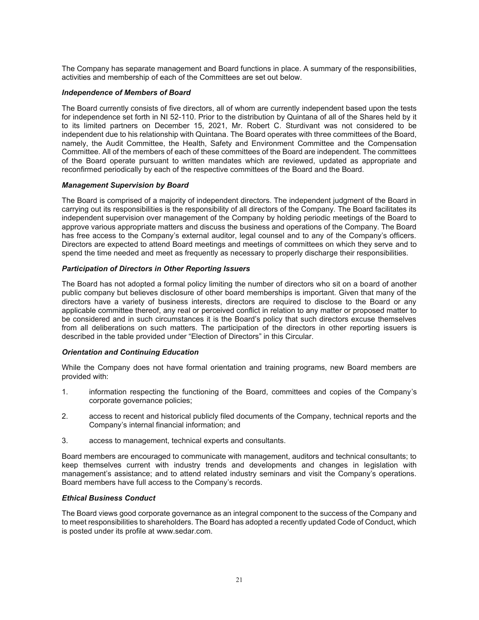The Company has separate management and Board functions in place. A summary of the responsibilities, activities and membership of each of the Committees are set out below.

### *Independence of Members of Board*

The Board currently consists of five directors, all of whom are currently independent based upon the tests for independence set forth in NI 52-110. Prior to the distribution by Quintana of all of the Shares held by it to its limited partners on December 15, 2021, Mr. Robert C. Sturdivant was not considered to be independent due to his relationship with Quintana. The Board operates with three committees of the Board, namely, the Audit Committee, the Health, Safety and Environment Committee and the Compensation Committee. All of the members of each of these committees of the Board are independent. The committees of the Board operate pursuant to written mandates which are reviewed, updated as appropriate and reconfirmed periodically by each of the respective committees of the Board and the Board.

### *Management Supervision by Board*

The Board is comprised of a majority of independent directors. The independent judgment of the Board in carrying out its responsibilities is the responsibility of all directors of the Company. The Board facilitates its independent supervision over management of the Company by holding periodic meetings of the Board to approve various appropriate matters and discuss the business and operations of the Company. The Board has free access to the Company's external auditor, legal counsel and to any of the Company's officers. Directors are expected to attend Board meetings and meetings of committees on which they serve and to spend the time needed and meet as frequently as necessary to properly discharge their responsibilities.

### *Participation of Directors in Other Reporting Issuers*

The Board has not adopted a formal policy limiting the number of directors who sit on a board of another public company but believes disclosure of other board memberships is important. Given that many of the directors have a variety of business interests, directors are required to disclose to the Board or any applicable committee thereof, any real or perceived conflict in relation to any matter or proposed matter to be considered and in such circumstances it is the Board's policy that such directors excuse themselves from all deliberations on such matters. The participation of the directors in other reporting issuers is described in the table provided under "Election of Directors" in this Circular.

#### *Orientation and Continuing Education*

While the Company does not have formal orientation and training programs, new Board members are provided with:

- 1. information respecting the functioning of the Board, committees and copies of the Company's corporate governance policies;
- 2. access to recent and historical publicly filed documents of the Company, technical reports and the Company's internal financial information; and
- 3. access to management, technical experts and consultants.

Board members are encouraged to communicate with management, auditors and technical consultants; to keep themselves current with industry trends and developments and changes in legislation with management's assistance; and to attend related industry seminars and visit the Company's operations. Board members have full access to the Company's records.

#### *Ethical Business Conduct*

The Board views good corporate governance as an integral component to the success of the Company and to meet responsibilities to shareholders. The Board has adopted a recently updated Code of Conduct, which is posted under its profile at www.sedar.com.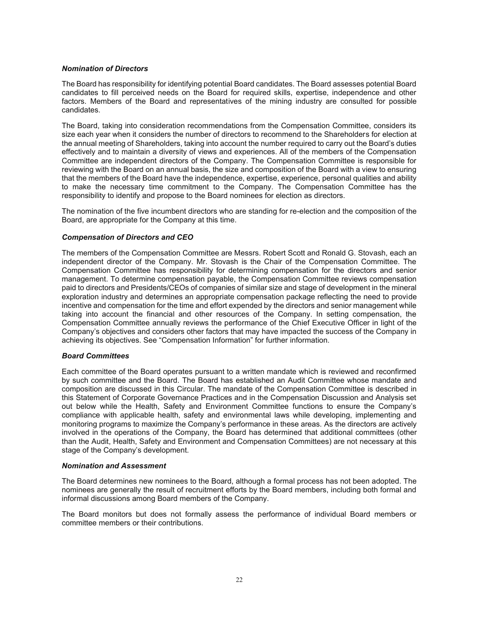### *Nomination of Directors*

The Board has responsibility for identifying potential Board candidates. The Board assesses potential Board candidates to fill perceived needs on the Board for required skills, expertise, independence and other factors. Members of the Board and representatives of the mining industry are consulted for possible candidates.

The Board, taking into consideration recommendations from the Compensation Committee, considers its size each year when it considers the number of directors to recommend to the Shareholders for election at the annual meeting of Shareholders, taking into account the number required to carry out the Board's duties effectively and to maintain a diversity of views and experiences. All of the members of the Compensation Committee are independent directors of the Company. The Compensation Committee is responsible for reviewing with the Board on an annual basis, the size and composition of the Board with a view to ensuring that the members of the Board have the independence, expertise, experience, personal qualities and ability to make the necessary time commitment to the Company. The Compensation Committee has the responsibility to identify and propose to the Board nominees for election as directors.

The nomination of the five incumbent directors who are standing for re-election and the composition of the Board, are appropriate for the Company at this time.

### *Compensation of Directors and CEO*

The members of the Compensation Committee are Messrs. Robert Scott and Ronald G. Stovash, each an independent director of the Company. Mr. Stovash is the Chair of the Compensation Committee. The Compensation Committee has responsibility for determining compensation for the directors and senior management. To determine compensation payable, the Compensation Committee reviews compensation paid to directors and Presidents/CEOs of companies of similar size and stage of development in the mineral exploration industry and determines an appropriate compensation package reflecting the need to provide incentive and compensation for the time and effort expended by the directors and senior management while taking into account the financial and other resources of the Company. In setting compensation, the Compensation Committee annually reviews the performance of the Chief Executive Officer in light of the Company's objectives and considers other factors that may have impacted the success of the Company in achieving its objectives. See "Compensation Information" for further information.

#### *Board Committees*

Each committee of the Board operates pursuant to a written mandate which is reviewed and reconfirmed by such committee and the Board. The Board has established an Audit Committee whose mandate and composition are discussed in this Circular. The mandate of the Compensation Committee is described in this Statement of Corporate Governance Practices and in the Compensation Discussion and Analysis set out below while the Health, Safety and Environment Committee functions to ensure the Company's compliance with applicable health, safety and environmental laws while developing, implementing and monitoring programs to maximize the Company's performance in these areas. As the directors are actively involved in the operations of the Company, the Board has determined that additional committees (other than the Audit, Health, Safety and Environment and Compensation Committees) are not necessary at this stage of the Company's development.

#### *Nomination and Assessment*

The Board determines new nominees to the Board, although a formal process has not been adopted. The nominees are generally the result of recruitment efforts by the Board members, including both formal and informal discussions among Board members of the Company.

The Board monitors but does not formally assess the performance of individual Board members or committee members or their contributions.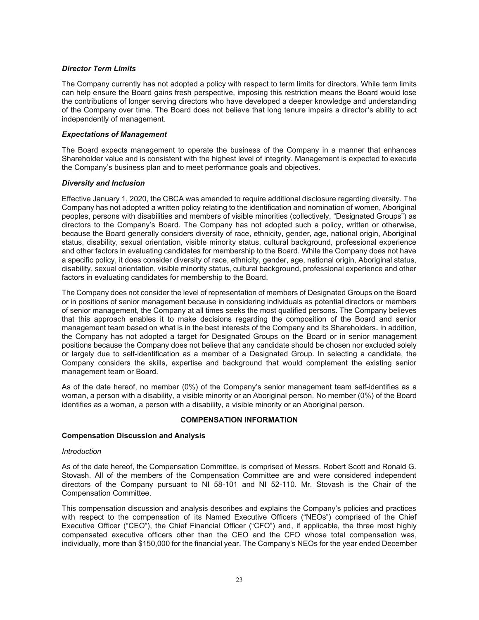### *Director Term Limits*

The Company currently has not adopted a policy with respect to term limits for directors. While term limits can help ensure the Board gains fresh perspective, imposing this restriction means the Board would lose the contributions of longer serving directors who have developed a deeper knowledge and understanding of the Company over time. The Board does not believe that long tenure impairs a director's ability to act independently of management.

### *Expectations of Management*

The Board expects management to operate the business of the Company in a manner that enhances Shareholder value and is consistent with the highest level of integrity. Management is expected to execute the Company's business plan and to meet performance goals and objectives.

### *Diversity and Inclusion*

Effective January 1, 2020, the CBCA was amended to require additional disclosure regarding diversity. The Company has not adopted a written policy relating to the identification and nomination of women, Aboriginal peoples, persons with disabilities and members of visible minorities (collectively, "Designated Groups") as directors to the Company's Board. The Company has not adopted such a policy, written or otherwise, because the Board generally considers diversity of race, ethnicity, gender, age, national origin, Aboriginal status, disability, sexual orientation, visible minority status, cultural background, professional experience and other factors in evaluating candidates for membership to the Board. While the Company does not have a specific policy, it does consider diversity of race, ethnicity, gender, age, national origin, Aboriginal status, disability, sexual orientation, visible minority status, cultural background, professional experience and other factors in evaluating candidates for membership to the Board.

The Company does not consider the level of representation of members of Designated Groups on the Board or in positions of senior management because in considering individuals as potential directors or members of senior management, the Company at all times seeks the most qualified persons. The Company believes that this approach enables it to make decisions regarding the composition of the Board and senior management team based on what is in the best interests of the Company and its Shareholders**.** In addition, the Company has not adopted a target for Designated Groups on the Board or in senior management positions because the Company does not believe that any candidate should be chosen nor excluded solely or largely due to self-identification as a member of a Designated Group. In selecting a candidate, the Company considers the skills, expertise and background that would complement the existing senior management team or Board.

As of the date hereof, no member (0%) of the Company's senior management team self-identifies as a woman, a person with a disability, a visible minority or an Aboriginal person. No member (0%) of the Board identifies as a woman, a person with a disability, a visible minority or an Aboriginal person.

#### **COMPENSATION INFORMATION**

#### **Compensation Discussion and Analysis**

#### *Introduction*

As of the date hereof, the Compensation Committee, is comprised of Messrs. Robert Scott and Ronald G. Stovash. All of the members of the Compensation Committee are and were considered independent directors of the Company pursuant to NI 58-101 and NI 52-110. Mr. Stovash is the Chair of the Compensation Committee.

This compensation discussion and analysis describes and explains the Company's policies and practices with respect to the compensation of its Named Executive Officers ("NEOs") comprised of the Chief Executive Officer ("CEO"), the Chief Financial Officer ("CFO") and, if applicable, the three most highly compensated executive officers other than the CEO and the CFO whose total compensation was, individually, more than \$150,000 for the financial year. The Company's NEOs for the year ended December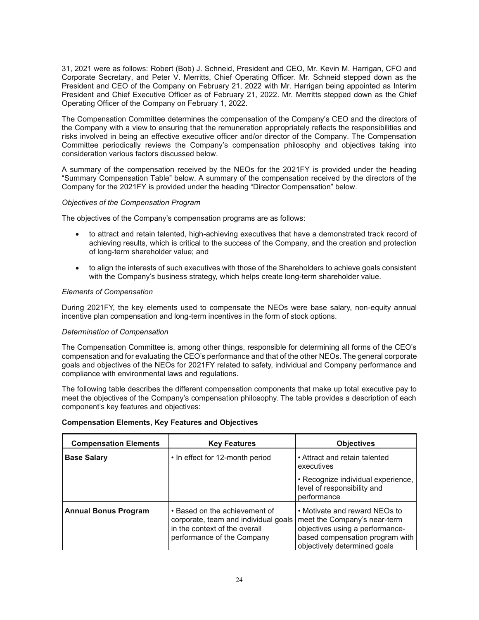31, 2021 were as follows: Robert (Bob) J. Schneid, President and CEO, Mr. Kevin M. Harrigan, CFO and Corporate Secretary, and Peter V. Merritts, Chief Operating Officer. Mr. Schneid stepped down as the President and CEO of the Company on February 21, 2022 with Mr. Harrigan being appointed as Interim President and Chief Executive Officer as of February 21, 2022. Mr. Merritts stepped down as the Chief Operating Officer of the Company on February 1, 2022.

The Compensation Committee determines the compensation of the Company's CEO and the directors of the Company with a view to ensuring that the remuneration appropriately reflects the responsibilities and risks involved in being an effective executive officer and/or director of the Company. The Compensation Committee periodically reviews the Company's compensation philosophy and objectives taking into consideration various factors discussed below.

A summary of the compensation received by the NEOs for the 2021FY is provided under the heading "Summary Compensation Table" below. A summary of the compensation received by the directors of the Company for the 2021FY is provided under the heading "Director Compensation" below.

# *Objectives of the Compensation Program*

The objectives of the Company's compensation programs are as follows:

- to attract and retain talented, high-achieving executives that have a demonstrated track record of achieving results, which is critical to the success of the Company, and the creation and protection of long-term shareholder value; and
- to align the interests of such executives with those of the Shareholders to achieve goals consistent with the Company's business strategy, which helps create long-term shareholder value.

## *Elements of Compensation*

During 2021FY, the key elements used to compensate the NEOs were base salary, non-equity annual incentive plan compensation and long-term incentives in the form of stock options.

## *Determination of Compensation*

The Compensation Committee is, among other things, responsible for determining all forms of the CEO's compensation and for evaluating the CEO's performance and that of the other NEOs. The general corporate goals and objectives of the NEOs for 2021FY related to safety, individual and Company performance and compliance with environmental laws and regulations.

The following table describes the different compensation components that make up total executive pay to meet the objectives of the Company's compensation philosophy. The table provides a description of each component's key features and objectives:

| <b>Compensation Elements</b> | <b>Key Features</b>                                                                                                                  | <b>Objectives</b>                                                                                                                                                   |
|------------------------------|--------------------------------------------------------------------------------------------------------------------------------------|---------------------------------------------------------------------------------------------------------------------------------------------------------------------|
| <b>Base Salary</b>           | • In effect for 12-month period                                                                                                      | • Attract and retain talented<br>executives                                                                                                                         |
|                              |                                                                                                                                      | • Recognize individual experience,<br>level of responsibility and<br>performance                                                                                    |
| <b>Annual Bonus Program</b>  | • Based on the achievement of<br>corporate, team and individual goals<br>in the context of the overall<br>performance of the Company | • Motivate and reward NEOs to<br>meet the Company's near-term<br>objectives using a performance-<br>based compensation program with<br>objectively determined goals |

## **Compensation Elements, Key Features and Objectives**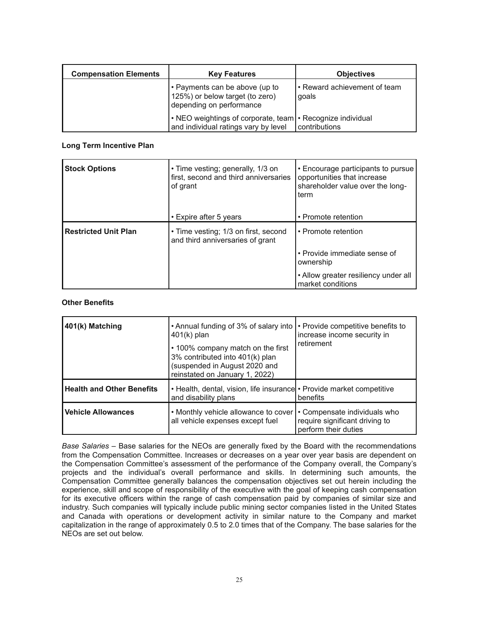| <b>Compensation Elements</b> | <b>Key Features</b>                                                                                  | <b>Objectives</b>                     |
|------------------------------|------------------------------------------------------------------------------------------------------|---------------------------------------|
|                              | • Payments can be above (up to<br>125%) or below target (to zero)<br>depending on performance        | • Reward achievement of team<br>qoals |
|                              | • NEO weightings of corporate, team   • Recognize individual<br>and individual ratings vary by level | contributions                         |

## **Long Term Incentive Plan**

| <b>Stock Options</b>        | • Time vesting; generally, 1/3 on<br>first, second and third anniversaries<br>of grant | • Encourage participants to pursue<br>opportunities that increase<br>shareholder value over the long-<br>term |
|-----------------------------|----------------------------------------------------------------------------------------|---------------------------------------------------------------------------------------------------------------|
|                             | • Expire after 5 years                                                                 | • Promote retention                                                                                           |
| <b>Restricted Unit Plan</b> | • Time vesting; 1/3 on first, second<br>and third anniversaries of grant               | • Promote retention                                                                                           |
|                             |                                                                                        | • Provide immediate sense of<br>ownership                                                                     |
|                             |                                                                                        | • Allow greater resiliency under all<br>market conditions                                                     |

## **Other Benefits**

| 401(k) Matching                  | • Annual funding of 3% of salary into<br>$401(k)$ plan<br>• 100% company match on the first<br>3% contributed into 401(k) plan<br>(suspended in August 2020 and<br>reinstated on January 1, 2022) | • Provide competitive benefits to<br>increase income security in<br>retirement         |
|----------------------------------|---------------------------------------------------------------------------------------------------------------------------------------------------------------------------------------------------|----------------------------------------------------------------------------------------|
| <b>Health and Other Benefits</b> | • Health, dental, vision, life insurance • Provide market competitive<br>and disability plans                                                                                                     | benefits                                                                               |
| <b>Vehicle Allowances</b>        | • Monthly vehicle allowance to cover<br>all vehicle expenses except fuel                                                                                                                          | • Compensate individuals who<br>require significant driving to<br>perform their duties |

*Base Salaries* – Base salaries for the NEOs are generally fixed by the Board with the recommendations from the Compensation Committee. Increases or decreases on a year over year basis are dependent on the Compensation Committee's assessment of the performance of the Company overall, the Company's projects and the individual's overall performance and skills. In determining such amounts, the Compensation Committee generally balances the compensation objectives set out herein including the experience, skill and scope of responsibility of the executive with the goal of keeping cash compensation for its executive officers within the range of cash compensation paid by companies of similar size and industry. Such companies will typically include public mining sector companies listed in the United States and Canada with operations or development activity in similar nature to the Company and market capitalization in the range of approximately 0.5 to 2.0 times that of the Company. The base salaries for the NEOs are set out below.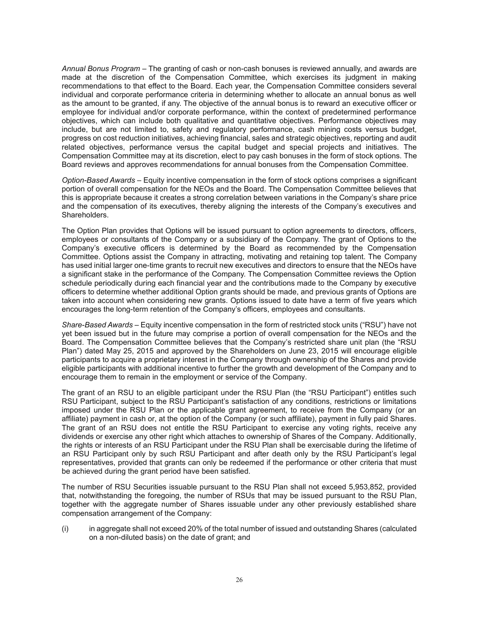*Annual Bonus Program* – The granting of cash or non-cash bonuses is reviewed annually, and awards are made at the discretion of the Compensation Committee, which exercises its judgment in making recommendations to that effect to the Board. Each year, the Compensation Committee considers several individual and corporate performance criteria in determining whether to allocate an annual bonus as well as the amount to be granted, if any. The objective of the annual bonus is to reward an executive officer or employee for individual and/or corporate performance, within the context of predetermined performance objectives, which can include both qualitative and quantitative objectives. Performance objectives may include, but are not limited to, safety and regulatory performance, cash mining costs versus budget, progress on cost reduction initiatives, achieving financial, sales and strategic objectives, reporting and audit related objectives, performance versus the capital budget and special projects and initiatives. The Compensation Committee may at its discretion, elect to pay cash bonuses in the form of stock options. The Board reviews and approves recommendations for annual bonuses from the Compensation Committee.

*Option-Based Awards* – Equity incentive compensation in the form of stock options comprises a significant portion of overall compensation for the NEOs and the Board. The Compensation Committee believes that this is appropriate because it creates a strong correlation between variations in the Company's share price and the compensation of its executives, thereby aligning the interests of the Company's executives and Shareholders.

The Option Plan provides that Options will be issued pursuant to option agreements to directors, officers, employees or consultants of the Company or a subsidiary of the Company. The grant of Options to the Company's executive officers is determined by the Board as recommended by the Compensation Committee. Options assist the Company in attracting, motivating and retaining top talent. The Company has used initial larger one-time grants to recruit new executives and directors to ensure that the NEOs have a significant stake in the performance of the Company. The Compensation Committee reviews the Option schedule periodically during each financial year and the contributions made to the Company by executive officers to determine whether additional Option grants should be made, and previous grants of Options are taken into account when considering new grants. Options issued to date have a term of five years which encourages the long-term retention of the Company's officers, employees and consultants.

*Share-Based Awards* – Equity incentive compensation in the form of restricted stock units ("RSU") have not yet been issued but in the future may comprise a portion of overall compensation for the NEOs and the Board. The Compensation Committee believes that the Company's restricted share unit plan (the "RSU Plan") dated May 25, 2015 and approved by the Shareholders on June 23, 2015 will encourage eligible participants to acquire a proprietary interest in the Company through ownership of the Shares and provide eligible participants with additional incentive to further the growth and development of the Company and to encourage them to remain in the employment or service of the Company.

The grant of an RSU to an eligible participant under the RSU Plan (the "RSU Participant") entitles such RSU Participant, subject to the RSU Participant's satisfaction of any conditions, restrictions or limitations imposed under the RSU Plan or the applicable grant agreement, to receive from the Company (or an affiliate) payment in cash or, at the option of the Company (or such affiliate), payment in fully paid Shares. The grant of an RSU does not entitle the RSU Participant to exercise any voting rights, receive any dividends or exercise any other right which attaches to ownership of Shares of the Company. Additionally, the rights or interests of an RSU Participant under the RSU Plan shall be exercisable during the lifetime of an RSU Participant only by such RSU Participant and after death only by the RSU Participant's legal representatives, provided that grants can only be redeemed if the performance or other criteria that must be achieved during the grant period have been satisfied.

The number of RSU Securities issuable pursuant to the RSU Plan shall not exceed 5,953,852, provided that, notwithstanding the foregoing, the number of RSUs that may be issued pursuant to the RSU Plan, together with the aggregate number of Shares issuable under any other previously established share compensation arrangement of the Company:

(i) in aggregate shall not exceed 20% of the total number of issued and outstanding Shares (calculated on a non-diluted basis) on the date of grant; and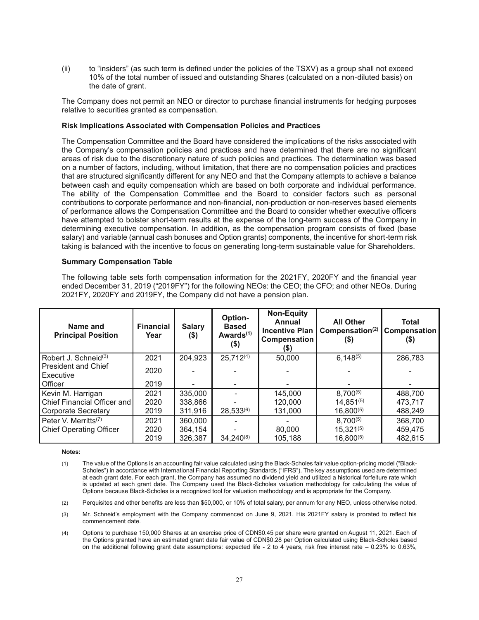(ii) to "insiders" (as such term is defined under the policies of the TSXV) as a group shall not exceed 10% of the total number of issued and outstanding Shares (calculated on a non-diluted basis) on the date of grant.

The Company does not permit an NEO or director to purchase financial instruments for hedging purposes relative to securities granted as compensation.

### **Risk Implications Associated with Compensation Policies and Practices**

The Compensation Committee and the Board have considered the implications of the risks associated with the Company's compensation policies and practices and have determined that there are no significant areas of risk due to the discretionary nature of such policies and practices. The determination was based on a number of factors, including, without limitation, that there are no compensation policies and practices that are structured significantly different for any NEO and that the Company attempts to achieve a balance between cash and equity compensation which are based on both corporate and individual performance. The ability of the Compensation Committee and the Board to consider factors such as personal contributions to corporate performance and non-financial, non-production or non-reserves based elements of performance allows the Compensation Committee and the Board to consider whether executive officers have attempted to bolster short-term results at the expense of the long-term success of the Company in determining executive compensation. In addition, as the compensation program consists of fixed (base salary) and variable (annual cash bonuses and Option grants) components, the incentive for short-term risk taking is balanced with the incentive to focus on generating long-term sustainable value for Shareholders.

### **Summary Compensation Table**

The following table sets forth compensation information for the 2021FY, 2020FY and the financial year ended December 31, 2019 ("2019FY") for the following NEOs: the CEO; the CFO; and other NEOs. During 2021FY, 2020FY and 2019FY, the Company did not have a pension plan.

| Name and<br><b>Principal Position</b>   | <b>Financial</b><br>Year | <b>Salary</b><br>$($ \$) | Option-<br><b>Based</b><br>Awards <sup>(1)</sup><br>$($ \$) | <b>Non-Equity</b><br>Annual<br><b>Incentive Plan</b><br><b>Compensation</b><br>(\$) | <b>All Other</b><br>Compensation <sup>(2)</sup><br>(\$) | <b>Total</b><br>Compensation<br>(\$) |
|-----------------------------------------|--------------------------|--------------------------|-------------------------------------------------------------|-------------------------------------------------------------------------------------|---------------------------------------------------------|--------------------------------------|
| Robert J. Schneid <sup>(3)</sup>        | 2021                     | 204,923                  | $25,712^{(4)}$                                              | 50.000                                                                              | $6,148^{(5)}$                                           | 286,783                              |
| <b>President and Chief</b><br>Executive | 2020                     |                          |                                                             |                                                                                     |                                                         |                                      |
| Officer                                 | 2019                     |                          |                                                             |                                                                                     |                                                         |                                      |
| Kevin M. Harrigan                       | 2021                     | 335,000                  |                                                             | 145.000                                                                             | $8,700^{(5)}$                                           | 488.700                              |
| Chief Financial Officer and             | 2020                     | 338.866                  |                                                             | 120,000                                                                             | $14,851^{(5)}$                                          | 473.717                              |
| Corporate Secretary                     | 2019                     | 311,916                  | $28,533^{(6)}$                                              | 131.000                                                                             | $16,800^{(5)}$                                          | 488,249                              |
| Peter V. Merritts <sup>(7)</sup>        | 2021                     | 360,000                  |                                                             |                                                                                     | $8,700^{(5)}$                                           | 368,700                              |
| <b>Chief Operating Officer</b>          | 2020                     | 364.154                  |                                                             | 80,000                                                                              | $15,321^{(5)}$                                          | 459.475                              |
|                                         | 2019                     | 326,387                  | $34.240^{(8)}$                                              | 105.188                                                                             | $16,800^{(5)}$                                          | 482.615                              |

**Notes:**

- (1) The value of the Options is an accounting fair value calculated using the Black-Scholes fair value option-pricing model ("Black-Scholes") in accordance with International Financial Reporting Standards ("IFRS"). The key assumptions used are determined at each grant date. For each grant, the Company has assumed no dividend yield and utilized a historical forfeiture rate which is updated at each grant date. The Company used the Black-Scholes valuation methodology for calculating the value of Options because Black-Scholes is a recognized tool for valuation methodology and is appropriate for the Company.
- (2) Perquisites and other benefits are less than \$50,000, or 10% of total salary, per annum for any NEO, unless otherwise noted.
- (3) Mr. Schneid's employment with the Company commenced on June 9, 2021. His 2021FY salary is prorated to reflect his commencement date.
- (4) Options to purchase 150,000 Shares at an exercise price of CDN\$0.45 per share were granted on August 11, 2021. Each of the Options granted have an estimated grant date fair value of CDN\$0.28 per Option calculated using Black-Scholes based on the additional following grant date assumptions: expected life - 2 to 4 years, risk free interest rate – 0.23% to 0.63%,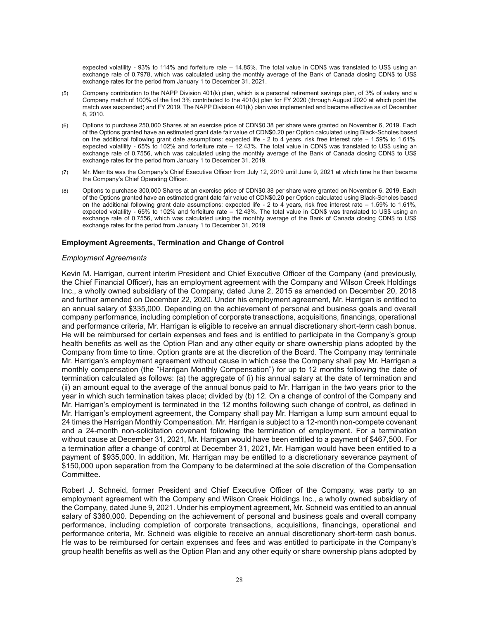expected volatility - 93% to 114% and forfeiture rate – 14.85%. The total value in CDN\$ was translated to US\$ using an exchange rate of 0.7978, which was calculated using the monthly average of the Bank of Canada closing CDN\$ to US\$ exchange rates for the period from January 1 to December 31, 2021.

- (5) Company contribution to the NAPP Division 401(k) plan, which is a personal retirement savings plan, of 3% of salary and a Company match of 100% of the first 3% contributed to the 401(k) plan for FY 2020 (through August 2020 at which point the match was suspended) and FY 2019. The NAPP Division 401(k) plan was implemented and became effective as of December 8, 2010.
- (6) Options to purchase 250,000 Shares at an exercise price of CDN\$0.38 per share were granted on November 6, 2019. Each of the Options granted have an estimated grant date fair value of CDN\$0.20 per Option calculated using Black-Scholes based on the additional following grant date assumptions: expected life - 2 to 4 years, risk free interest rate – 1.59% to 1.61%, expected volatility - 65% to 102% and forfeiture rate – 12.43%. The total value in CDN\$ was translated to US\$ using an exchange rate of 0.7556, which was calculated using the monthly average of the Bank of Canada closing CDN\$ to US\$ exchange rates for the period from January 1 to December 31, 2019.
- (7) Mr. Merritts was the Company's Chief Executive Officer from July 12, 2019 until June 9, 2021 at which time he then became the Company's Chief Operating Officer.
- (8) Options to purchase 300,000 Shares at an exercise price of CDN\$0.38 per share were granted on November 6, 2019. Each of the Options granted have an estimated grant date fair value of CDN\$0.20 per Option calculated using Black-Scholes based on the additional following grant date assumptions: expected life - 2 to 4 years, risk free interest rate – 1.59% to 1.61%, expected volatility - 65% to 102% and forfeiture rate – 12.43%. The total value in CDN\$ was translated to US\$ using an exchange rate of 0.7556, which was calculated using the monthly average of the Bank of Canada closing CDN\$ to US\$ exchange rates for the period from January 1 to December 31, 2019

#### **Employment Agreements, Termination and Change of Control**

#### *Employment Agreements*

Kevin M. Harrigan, current interim President and Chief Executive Officer of the Company (and previously, the Chief Financial Officer), has an employment agreement with the Company and Wilson Creek Holdings Inc., a wholly owned subsidiary of the Company, dated June 2, 2015 as amended on December 20, 2018 and further amended on December 22, 2020. Under his employment agreement, Mr. Harrigan is entitled to an annual salary of \$335,000. Depending on the achievement of personal and business goals and overall company performance, including completion of corporate transactions, acquisitions, financings, operational and performance criteria, Mr. Harrigan is eligible to receive an annual discretionary short-term cash bonus. He will be reimbursed for certain expenses and fees and is entitled to participate in the Company's group health benefits as well as the Option Plan and any other equity or share ownership plans adopted by the Company from time to time. Option grants are at the discretion of the Board. The Company may terminate Mr. Harrigan's employment agreement without cause in which case the Company shall pay Mr. Harrigan a monthly compensation (the "Harrigan Monthly Compensation") for up to 12 months following the date of termination calculated as follows: (a) the aggregate of (i) his annual salary at the date of termination and (ii) an amount equal to the average of the annual bonus paid to Mr. Harrigan in the two years prior to the year in which such termination takes place; divided by (b) 12. On a change of control of the Company and Mr. Harrigan's employment is terminated in the 12 months following such change of control, as defined in Mr. Harrigan's employment agreement, the Company shall pay Mr. Harrigan a lump sum amount equal to 24 times the Harrigan Monthly Compensation. Mr. Harrigan is subject to a 12-month non-compete covenant and a 24-month non-solicitation covenant following the termination of employment. For a termination without cause at December 31, 2021, Mr. Harrigan would have been entitled to a payment of \$467,500. For a termination after a change of control at December 31, 2021, Mr. Harrigan would have been entitled to a payment of \$935,000. In addition, Mr. Harrigan may be entitled to a discretionary severance payment of \$150,000 upon separation from the Company to be determined at the sole discretion of the Compensation Committee.

Robert J. Schneid, former President and Chief Executive Officer of the Company, was party to an employment agreement with the Company and Wilson Creek Holdings Inc., a wholly owned subsidiary of the Company, dated June 9, 2021. Under his employment agreement, Mr. Schneid was entitled to an annual salary of \$360,000. Depending on the achievement of personal and business goals and overall company performance, including completion of corporate transactions, acquisitions, financings, operational and performance criteria, Mr. Schneid was eligible to receive an annual discretionary short-term cash bonus. He was to be reimbursed for certain expenses and fees and was entitled to participate in the Company's group health benefits as well as the Option Plan and any other equity or share ownership plans adopted by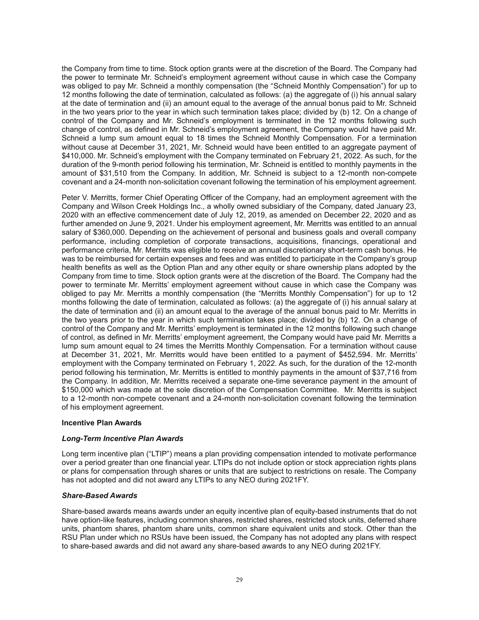the Company from time to time. Stock option grants were at the discretion of the Board. The Company had the power to terminate Mr. Schneid's employment agreement without cause in which case the Company was obliged to pay Mr. Schneid a monthly compensation (the "Schneid Monthly Compensation") for up to 12 months following the date of termination, calculated as follows: (a) the aggregate of (i) his annual salary at the date of termination and (ii) an amount equal to the average of the annual bonus paid to Mr. Schneid in the two years prior to the year in which such termination takes place; divided by (b) 12. On a change of control of the Company and Mr. Schneid's employment is terminated in the 12 months following such change of control, as defined in Mr. Schneid's employment agreement, the Company would have paid Mr. Schneid a lump sum amount equal to 18 times the Schneid Monthly Compensation. For a termination without cause at December 31, 2021, Mr. Schneid would have been entitled to an aggregate payment of \$410,000. Mr. Schneid's employment with the Company terminated on February 21, 2022. As such, for the duration of the 9-month period following his termination, Mr. Schneid is entitled to monthly payments in the amount of \$31,510 from the Company. In addition, Mr. Schneid is subject to a 12-month non-compete covenant and a 24-month non-solicitation covenant following the termination of his employment agreement.

Peter V. Merritts, former Chief Operating Officer of the Company, had an employment agreement with the Company and Wilson Creek Holdings Inc., a wholly owned subsidiary of the Company, dated January 23, 2020 with an effective commencement date of July 12, 2019, as amended on December 22, 2020 and as further amended on June 9, 2021. Under his employment agreement, Mr. Merritts was entitled to an annual salary of \$360,000. Depending on the achievement of personal and business goals and overall company performance, including completion of corporate transactions, acquisitions, financings, operational and performance criteria, Mr. Merritts was eligible to receive an annual discretionary short-term cash bonus. He was to be reimbursed for certain expenses and fees and was entitled to participate in the Company's group health benefits as well as the Option Plan and any other equity or share ownership plans adopted by the Company from time to time. Stock option grants were at the discretion of the Board. The Company had the power to terminate Mr. Merritts' employment agreement without cause in which case the Company was obliged to pay Mr. Merritts a monthly compensation (the "Merritts Monthly Compensation") for up to 12 months following the date of termination, calculated as follows: (a) the aggregate of (i) his annual salary at the date of termination and (ii) an amount equal to the average of the annual bonus paid to Mr. Merritts in the two years prior to the year in which such termination takes place; divided by (b) 12. On a change of control of the Company and Mr. Merritts' employment is terminated in the 12 months following such change of control, as defined in Mr. Merritts' employment agreement, the Company would have paid Mr. Merritts a lump sum amount equal to 24 times the Merritts Monthly Compensation. For a termination without cause at December 31, 2021, Mr. Merritts would have been entitled to a payment of \$452,594. Mr. Merritts' employment with the Company terminated on February 1, 2022. As such, for the duration of the 12-month period following his termination, Mr. Merritts is entitled to monthly payments in the amount of \$37,716 from the Company. In addition, Mr. Merritts received a separate one-time severance payment in the amount of \$150,000 which was made at the sole discretion of the Compensation Committee. Mr. Merritts is subject to a 12-month non-compete covenant and a 24-month non-solicitation covenant following the termination of his employment agreement.

## **Incentive Plan Awards**

## *Long-Term Incentive Plan Awards*

Long term incentive plan ("LTIP") means a plan providing compensation intended to motivate performance over a period greater than one financial year. LTIPs do not include option or stock appreciation rights plans or plans for compensation through shares or units that are subject to restrictions on resale. The Company has not adopted and did not award any LTIPs to any NEO during 2021FY.

#### *Share-Based Awards*

Share-based awards means awards under an equity incentive plan of equity-based instruments that do not have option-like features, including common shares, restricted shares, restricted stock units, deferred share units, phantom shares, phantom share units, common share equivalent units and stock. Other than the RSU Plan under which no RSUs have been issued, the Company has not adopted any plans with respect to share-based awards and did not award any share-based awards to any NEO during 2021FY.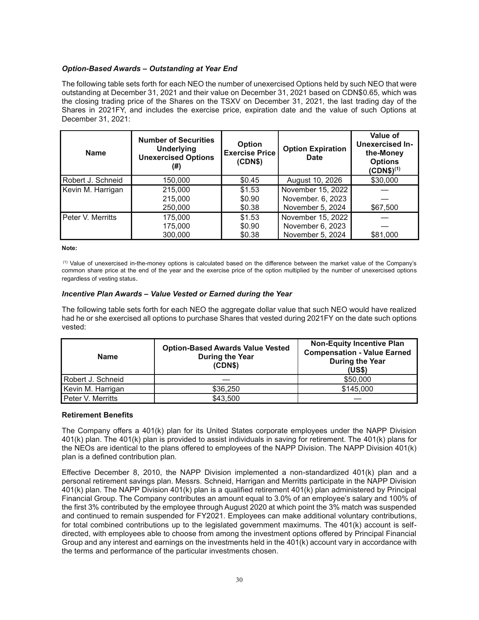## *Option-Based Awards – Outstanding at Year End*

The following table sets forth for each NEO the number of unexercised Options held by such NEO that were outstanding at December 31, 2021 and their value on December 31, 2021 based on CDN\$0.65, which was the closing trading price of the Shares on the TSXV on December 31, 2021, the last trading day of the Shares in 2021FY, and includes the exercise price, expiration date and the value of such Options at December 31, 2021:

| <b>Name</b>       | <b>Number of Securities</b><br><b>Underlying</b><br><b>Unexercised Options</b><br>(#) | <b>Option</b><br><b>Exercise Price</b><br>(CDN\$) | <b>Option Expiration</b><br><b>Date</b> | Value of<br><b>Unexercised In-</b><br>the-Money<br><b>Options</b><br>$(CDN$)^{(1)}$ |
|-------------------|---------------------------------------------------------------------------------------|---------------------------------------------------|-----------------------------------------|-------------------------------------------------------------------------------------|
| Robert J. Schneid | 150,000                                                                               | \$0.45                                            | August 10, 2026                         | \$30,000                                                                            |
| Kevin M. Harrigan | 215,000                                                                               | \$1.53                                            | November 15, 2022                       |                                                                                     |
|                   | 215,000                                                                               | \$0.90                                            | November. 6, 2023                       |                                                                                     |
|                   | 250,000                                                                               | \$0.38                                            | November 5, 2024                        | \$67,500                                                                            |
| Peter V. Merritts | 175,000                                                                               | \$1.53                                            | November 15, 2022                       |                                                                                     |
|                   | 175,000                                                                               | \$0.90                                            | November 6, 2023                        |                                                                                     |
|                   | 300,000                                                                               | \$0.38                                            | November 5, 2024                        | \$81,000                                                                            |

**Note:**

 (1) Value of unexercised in-the-money options is calculated based on the difference between the market value of the Company's common share price at the end of the year and the exercise price of the option multiplied by the number of unexercised options regardless of vesting status.

## *Incentive Plan Awards – Value Vested or Earned during the Year*

The following table sets forth for each NEO the aggregate dollar value that such NEO would have realized had he or she exercised all options to purchase Shares that vested during 2021FY on the date such options vested:

| <b>Name</b>       | <b>Option-Based Awards Value Vested</b><br>During the Year<br>(CDN\$) | <b>Non-Equity Incentive Plan</b><br><b>Compensation - Value Earned</b><br><b>During the Year</b><br>(US\$) |
|-------------------|-----------------------------------------------------------------------|------------------------------------------------------------------------------------------------------------|
| Robert J. Schneid |                                                                       | \$50,000                                                                                                   |
| Kevin M. Harrigan | \$36,250                                                              | \$145,000                                                                                                  |
| Peter V. Merritts | \$43,500                                                              |                                                                                                            |

## **Retirement Benefits**

The Company offers a 401(k) plan for its United States corporate employees under the NAPP Division 401(k) plan. The 401(k) plan is provided to assist individuals in saving for retirement. The 401(k) plans for the NEOs are identical to the plans offered to employees of the NAPP Division. The NAPP Division 401(k) plan is a defined contribution plan.

Effective December 8, 2010, the NAPP Division implemented a non-standardized 401(k) plan and a personal retirement savings plan. Messrs. Schneid, Harrigan and Merritts participate in the NAPP Division 401(k) plan. The NAPP Division 401(k) plan is a qualified retirement 401(k) plan administered by Principal Financial Group. The Company contributes an amount equal to 3.0% of an employee's salary and 100% of the first 3% contributed by the employee through August 2020 at which point the 3% match was suspended and continued to remain suspended for FY2021. Employees can make additional voluntary contributions, for total combined contributions up to the legislated government maximums. The 401(k) account is selfdirected, with employees able to choose from among the investment options offered by Principal Financial Group and any interest and earnings on the investments held in the 401(k) account vary in accordance with the terms and performance of the particular investments chosen.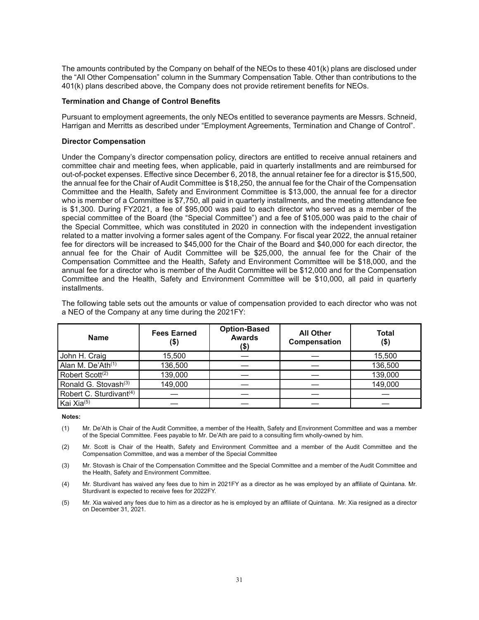The amounts contributed by the Company on behalf of the NEOs to these 401(k) plans are disclosed under the "All Other Compensation" column in the Summary Compensation Table. Other than contributions to the 401(k) plans described above, the Company does not provide retirement benefits for NEOs.

### **Termination and Change of Control Benefits**

Pursuant to employment agreements, the only NEOs entitled to severance payments are Messrs. Schneid, Harrigan and Merritts as described under "Employment Agreements, Termination and Change of Control".

### **Director Compensation**

Under the Company's director compensation policy, directors are entitled to receive annual retainers and committee chair and meeting fees, when applicable, paid in quarterly installments and are reimbursed for out-of-pocket expenses. Effective since December 6, 2018, the annual retainer fee for a director is \$15,500, the annual fee for the Chair of Audit Committee is \$18,250, the annual fee for the Chair of the Compensation Committee and the Health, Safety and Environment Committee is \$13,000, the annual fee for a director who is member of a Committee is \$7,750, all paid in quarterly installments, and the meeting attendance fee is \$1,300. During FY2021, a fee of \$95,000 was paid to each director who served as a member of the special committee of the Board (the "Special Committee") and a fee of \$105,000 was paid to the chair of the Special Committee, which was constituted in 2020 in connection with the independent investigation related to a matter involving a former sales agent of the Company. For fiscal year 2022, the annual retainer fee for directors will be increased to \$45,000 for the Chair of the Board and \$40,000 for each director, the annual fee for the Chair of Audit Committee will be \$25,000, the annual fee for the Chair of the Compensation Committee and the Health, Safety and Environment Committee will be \$18,000, and the annual fee for a director who is member of the Audit Committee will be \$12,000 and for the Compensation Committee and the Health, Safety and Environment Committee will be \$10,000, all paid in quarterly installments.

The following table sets out the amounts or value of compensation provided to each director who was not a NEO of the Company at any time during the 2021FY:

| <b>Name</b>                         | <b>Fees Earned</b><br>(\$) | <b>Option-Based</b><br><b>Awards</b><br>(\$) | <b>All Other</b><br>Compensation | <b>Total</b><br>(\$) |
|-------------------------------------|----------------------------|----------------------------------------------|----------------------------------|----------------------|
| John H. Craig                       | 15.500                     |                                              |                                  | 15,500               |
| Alan M. De'Ath <sup>(1)</sup>       | 136,500                    |                                              |                                  | 136,500              |
| Robert Scott <sup>(2)</sup>         | 139,000                    |                                              |                                  | 139,000              |
| Ronald G. Stovash <sup>(3)</sup>    | 149,000                    |                                              |                                  | 149,000              |
| Robert C. Sturdivant <sup>(4)</sup> |                            |                                              |                                  |                      |
| Kai Xia <sup>(5)</sup>              |                            |                                              |                                  |                      |

#### **Notes:**

- (1) Mr. De'Ath is Chair of the Audit Committee, a member of the Health, Safety and Environment Committee and was a member of the Special Committee. Fees payable to Mr. De'Ath are paid to a consulting firm wholly-owned by him.
- (2) Mr. Scott is Chair of the Health, Safety and Environment Committee and a member of the Audit Committee and the Compensation Committee, and was a member of the Special Committee
- (3) Mr. Stovash is Chair of the Compensation Committee and the Special Committee and a member of the Audit Committee and the Health, Safety and Environment Committee.
- (4) Mr. Sturdivant has waived any fees due to him in 2021FY as a director as he was employed by an affiliate of Quintana. Mr. Sturdivant is expected to receive fees for 2022FY.
- (5) Mr. Xia waived any fees due to him as a director as he is employed by an affiliate of Quintana. Mr. Xia resigned as a director on December 31, 2021.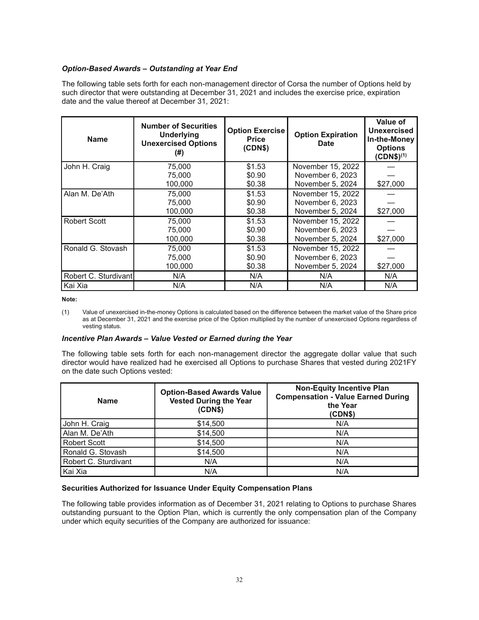# *Option-Based Awards – Outstanding at Year End*

The following table sets forth for each non-management director of Corsa the number of Options held by such director that were outstanding at December 31, 2021 and includes the exercise price, expiration date and the value thereof at December 31, 2021:

| <b>Name</b>          | <b>Number of Securities</b><br><b>Underlying</b><br><b>Unexercised Options</b><br>(#) | <b>Option Exercise</b><br><b>Price</b><br>(CDN\$) | <b>Option Expiration</b><br><b>Date</b>                   | Value of<br>Unexercised<br>In-the-Money<br><b>Options</b><br>$(CDN$)^{(1)}$ |
|----------------------|---------------------------------------------------------------------------------------|---------------------------------------------------|-----------------------------------------------------------|-----------------------------------------------------------------------------|
| John H. Craig        | 75,000<br>75,000                                                                      | \$1.53<br>\$0.90                                  | November 15, 2022<br>November 6, 2023                     |                                                                             |
|                      | 100.000                                                                               | \$0.38                                            | November 5, 2024                                          | \$27,000                                                                    |
| Alan M. De'Ath       | 75,000<br>75,000<br>100,000                                                           | \$1.53<br>\$0.90<br>\$0.38                        | November 15, 2022<br>November 6, 2023<br>November 5, 2024 | \$27,000                                                                    |
| <b>Robert Scott</b>  | 75,000<br>75,000<br>100,000                                                           | \$1.53<br>\$0.90<br>\$0.38                        | November 15, 2022<br>November 6, 2023<br>November 5, 2024 | \$27,000                                                                    |
| Ronald G. Stovash    | 75,000<br>75,000<br>100.000                                                           | \$1.53<br>\$0.90<br>\$0.38                        | November 15, 2022<br>November 6, 2023<br>November 5, 2024 | \$27,000                                                                    |
| Robert C. Sturdivant | N/A                                                                                   | N/A                                               | N/A                                                       | N/A                                                                         |
| Kai Xia              | N/A                                                                                   | N/A                                               | N/A                                                       | N/A                                                                         |

**Note:**

(1) Value of unexercised in-the-money Options is calculated based on the difference between the market value of the Share price as at December 31, 2021 and the exercise price of the Option multiplied by the number of unexercised Options regardless of vesting status.

## *Incentive Plan Awards – Value Vested or Earned during the Year*

The following table sets forth for each non-management director the aggregate dollar value that such director would have realized had he exercised all Options to purchase Shares that vested during 2021FY on the date such Options vested:

| <b>Option-Based Awards Value</b><br><b>Vested During the Year</b><br><b>Name</b><br>(CDN\$) |          | <b>Non-Equity Incentive Plan</b><br><b>Compensation - Value Earned During</b><br>the Year<br>(CDN\$) |  |
|---------------------------------------------------------------------------------------------|----------|------------------------------------------------------------------------------------------------------|--|
| John H. Craig                                                                               | \$14,500 | N/A                                                                                                  |  |
| Alan M. De'Ath                                                                              | \$14,500 | N/A                                                                                                  |  |
| <b>Robert Scott</b>                                                                         | \$14,500 | N/A                                                                                                  |  |
| Ronald G. Stovash                                                                           | \$14,500 | N/A                                                                                                  |  |
| Robert C. Sturdivant                                                                        | N/A      | N/A                                                                                                  |  |
| Kai Xia                                                                                     | N/A      | N/A                                                                                                  |  |

## **Securities Authorized for Issuance Under Equity Compensation Plans**

The following table provides information as of December 31, 2021 relating to Options to purchase Shares outstanding pursuant to the Option Plan, which is currently the only compensation plan of the Company under which equity securities of the Company are authorized for issuance: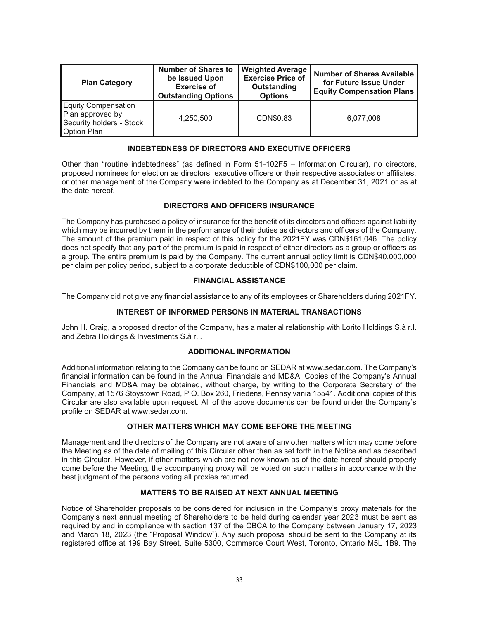| <b>Plan Category</b>                                                                             | <b>Number of Shares to</b><br>be Issued Upon<br><b>Exercise of</b><br><b>Outstanding Options</b> | <b>Weighted Average</b><br><b>Exercise Price of</b><br>Outstanding<br><b>Options</b> | <b>Number of Shares Available</b><br>for Future Issue Under<br><b>Equity Compensation Plans</b> |
|--------------------------------------------------------------------------------------------------|--------------------------------------------------------------------------------------------------|--------------------------------------------------------------------------------------|-------------------------------------------------------------------------------------------------|
| <b>Equity Compensation</b><br>Plan approved by<br>Security holders - Stock<br><b>Option Plan</b> | 4,250,500                                                                                        | CDN\$0.83                                                                            | 6,077,008                                                                                       |

## **INDEBTEDNESS OF DIRECTORS AND EXECUTIVE OFFICERS**

Other than "routine indebtedness" (as defined in Form 51-102F5 – Information Circular), no directors, proposed nominees for election as directors, executive officers or their respective associates or affiliates, or other management of the Company were indebted to the Company as at December 31, 2021 or as at the date hereof.

# **DIRECTORS AND OFFICERS INSURANCE**

The Company has purchased a policy of insurance for the benefit of its directors and officers against liability which may be incurred by them in the performance of their duties as directors and officers of the Company. The amount of the premium paid in respect of this policy for the 2021FY was CDN\$161,046. The policy does not specify that any part of the premium is paid in respect of either directors as a group or officers as a group. The entire premium is paid by the Company. The current annual policy limit is CDN\$40,000,000 per claim per policy period, subject to a corporate deductible of CDN\$100,000 per claim.

# **FINANCIAL ASSISTANCE**

The Company did not give any financial assistance to any of its employees or Shareholders during 2021FY.

## **INTEREST OF INFORMED PERSONS IN MATERIAL TRANSACTIONS**

John H. Craig, a proposed director of the Company, has a material relationship with Lorito Holdings S.à r.l. and Zebra Holdings & Investments S.à r.l.

## **ADDITIONAL INFORMATION**

Additional information relating to the Company can be found on SEDAR at www.sedar.com. The Company's financial information can be found in the Annual Financials and MD&A. Copies of the Company's Annual Financials and MD&A may be obtained, without charge, by writing to the Corporate Secretary of the Company, at 1576 Stoystown Road, P.O. Box 260, Friedens, Pennsylvania 15541. Additional copies of this Circular are also available upon request. All of the above documents can be found under the Company's profile on SEDAR at www.sedar.com.

# **OTHER MATTERS WHICH MAY COME BEFORE THE MEETING**

Management and the directors of the Company are not aware of any other matters which may come before the Meeting as of the date of mailing of this Circular other than as set forth in the Notice and as described in this Circular. However, if other matters which are not now known as of the date hereof should properly come before the Meeting, the accompanying proxy will be voted on such matters in accordance with the best judgment of the persons voting all proxies returned.

## **MATTERS TO BE RAISED AT NEXT ANNUAL MEETING**

Notice of Shareholder proposals to be considered for inclusion in the Company's proxy materials for the Company's next annual meeting of Shareholders to be held during calendar year 2023 must be sent as required by and in compliance with section 137 of the CBCA to the Company between January 17, 2023 and March 18, 2023 (the "Proposal Window"). Any such proposal should be sent to the Company at its registered office at 199 Bay Street, Suite 5300, Commerce Court West, Toronto, Ontario M5L 1B9. The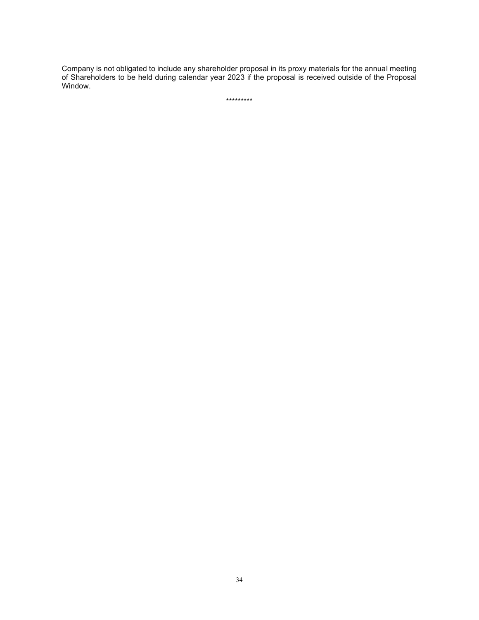Company is not obligated to include any shareholder proposal in its proxy materials for the annual meeting of Shareholders to be held during calendar year 2023 if the proposal is received outside of the Proposal Window.

\*\*\*\*\*\*\*\*\*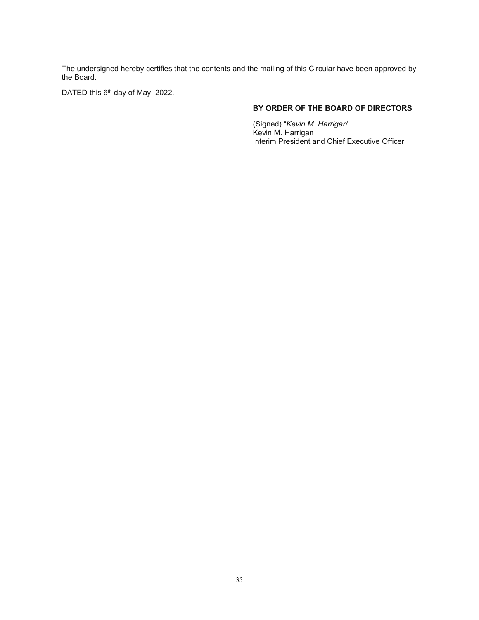The undersigned hereby certifies that the contents and the mailing of this Circular have been approved by the Board.

DATED this 6<sup>th</sup> day of May, 2022.

# **BY ORDER OF THE BOARD OF DIRECTORS**

(Signed) "*Kevin M. Harrigan*" Kevin M. Harrigan Interim President and Chief Executive Officer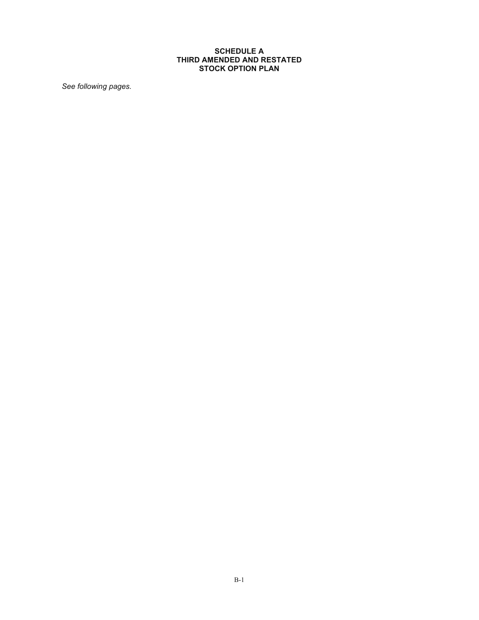## **SCHEDULE A THIRD AMENDED AND RESTATED STOCK OPTION PLAN**

*See following pages.*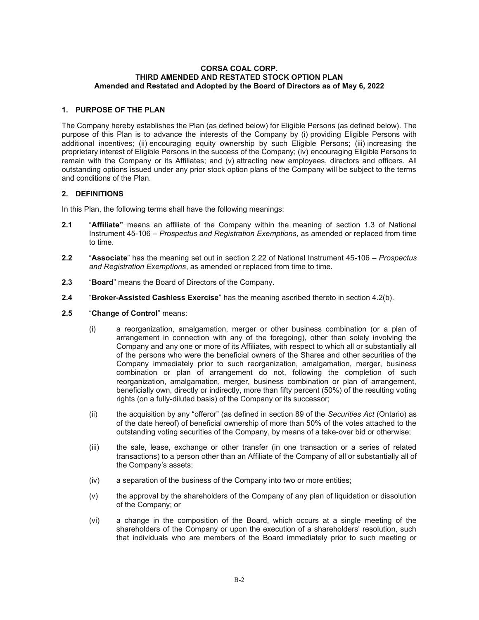#### **CORSA COAL CORP. THIRD AMENDED AND RESTATED STOCK OPTION PLAN Amended and Restated and Adopted by the Board of Directors as of May 6, 2022**

## **1. PURPOSE OF THE PLAN**

The Company hereby establishes the Plan (as defined below) for Eligible Persons (as defined below). The purpose of this Plan is to advance the interests of the Company by (i) providing Eligible Persons with additional incentives; (ii) encouraging equity ownership by such Eligible Persons; (iii) increasing the proprietary interest of Eligible Persons in the success of the Company; (iv) encouraging Eligible Persons to remain with the Company or its Affiliates; and (v) attracting new employees, directors and officers. All outstanding options issued under any prior stock option plans of the Company will be subject to the terms and conditions of the Plan.

## **2. DEFINITIONS**

In this Plan, the following terms shall have the following meanings:

- **2.1** "**Affiliate"** means an affiliate of the Company within the meaning of section 1.3 of National Instrument 45-106 – *Prospectus and Registration Exemptions*, as amended or replaced from time to time.
- **2.2** "**Associate**" has the meaning set out in section 2.22 of National Instrument 45-106 *Prospectus and Registration Exemptions*, as amended or replaced from time to time.
- **2.3** "**Board**" means the Board of Directors of the Company.
- **2.4** "**Broker-Assisted Cashless Exercise**" has the meaning ascribed thereto in section 4.2(b).
- **2.5** "**Change of Control**" means:
	- (i) a reorganization, amalgamation, merger or other business combination (or a plan of arrangement in connection with any of the foregoing), other than solely involving the Company and any one or more of its Affiliates, with respect to which all or substantially all of the persons who were the beneficial owners of the Shares and other securities of the Company immediately prior to such reorganization, amalgamation, merger, business combination or plan of arrangement do not, following the completion of such reorganization, amalgamation, merger, business combination or plan of arrangement, beneficially own, directly or indirectly, more than fifty percent (50%) of the resulting voting rights (on a fully-diluted basis) of the Company or its successor;
	- (ii) the acquisition by any "offeror" (as defined in section 89 of the *Securities Act* (Ontario) as of the date hereof) of beneficial ownership of more than 50% of the votes attached to the outstanding voting securities of the Company, by means of a take-over bid or otherwise;
	- (iii) the sale, lease, exchange or other transfer (in one transaction or a series of related transactions) to a person other than an Affiliate of the Company of all or substantially all of the Company's assets;
	- (iv) a separation of the business of the Company into two or more entities;
	- (v) the approval by the shareholders of the Company of any plan of liquidation or dissolution of the Company; or
	- (vi) a change in the composition of the Board, which occurs at a single meeting of the shareholders of the Company or upon the execution of a shareholders' resolution, such that individuals who are members of the Board immediately prior to such meeting or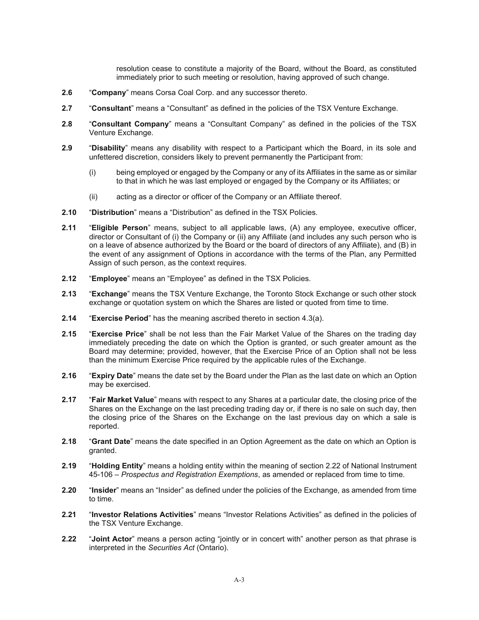resolution cease to constitute a majority of the Board, without the Board, as constituted immediately prior to such meeting or resolution, having approved of such change.

- **2.6** "**Company**" means Corsa Coal Corp. and any successor thereto.
- **2.7** "**Consultant**" means a "Consultant" as defined in the policies of the TSX Venture Exchange.
- **2.8** "**Consultant Company**" means a "Consultant Company" as defined in the policies of the TSX Venture Exchange.
- **2.9** "**Disability**" means any disability with respect to a Participant which the Board, in its sole and unfettered discretion, considers likely to prevent permanently the Participant from:
	- (i) being employed or engaged by the Company or any of its Affiliates in the same as or similar to that in which he was last employed or engaged by the Company or its Affiliates; or
	- (ii) acting as a director or officer of the Company or an Affiliate thereof.
- **2.10** "**Distribution**" means a "Distribution" as defined in the TSX Policies.
- **2.11** "**Eligible Person**" means, subject to all applicable laws, (A) any employee, executive officer, director or Consultant of (i) the Company or (ii) any Affiliate (and includes any such person who is on a leave of absence authorized by the Board or the board of directors of any Affiliate), and (B) in the event of any assignment of Options in accordance with the terms of the Plan, any Permitted Assign of such person, as the context requires.
- **2.12** "**Employee**" means an "Employee" as defined in the TSX Policies.
- **2.13** "**Exchange**" means the TSX Venture Exchange, the Toronto Stock Exchange or such other stock exchange or quotation system on which the Shares are listed or quoted from time to time.
- **2.14** "**Exercise Period**" has the meaning ascribed thereto in section 4.3(a).
- **2.15** "**Exercise Price**" shall be not less than the Fair Market Value of the Shares on the trading day immediately preceding the date on which the Option is granted, or such greater amount as the Board may determine; provided, however, that the Exercise Price of an Option shall not be less than the minimum Exercise Price required by the applicable rules of the Exchange.
- **2.16** "**Expiry Date**" means the date set by the Board under the Plan as the last date on which an Option may be exercised.
- **2.17** "**Fair Market Value**" means with respect to any Shares at a particular date, the closing price of the Shares on the Exchange on the last preceding trading day or, if there is no sale on such day, then the closing price of the Shares on the Exchange on the last previous day on which a sale is reported.
- **2.18** "**Grant Date**" means the date specified in an Option Agreement as the date on which an Option is granted.
- **2.19** "**Holding Entity**" means a holding entity within the meaning of section 2.22 of National Instrument 45-106 – *Prospectus and Registration Exemptions*, as amended or replaced from time to time.
- **2.20** "**Insider**" means an "Insider" as defined under the policies of the Exchange, as amended from time to time.
- **2.21** "**Investor Relations Activities**" means "Investor Relations Activities" as defined in the policies of the TSX Venture Exchange.
- **2.22** "**Joint Actor**" means a person acting "jointly or in concert with" another person as that phrase is interpreted in the *Securities Act* (Ontario).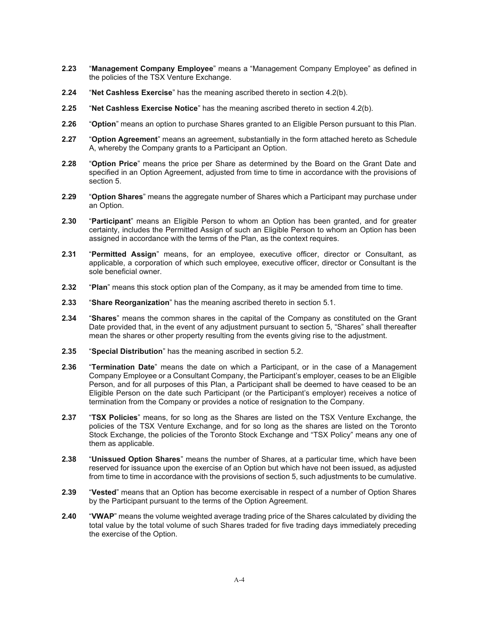- **2.23** "**Management Company Employee**" means a "Management Company Employee" as defined in the policies of the TSX Venture Exchange.
- **2.24** "**Net Cashless Exercise**" has the meaning ascribed thereto in section 4.2(b).
- **2.25** "**Net Cashless Exercise Notice**" has the meaning ascribed thereto in section 4.2(b).
- **2.26** "**Option**" means an option to purchase Shares granted to an Eligible Person pursuant to this Plan.
- **2.27** "**Option Agreement**" means an agreement, substantially in the form attached hereto as Schedule A, whereby the Company grants to a Participant an Option.
- **2.28** "**Option Price**" means the price per Share as determined by the Board on the Grant Date and specified in an Option Agreement, adjusted from time to time in accordance with the provisions of section 5.
- **2.29** "**Option Shares**" means the aggregate number of Shares which a Participant may purchase under an Option.
- **2.30** "**Participant**" means an Eligible Person to whom an Option has been granted, and for greater certainty, includes the Permitted Assign of such an Eligible Person to whom an Option has been assigned in accordance with the terms of the Plan, as the context requires.
- **2.31** "**Permitted Assign**" means, for an employee, executive officer, director or Consultant, as applicable, a corporation of which such employee, executive officer, director or Consultant is the sole beneficial owner.
- **2.32** "**Plan**" means this stock option plan of the Company, as it may be amended from time to time.
- **2.33** "**Share Reorganization**" has the meaning ascribed thereto in section 5.1.
- **2.34** "**Shares**" means the common shares in the capital of the Company as constituted on the Grant Date provided that, in the event of any adjustment pursuant to section 5, "Shares" shall thereafter mean the shares or other property resulting from the events giving rise to the adjustment.
- **2.35** "**Special Distribution**" has the meaning ascribed in section 5.2.
- **2.36** "**Termination Date**" means the date on which a Participant, or in the case of a Management Company Employee or a Consultant Company, the Participant's employer, ceases to be an Eligible Person, and for all purposes of this Plan, a Participant shall be deemed to have ceased to be an Eligible Person on the date such Participant (or the Participant's employer) receives a notice of termination from the Company or provides a notice of resignation to the Company.
- **2.37** "**TSX Policies**" means, for so long as the Shares are listed on the TSX Venture Exchange, the policies of the TSX Venture Exchange, and for so long as the shares are listed on the Toronto Stock Exchange, the policies of the Toronto Stock Exchange and "TSX Policy" means any one of them as applicable.
- **2.38** "**Unissued Option Shares**" means the number of Shares, at a particular time, which have been reserved for issuance upon the exercise of an Option but which have not been issued, as adjusted from time to time in accordance with the provisions of section 5, such adjustments to be cumulative.
- **2.39** "**Vested**" means that an Option has become exercisable in respect of a number of Option Shares by the Participant pursuant to the terms of the Option Agreement.
- **2.40** "**VWAP**" means the volume weighted average trading price of the Shares calculated by dividing the total value by the total volume of such Shares traded for five trading days immediately preceding the exercise of the Option.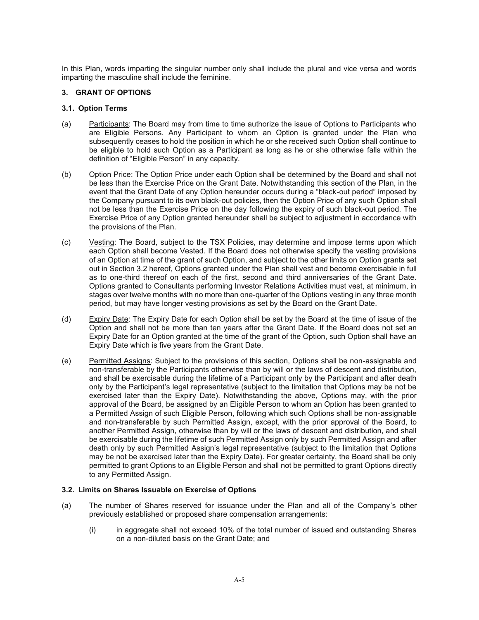In this Plan, words imparting the singular number only shall include the plural and vice versa and words imparting the masculine shall include the feminine.

## **3. GRANT OF OPTIONS**

## **3.1. Option Terms**

- (a) Participants: The Board may from time to time authorize the issue of Options to Participants who are Eligible Persons. Any Participant to whom an Option is granted under the Plan who subsequently ceases to hold the position in which he or she received such Option shall continue to be eligible to hold such Option as a Participant as long as he or she otherwise falls within the definition of "Eligible Person" in any capacity.
- (b) Option Price: The Option Price under each Option shall be determined by the Board and shall not be less than the Exercise Price on the Grant Date. Notwithstanding this section of the Plan, in the event that the Grant Date of any Option hereunder occurs during a "black-out period" imposed by the Company pursuant to its own black-out policies, then the Option Price of any such Option shall not be less than the Exercise Price on the day following the expiry of such black-out period. The Exercise Price of any Option granted hereunder shall be subject to adjustment in accordance with the provisions of the Plan.
- (c) Vesting: The Board, subject to the TSX Policies, may determine and impose terms upon which each Option shall become Vested. If the Board does not otherwise specify the vesting provisions of an Option at time of the grant of such Option, and subject to the other limits on Option grants set out in Section 3.2 hereof, Options granted under the Plan shall vest and become exercisable in full as to one-third thereof on each of the first, second and third anniversaries of the Grant Date. Options granted to Consultants performing Investor Relations Activities must vest, at minimum, in stages over twelve months with no more than one-quarter of the Options vesting in any three month period, but may have longer vesting provisions as set by the Board on the Grant Date.
- (d) Expiry Date: The Expiry Date for each Option shall be set by the Board at the time of issue of the Option and shall not be more than ten years after the Grant Date. If the Board does not set an Expiry Date for an Option granted at the time of the grant of the Option, such Option shall have an Expiry Date which is five years from the Grant Date.
- (e) Permitted Assigns: Subject to the provisions of this section, Options shall be non-assignable and non-transferable by the Participants otherwise than by will or the laws of descent and distribution, and shall be exercisable during the lifetime of a Participant only by the Participant and after death only by the Participant's legal representative (subject to the limitation that Options may be not be exercised later than the Expiry Date). Notwithstanding the above, Options may, with the prior approval of the Board, be assigned by an Eligible Person to whom an Option has been granted to a Permitted Assign of such Eligible Person, following which such Options shall be non-assignable and non-transferable by such Permitted Assign, except, with the prior approval of the Board, to another Permitted Assign, otherwise than by will or the laws of descent and distribution, and shall be exercisable during the lifetime of such Permitted Assign only by such Permitted Assign and after death only by such Permitted Assign's legal representative (subject to the limitation that Options may be not be exercised later than the Expiry Date). For greater certainty, the Board shall be only permitted to grant Options to an Eligible Person and shall not be permitted to grant Options directly to any Permitted Assign.

### **3.2. Limits on Shares Issuable on Exercise of Options**

- (a) The number of Shares reserved for issuance under the Plan and all of the Company's other previously established or proposed share compensation arrangements:
	- (i) in aggregate shall not exceed 10% of the total number of issued and outstanding Shares on a non-diluted basis on the Grant Date; and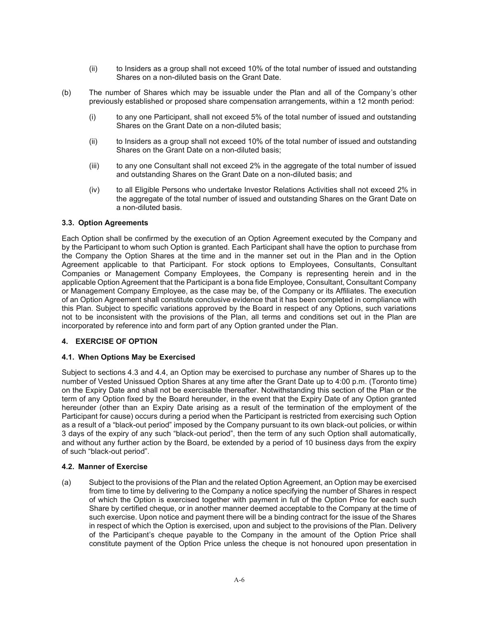- (ii) to Insiders as a group shall not exceed 10% of the total number of issued and outstanding Shares on a non-diluted basis on the Grant Date.
- (b) The number of Shares which may be issuable under the Plan and all of the Company's other previously established or proposed share compensation arrangements, within a 12 month period:
	- (i) to any one Participant, shall not exceed 5% of the total number of issued and outstanding Shares on the Grant Date on a non-diluted basis;
	- (ii) to Insiders as a group shall not exceed 10% of the total number of issued and outstanding Shares on the Grant Date on a non-diluted basis;
	- (iii) to any one Consultant shall not exceed 2% in the aggregate of the total number of issued and outstanding Shares on the Grant Date on a non-diluted basis; and
	- (iv) to all Eligible Persons who undertake Investor Relations Activities shall not exceed 2% in the aggregate of the total number of issued and outstanding Shares on the Grant Date on a non-diluted basis.

### **3.3. Option Agreements**

Each Option shall be confirmed by the execution of an Option Agreement executed by the Company and by the Participant to whom such Option is granted. Each Participant shall have the option to purchase from the Company the Option Shares at the time and in the manner set out in the Plan and in the Option Agreement applicable to that Participant. For stock options to Employees, Consultants, Consultant Companies or Management Company Employees, the Company is representing herein and in the applicable Option Agreement that the Participant is a bona fide Employee, Consultant, Consultant Company or Management Company Employee, as the case may be, of the Company or its Affiliates. The execution of an Option Agreement shall constitute conclusive evidence that it has been completed in compliance with this Plan. Subject to specific variations approved by the Board in respect of any Options, such variations not to be inconsistent with the provisions of the Plan, all terms and conditions set out in the Plan are incorporated by reference into and form part of any Option granted under the Plan.

### **4. EXERCISE OF OPTION**

#### **4.1. When Options May be Exercised**

Subject to sections 4.3 and 4.4, an Option may be exercised to purchase any number of Shares up to the number of Vested Unissued Option Shares at any time after the Grant Date up to 4:00 p.m. (Toronto time) on the Expiry Date and shall not be exercisable thereafter. Notwithstanding this section of the Plan or the term of any Option fixed by the Board hereunder, in the event that the Expiry Date of any Option granted hereunder (other than an Expiry Date arising as a result of the termination of the employment of the Participant for cause) occurs during a period when the Participant is restricted from exercising such Option as a result of a "black-out period" imposed by the Company pursuant to its own black-out policies, or within 3 days of the expiry of any such "black-out period", then the term of any such Option shall automatically, and without any further action by the Board, be extended by a period of 10 business days from the expiry of such "black-out period".

#### **4.2. Manner of Exercise**

(a) Subject to the provisions of the Plan and the related Option Agreement, an Option may be exercised from time to time by delivering to the Company a notice specifying the number of Shares in respect of which the Option is exercised together with payment in full of the Option Price for each such Share by certified cheque, or in another manner deemed acceptable to the Company at the time of such exercise. Upon notice and payment there will be a binding contract for the issue of the Shares in respect of which the Option is exercised, upon and subject to the provisions of the Plan. Delivery of the Participant's cheque payable to the Company in the amount of the Option Price shall constitute payment of the Option Price unless the cheque is not honoured upon presentation in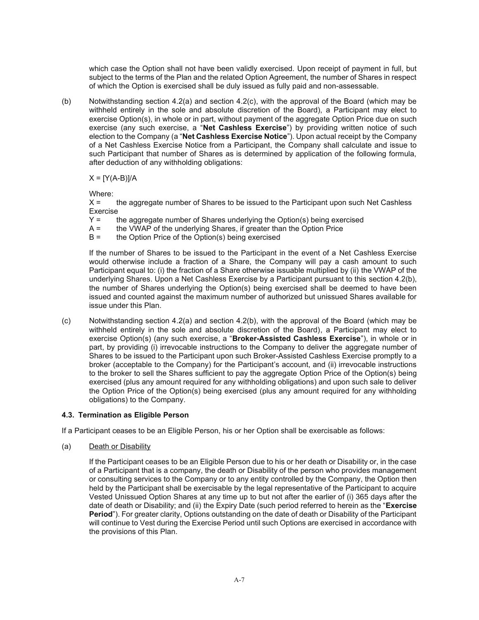which case the Option shall not have been validly exercised. Upon receipt of payment in full, but subject to the terms of the Plan and the related Option Agreement, the number of Shares in respect of which the Option is exercised shall be duly issued as fully paid and non-assessable.

(b) Notwithstanding section 4.2(a) and section 4.2(c), with the approval of the Board (which may be withheld entirely in the sole and absolute discretion of the Board), a Participant may elect to exercise Option(s), in whole or in part, without payment of the aggregate Option Price due on such exercise (any such exercise, a "**Net Cashless Exercise**") by providing written notice of such election to the Company (a "**Net Cashless Exercise Notice**"). Upon actual receipt by the Company of a Net Cashless Exercise Notice from a Participant, the Company shall calculate and issue to such Participant that number of Shares as is determined by application of the following formula, after deduction of any withholding obligations:

 $X = [Y(A-B)]/A$ 

Where:

X = the aggregate number of Shares to be issued to the Participant upon such Net Cashless Exercise

- Y = the aggregate number of Shares underlying the Option(s) being exercised
- A = the VWAP of the underlying Shares, if greater than the Option Price
- B = the Option Price of the Option(s) being exercised

If the number of Shares to be issued to the Participant in the event of a Net Cashless Exercise would otherwise include a fraction of a Share, the Company will pay a cash amount to such Participant equal to: (i) the fraction of a Share otherwise issuable multiplied by (ii) the VWAP of the underlying Shares. Upon a Net Cashless Exercise by a Participant pursuant to this section 4.2(b), the number of Shares underlying the Option(s) being exercised shall be deemed to have been issued and counted against the maximum number of authorized but unissued Shares available for issue under this Plan.

(c) Notwithstanding section 4.2(a) and section 4.2(b), with the approval of the Board (which may be withheld entirely in the sole and absolute discretion of the Board), a Participant may elect to exercise Option(s) (any such exercise, a "**Broker-Assisted Cashless Exercise**"), in whole or in part, by providing (i) irrevocable instructions to the Company to deliver the aggregate number of Shares to be issued to the Participant upon such Broker-Assisted Cashless Exercise promptly to a broker (acceptable to the Company) for the Participant's account, and (ii) irrevocable instructions to the broker to sell the Shares sufficient to pay the aggregate Option Price of the Option(s) being exercised (plus any amount required for any withholding obligations) and upon such sale to deliver the Option Price of the Option(s) being exercised (plus any amount required for any withholding obligations) to the Company.

### **4.3. Termination as Eligible Person**

If a Participant ceases to be an Eligible Person, his or her Option shall be exercisable as follows:

(a) Death or Disability

If the Participant ceases to be an Eligible Person due to his or her death or Disability or, in the case of a Participant that is a company, the death or Disability of the person who provides management or consulting services to the Company or to any entity controlled by the Company, the Option then held by the Participant shall be exercisable by the legal representative of the Participant to acquire Vested Unissued Option Shares at any time up to but not after the earlier of (i) 365 days after the date of death or Disability; and (ii) the Expiry Date (such period referred to herein as the "**Exercise Period**"). For greater clarity, Options outstanding on the date of death or Disability of the Participant will continue to Vest during the Exercise Period until such Options are exercised in accordance with the provisions of this Plan.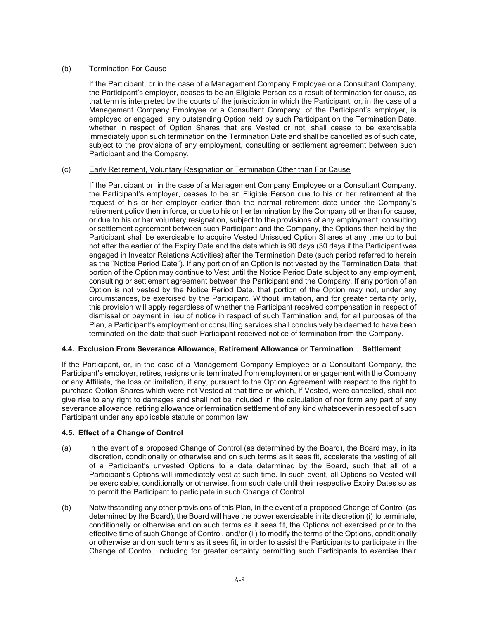## (b) Termination For Cause

If the Participant, or in the case of a Management Company Employee or a Consultant Company, the Participant's employer, ceases to be an Eligible Person as a result of termination for cause, as that term is interpreted by the courts of the jurisdiction in which the Participant, or, in the case of a Management Company Employee or a Consultant Company, of the Participant's employer, is employed or engaged; any outstanding Option held by such Participant on the Termination Date, whether in respect of Option Shares that are Vested or not, shall cease to be exercisable immediately upon such termination on the Termination Date and shall be cancelled as of such date, subject to the provisions of any employment, consulting or settlement agreement between such Participant and the Company.

### (c) Early Retirement, Voluntary Resignation or Termination Other than For Cause

If the Participant or, in the case of a Management Company Employee or a Consultant Company, the Participant's employer, ceases to be an Eligible Person due to his or her retirement at the request of his or her employer earlier than the normal retirement date under the Company's retirement policy then in force, or due to his or her termination by the Company other than for cause, or due to his or her voluntary resignation, subject to the provisions of any employment, consulting or settlement agreement between such Participant and the Company, the Options then held by the Participant shall be exercisable to acquire Vested Unissued Option Shares at any time up to but not after the earlier of the Expiry Date and the date which is 90 days (30 days if the Participant was engaged in Investor Relations Activities) after the Termination Date (such period referred to herein as the "Notice Period Date"). If any portion of an Option is not vested by the Termination Date, that portion of the Option may continue to Vest until the Notice Period Date subject to any employment, consulting or settlement agreement between the Participant and the Company. If any portion of an Option is not vested by the Notice Period Date, that portion of the Option may not, under any circumstances, be exercised by the Participant. Without limitation, and for greater certainty only, this provision will apply regardless of whether the Participant received compensation in respect of dismissal or payment in lieu of notice in respect of such Termination and, for all purposes of the Plan, a Participant's employment or consulting services shall conclusively be deemed to have been terminated on the date that such Participant received notice of termination from the Company.

### **4.4. Exclusion From Severance Allowance, Retirement Allowance or Termination Settlement**

If the Participant, or, in the case of a Management Company Employee or a Consultant Company, the Participant's employer, retires, resigns or is terminated from employment or engagement with the Company or any Affiliate, the loss or limitation, if any, pursuant to the Option Agreement with respect to the right to purchase Option Shares which were not Vested at that time or which, if Vested, were cancelled, shall not give rise to any right to damages and shall not be included in the calculation of nor form any part of any severance allowance, retiring allowance or termination settlement of any kind whatsoever in respect of such Participant under any applicable statute or common law.

### **4.5. Effect of a Change of Control**

- (a) In the event of a proposed Change of Control (as determined by the Board), the Board may, in its discretion, conditionally or otherwise and on such terms as it sees fit, accelerate the vesting of all of a Participant's unvested Options to a date determined by the Board, such that all of a Participant's Options will immediately vest at such time. In such event, all Options so Vested will be exercisable, conditionally or otherwise, from such date until their respective Expiry Dates so as to permit the Participant to participate in such Change of Control.
- (b) Notwithstanding any other provisions of this Plan, in the event of a proposed Change of Control (as determined by the Board), the Board will have the power exercisable in its discretion (i) to terminate, conditionally or otherwise and on such terms as it sees fit, the Options not exercised prior to the effective time of such Change of Control, and/or (ii) to modify the terms of the Options, conditionally or otherwise and on such terms as it sees fit, in order to assist the Participants to participate in the Change of Control, including for greater certainty permitting such Participants to exercise their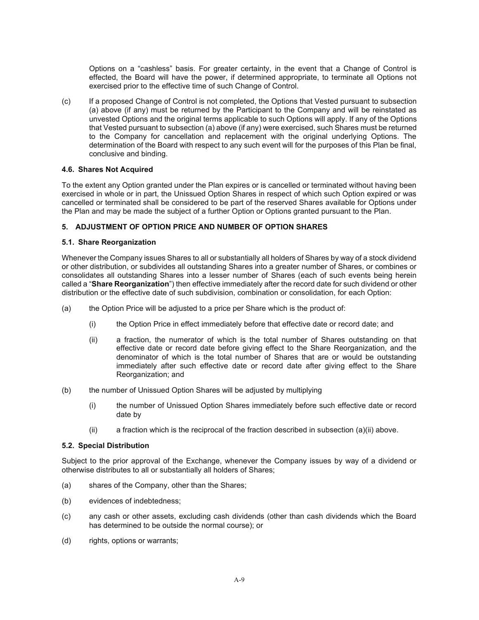Options on a "cashless" basis. For greater certainty, in the event that a Change of Control is effected, the Board will have the power, if determined appropriate, to terminate all Options not exercised prior to the effective time of such Change of Control.

(c) If a proposed Change of Control is not completed, the Options that Vested pursuant to subsection (a) above (if any) must be returned by the Participant to the Company and will be reinstated as unvested Options and the original terms applicable to such Options will apply. If any of the Options that Vested pursuant to subsection (a) above (if any) were exercised, such Shares must be returned to the Company for cancellation and replacement with the original underlying Options. The determination of the Board with respect to any such event will for the purposes of this Plan be final, conclusive and binding.

#### **4.6. Shares Not Acquired**

To the extent any Option granted under the Plan expires or is cancelled or terminated without having been exercised in whole or in part, the Unissued Option Shares in respect of which such Option expired or was cancelled or terminated shall be considered to be part of the reserved Shares available for Options under the Plan and may be made the subject of a further Option or Options granted pursuant to the Plan.

#### **5. ADJUSTMENT OF OPTION PRICE AND NUMBER OF OPTION SHARES**

#### **5.1. Share Reorganization**

Whenever the Company issues Shares to all or substantially all holders of Shares by way of a stock dividend or other distribution, or subdivides all outstanding Shares into a greater number of Shares, or combines or consolidates all outstanding Shares into a lesser number of Shares (each of such events being herein called a "**Share Reorganization**") then effective immediately after the record date for such dividend or other distribution or the effective date of such subdivision, combination or consolidation, for each Option:

- (a) the Option Price will be adjusted to a price per Share which is the product of:
	- (i) the Option Price in effect immediately before that effective date or record date; and
	- (ii) a fraction, the numerator of which is the total number of Shares outstanding on that effective date or record date before giving effect to the Share Reorganization, and the denominator of which is the total number of Shares that are or would be outstanding immediately after such effective date or record date after giving effect to the Share Reorganization; and
- (b) the number of Unissued Option Shares will be adjusted by multiplying
	- (i) the number of Unissued Option Shares immediately before such effective date or record date by
	- $(ii)$  a fraction which is the reciprocal of the fraction described in subsection  $(a)(ii)$  above.

#### **5.2. Special Distribution**

Subject to the prior approval of the Exchange, whenever the Company issues by way of a dividend or otherwise distributes to all or substantially all holders of Shares;

- (a) shares of the Company, other than the Shares;
- (b) evidences of indebtedness;
- (c) any cash or other assets, excluding cash dividends (other than cash dividends which the Board has determined to be outside the normal course); or
- (d) rights, options or warrants;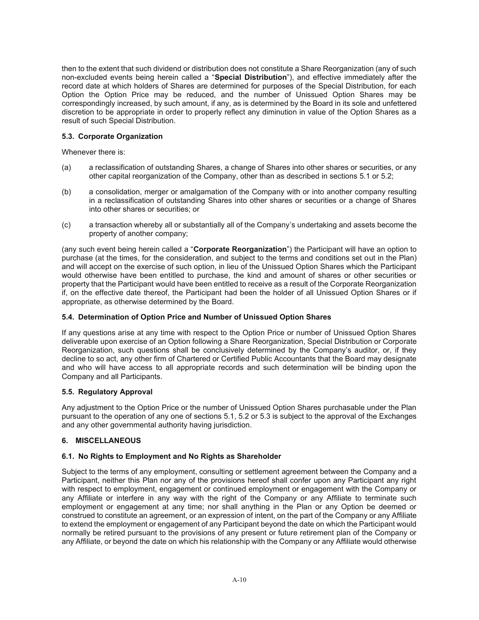then to the extent that such dividend or distribution does not constitute a Share Reorganization (any of such non-excluded events being herein called a "**Special Distribution**"), and effective immediately after the record date at which holders of Shares are determined for purposes of the Special Distribution, for each Option the Option Price may be reduced, and the number of Unissued Option Shares may be correspondingly increased, by such amount, if any, as is determined by the Board in its sole and unfettered discretion to be appropriate in order to properly reflect any diminution in value of the Option Shares as a result of such Special Distribution.

# **5.3. Corporate Organization**

Whenever there is:

- (a) a reclassification of outstanding Shares, a change of Shares into other shares or securities, or any other capital reorganization of the Company, other than as described in sections 5.1 or 5.2;
- (b) a consolidation, merger or amalgamation of the Company with or into another company resulting in a reclassification of outstanding Shares into other shares or securities or a change of Shares into other shares or securities; or
- (c) a transaction whereby all or substantially all of the Company's undertaking and assets become the property of another company;

(any such event being herein called a "**Corporate Reorganization**") the Participant will have an option to purchase (at the times, for the consideration, and subject to the terms and conditions set out in the Plan) and will accept on the exercise of such option, in lieu of the Unissued Option Shares which the Participant would otherwise have been entitled to purchase, the kind and amount of shares or other securities or property that the Participant would have been entitled to receive as a result of the Corporate Reorganization if, on the effective date thereof, the Participant had been the holder of all Unissued Option Shares or if appropriate, as otherwise determined by the Board.

### **5.4. Determination of Option Price and Number of Unissued Option Shares**

If any questions arise at any time with respect to the Option Price or number of Unissued Option Shares deliverable upon exercise of an Option following a Share Reorganization, Special Distribution or Corporate Reorganization, such questions shall be conclusively determined by the Company's auditor, or, if they decline to so act, any other firm of Chartered or Certified Public Accountants that the Board may designate and who will have access to all appropriate records and such determination will be binding upon the Company and all Participants.

### **5.5. Regulatory Approval**

Any adjustment to the Option Price or the number of Unissued Option Shares purchasable under the Plan pursuant to the operation of any one of sections 5.1, 5.2 or 5.3 is subject to the approval of the Exchanges and any other governmental authority having jurisdiction.

### **6. MISCELLANEOUS**

# **6.1. No Rights to Employment and No Rights as Shareholder**

Subject to the terms of any employment, consulting or settlement agreement between the Company and a Participant, neither this Plan nor any of the provisions hereof shall confer upon any Participant any right with respect to employment, engagement or continued employment or engagement with the Company or any Affiliate or interfere in any way with the right of the Company or any Affiliate to terminate such employment or engagement at any time; nor shall anything in the Plan or any Option be deemed or construed to constitute an agreement, or an expression of intent, on the part of the Company or any Affiliate to extend the employment or engagement of any Participant beyond the date on which the Participant would normally be retired pursuant to the provisions of any present or future retirement plan of the Company or any Affiliate, or beyond the date on which his relationship with the Company or any Affiliate would otherwise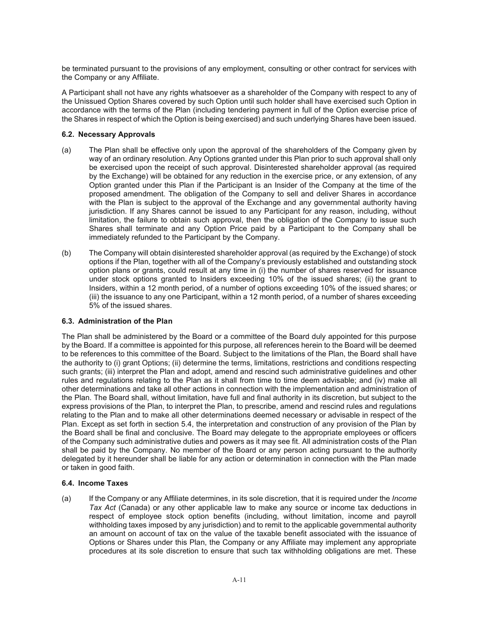be terminated pursuant to the provisions of any employment, consulting or other contract for services with the Company or any Affiliate.

A Participant shall not have any rights whatsoever as a shareholder of the Company with respect to any of the Unissued Option Shares covered by such Option until such holder shall have exercised such Option in accordance with the terms of the Plan (including tendering payment in full of the Option exercise price of the Shares in respect of which the Option is being exercised) and such underlying Shares have been issued.

## **6.2. Necessary Approvals**

- (a) The Plan shall be effective only upon the approval of the shareholders of the Company given by way of an ordinary resolution. Any Options granted under this Plan prior to such approval shall only be exercised upon the receipt of such approval. Disinterested shareholder approval (as required by the Exchange) will be obtained for any reduction in the exercise price, or any extension, of any Option granted under this Plan if the Participant is an Insider of the Company at the time of the proposed amendment. The obligation of the Company to sell and deliver Shares in accordance with the Plan is subject to the approval of the Exchange and any governmental authority having jurisdiction. If any Shares cannot be issued to any Participant for any reason, including, without limitation, the failure to obtain such approval, then the obligation of the Company to issue such Shares shall terminate and any Option Price paid by a Participant to the Company shall be immediately refunded to the Participant by the Company.
- (b) The Company will obtain disinterested shareholder approval (as required by the Exchange) of stock options if the Plan, together with all of the Company's previously established and outstanding stock option plans or grants, could result at any time in (i) the number of shares reserved for issuance under stock options granted to Insiders exceeding 10% of the issued shares; (ii) the grant to Insiders, within a 12 month period, of a number of options exceeding 10% of the issued shares; or (iii) the issuance to any one Participant, within a 12 month period, of a number of shares exceeding 5% of the issued shares.

### **6.3. Administration of the Plan**

The Plan shall be administered by the Board or a committee of the Board duly appointed for this purpose by the Board. If a committee is appointed for this purpose, all references herein to the Board will be deemed to be references to this committee of the Board. Subject to the limitations of the Plan, the Board shall have the authority to (i) grant Options; (ii) determine the terms, limitations, restrictions and conditions respecting such grants; (iii) interpret the Plan and adopt, amend and rescind such administrative guidelines and other rules and regulations relating to the Plan as it shall from time to time deem advisable; and (iv) make all other determinations and take all other actions in connection with the implementation and administration of the Plan. The Board shall, without limitation, have full and final authority in its discretion, but subject to the express provisions of the Plan, to interpret the Plan, to prescribe, amend and rescind rules and regulations relating to the Plan and to make all other determinations deemed necessary or advisable in respect of the Plan. Except as set forth in section 5.4, the interpretation and construction of any provision of the Plan by the Board shall be final and conclusive. The Board may delegate to the appropriate employees or officers of the Company such administrative duties and powers as it may see fit. All administration costs of the Plan shall be paid by the Company. No member of the Board or any person acting pursuant to the authority delegated by it hereunder shall be liable for any action or determination in connection with the Plan made or taken in good faith.

### **6.4. Income Taxes**

(a) If the Company or any Affiliate determines, in its sole discretion, that it is required under the *Income Tax Act* (Canada) or any other applicable law to make any source or income tax deductions in respect of employee stock option benefits (including, without limitation, income and payroll withholding taxes imposed by any jurisdiction) and to remit to the applicable governmental authority an amount on account of tax on the value of the taxable benefit associated with the issuance of Options or Shares under this Plan, the Company or any Affiliate may implement any appropriate procedures at its sole discretion to ensure that such tax withholding obligations are met. These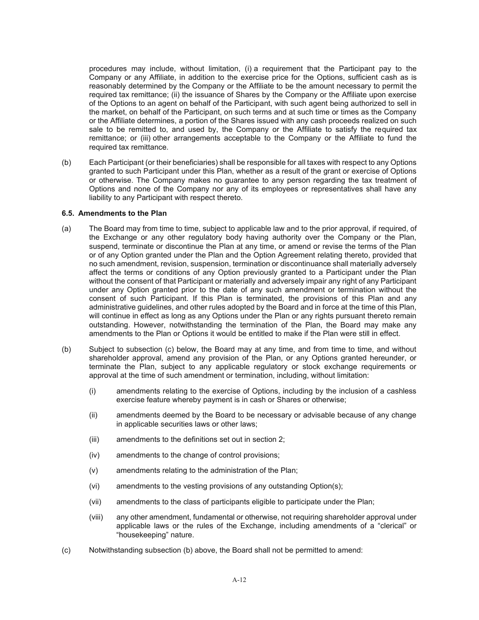procedures may include, without limitation, (i) a requirement that the Participant pay to the Company or any Affiliate, in addition to the exercise price for the Options, sufficient cash as is reasonably determined by the Company or the Affiliate to be the amount necessary to permit the required tax remittance; (ii) the issuance of Shares by the Company or the Affiliate upon exercise of the Options to an agent on behalf of the Participant, with such agent being authorized to sell in the market, on behalf of the Participant, on such terms and at such time or times as the Company or the Affiliate determines, a portion of the Shares issued with any cash proceeds realized on such sale to be remitted to, and used by, the Company or the Affiliate to satisfy the required tax remittance; or (iii) other arrangements acceptable to the Company or the Affiliate to fund the required tax remittance.

(b) Each Participant (or their beneficiaries) shall be responsible for all taxes with respect to any Options granted to such Participant under this Plan, whether as a result of the grant or exercise of Options or otherwise. The Company makes no guarantee to any person regarding the tax treatment of Options and none of the Company nor any of its employees or representatives shall have any liability to any Participant with respect thereto.

#### **6.5. Amendments to the Plan**

- (a) The Board may from time to time, subject to applicable law and to the prior approval, if required, of the Exchange or any other regulatory body having authority over the Company or the Plan, suspend, terminate or discontinue the Plan at any time, or amend or revise the terms of the Plan or of any Option granted under the Plan and the Option Agreement relating thereto, provided that no such amendment, revision, suspension, termination or discontinuance shall materially adversely affect the terms or conditions of any Option previously granted to a Participant under the Plan without the consent of that Participant or materially and adversely impair any right of any Participant under any Option granted prior to the date of any such amendment or termination without the consent of such Participant. If this Plan is terminated, the provisions of this Plan and any administrative guidelines, and other rules adopted by the Board and in force at the time of this Plan, will continue in effect as long as any Options under the Plan or any rights pursuant thereto remain outstanding. However, notwithstanding the termination of the Plan, the Board may make any amendments to the Plan or Options it would be entitled to make if the Plan were still in effect.
- (b) Subject to subsection (c) below, the Board may at any time, and from time to time, and without shareholder approval, amend any provision of the Plan, or any Options granted hereunder, or terminate the Plan, subject to any applicable regulatory or stock exchange requirements or approval at the time of such amendment or termination, including, without limitation:
	- (i) amendments relating to the exercise of Options, including by the inclusion of a cashless exercise feature whereby payment is in cash or Shares or otherwise;
	- (ii) amendments deemed by the Board to be necessary or advisable because of any change in applicable securities laws or other laws;
	- (iii) amendments to the definitions set out in section 2;
	- (iv) amendments to the change of control provisions;
	- (v) amendments relating to the administration of the Plan;
	- (vi) amendments to the vesting provisions of any outstanding Option(s);
	- (vii) amendments to the class of participants eligible to participate under the Plan;
	- (viii) any other amendment, fundamental or otherwise, not requiring shareholder approval under applicable laws or the rules of the Exchange, including amendments of a "clerical" or "housekeeping" nature.
- (c) Notwithstanding subsection (b) above, the Board shall not be permitted to amend: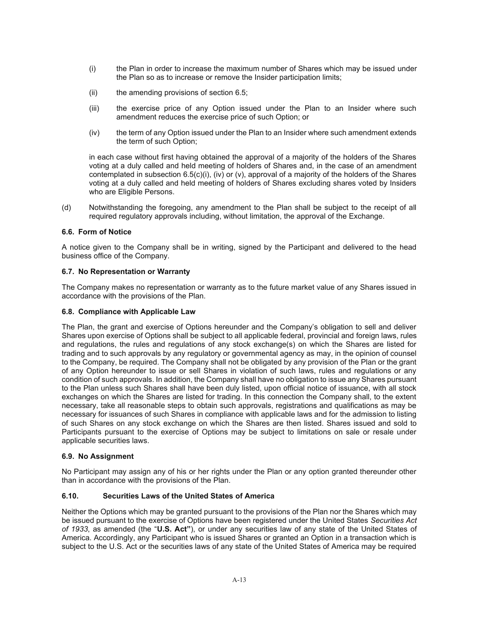- (i) the Plan in order to increase the maximum number of Shares which may be issued under the Plan so as to increase or remove the Insider participation limits;
- (ii) the amending provisions of section 6.5;
- (iii) the exercise price of any Option issued under the Plan to an Insider where such amendment reduces the exercise price of such Option; or
- (iv) the term of any Option issued under the Plan to an Insider where such amendment extends the term of such Option;

in each case without first having obtained the approval of a majority of the holders of the Shares voting at a duly called and held meeting of holders of Shares and, in the case of an amendment contemplated in subsection  $6.5(c)(i)$ ,  $(iv)$  or  $(v)$ , approval of a majority of the holders of the Shares voting at a duly called and held meeting of holders of Shares excluding shares voted by Insiders who are Eligible Persons.

(d) Notwithstanding the foregoing, any amendment to the Plan shall be subject to the receipt of all required regulatory approvals including, without limitation, the approval of the Exchange.

### **6.6. Form of Notice**

A notice given to the Company shall be in writing, signed by the Participant and delivered to the head business office of the Company.

### **6.7. No Representation or Warranty**

The Company makes no representation or warranty as to the future market value of any Shares issued in accordance with the provisions of the Plan.

#### **6.8. Compliance with Applicable Law**

The Plan, the grant and exercise of Options hereunder and the Company's obligation to sell and deliver Shares upon exercise of Options shall be subject to all applicable federal, provincial and foreign laws, rules and regulations, the rules and regulations of any stock exchange(s) on which the Shares are listed for trading and to such approvals by any regulatory or governmental agency as may, in the opinion of counsel to the Company, be required. The Company shall not be obligated by any provision of the Plan or the grant of any Option hereunder to issue or sell Shares in violation of such laws, rules and regulations or any condition of such approvals. In addition, the Company shall have no obligation to issue any Shares pursuant to the Plan unless such Shares shall have been duly listed, upon official notice of issuance, with all stock exchanges on which the Shares are listed for trading. In this connection the Company shall, to the extent necessary, take all reasonable steps to obtain such approvals, registrations and qualifications as may be necessary for issuances of such Shares in compliance with applicable laws and for the admission to listing of such Shares on any stock exchange on which the Shares are then listed. Shares issued and sold to Participants pursuant to the exercise of Options may be subject to limitations on sale or resale under applicable securities laws.

### **6.9. No Assignment**

No Participant may assign any of his or her rights under the Plan or any option granted thereunder other than in accordance with the provisions of the Plan.

### **6.10. Securities Laws of the United States of America**

Neither the Options which may be granted pursuant to the provisions of the Plan nor the Shares which may be issued pursuant to the exercise of Options have been registered under the United States *Securities Act of 1933*, as amended (the "**U.S. Act"**), or under any securities law of any state of the United States of America. Accordingly, any Participant who is issued Shares or granted an Option in a transaction which is subject to the U.S. Act or the securities laws of any state of the United States of America may be required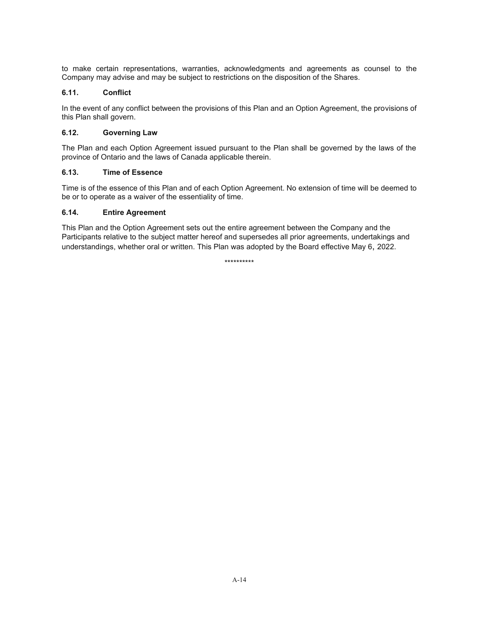to make certain representations, warranties, acknowledgments and agreements as counsel to the Company may advise and may be subject to restrictions on the disposition of the Shares.

## **6.11. Conflict**

In the event of any conflict between the provisions of this Plan and an Option Agreement, the provisions of this Plan shall govern.

## **6.12. Governing Law**

The Plan and each Option Agreement issued pursuant to the Plan shall be governed by the laws of the province of Ontario and the laws of Canada applicable therein.

# **6.13. Time of Essence**

Time is of the essence of this Plan and of each Option Agreement. No extension of time will be deemed to be or to operate as a waiver of the essentiality of time.

# **6.14. Entire Agreement**

This Plan and the Option Agreement sets out the entire agreement between the Company and the Participants relative to the subject matter hereof and supersedes all prior agreements, undertakings and understandings, whether oral or written. This Plan was adopted by the Board effective May 6, 2022.

\*\*\*\*\*\*\*\*\*\*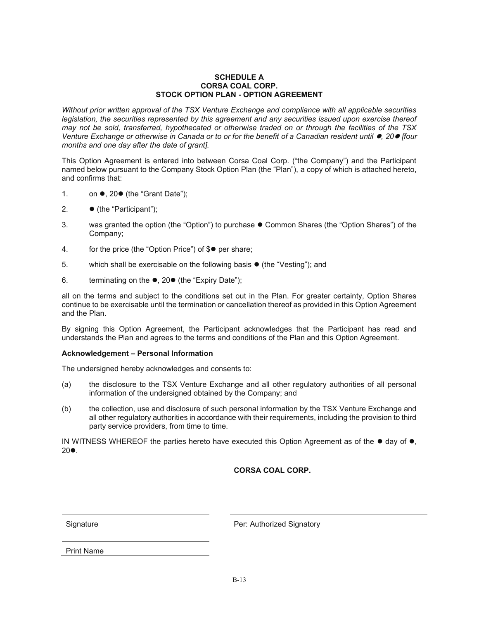#### **SCHEDULE A CORSA COAL CORP. STOCK OPTION PLAN - OPTION AGREEMENT**

*Without prior written approval of the TSX Venture Exchange and compliance with all applicable securities legislation, the securities represented by this agreement and any securities issued upon exercise thereof may not be sold, transferred, hypothecated or otherwise traded on or through the facilities of the TSX Venture Exchange or otherwise in Canada or to or for the benefit of a Canadian resident until*  $\bullet$ *, 20*  $\bullet$  *[four months and one day after the date of grant].* 

This Option Agreement is entered into between Corsa Coal Corp. ("the Company") and the Participant named below pursuant to the Company Stock Option Plan (the "Plan"), a copy of which is attached hereto, and confirms that:

- 1. on  $\bullet$ , 20 $\bullet$  (the "Grant Date");
- 2. (the "Participant");
- 3. was granted the option (the "Option") to purchase  $\bullet$  Common Shares (the "Option Shares") of the Company;
- 4. for the price (the "Option Price") of  $\mathcal{S}$  per share;
- 5. which shall be exercisable on the following basis  $\bullet$  (the "Vesting"); and
- 6. terminating on the  $\bullet$ , 20 $\bullet$  (the "Expiry Date");

all on the terms and subject to the conditions set out in the Plan. For greater certainty, Option Shares continue to be exercisable until the termination or cancellation thereof as provided in this Option Agreement and the Plan.

By signing this Option Agreement, the Participant acknowledges that the Participant has read and understands the Plan and agrees to the terms and conditions of the Plan and this Option Agreement.

#### **Acknowledgement – Personal Information**

The undersigned hereby acknowledges and consents to:

- (a) the disclosure to the TSX Venture Exchange and all other regulatory authorities of all personal information of the undersigned obtained by the Company; and
- (b) the collection, use and disclosure of such personal information by the TSX Venture Exchange and all other regulatory authorities in accordance with their requirements, including the provision to third party service providers, from time to time.

IN WITNESS WHEREOF the parties hereto have executed this Option Agreement as of the  $\bullet$  day of  $\bullet$ ,  $20\bullet$ .

# **CORSA COAL CORP.**

Signature **Per:** Authorized Signatory

Print Name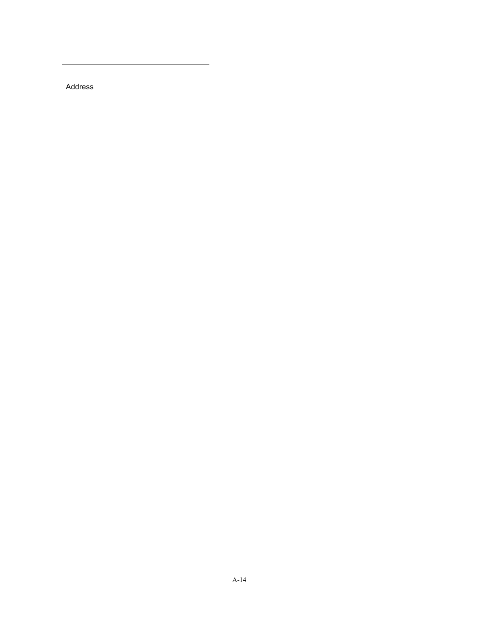Address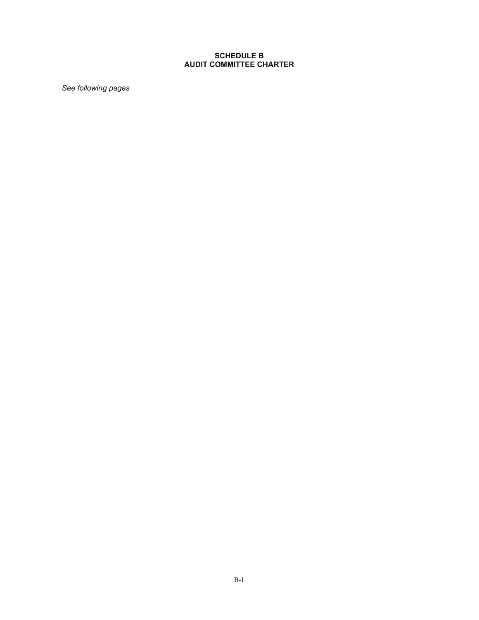# **SCHEDULE B AUDIT COMMITTEE CHARTER**

*See following pages*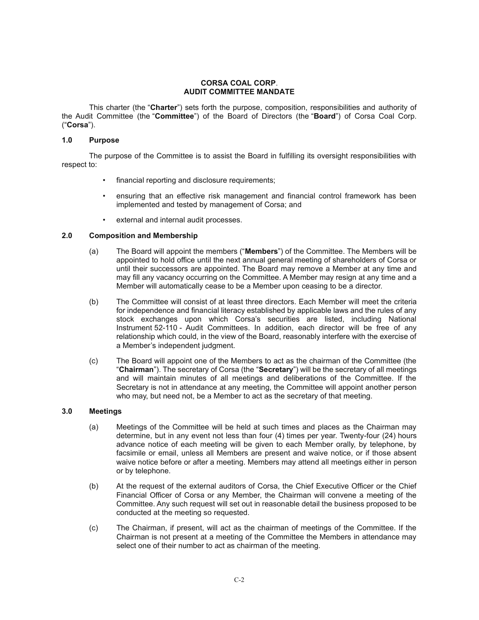#### **CORSA COAL CORP**. **AUDIT COMMITTEE MANDATE**

This charter (the "**Charter**") sets forth the purpose, composition, responsibilities and authority of the Audit Committee (the "**Committee**") of the Board of Directors (the "**Board**") of Corsa Coal Corp. ("**Corsa**").

#### **1.0 Purpose**

The purpose of the Committee is to assist the Board in fulfilling its oversight responsibilities with respect to:

- financial reporting and disclosure requirements;
- ensuring that an effective risk management and financial control framework has been implemented and tested by management of Corsa; and
- external and internal audit processes.

#### **2.0 Composition and Membership**

- (a) The Board will appoint the members ("**Members**") of the Committee. The Members will be appointed to hold office until the next annual general meeting of shareholders of Corsa or until their successors are appointed. The Board may remove a Member at any time and may fill any vacancy occurring on the Committee. A Member may resign at any time and a Member will automatically cease to be a Member upon ceasing to be a director.
- (b) The Committee will consist of at least three directors. Each Member will meet the criteria for independence and financial literacy established by applicable laws and the rules of any stock exchanges upon which Corsa's securities are listed, including National Instrument 52-110 - Audit Committees. In addition, each director will be free of any relationship which could, in the view of the Board, reasonably interfere with the exercise of a Member's independent judgment.
- (c) The Board will appoint one of the Members to act as the chairman of the Committee (the "**Chairman**"). The secretary of Corsa (the "**Secretary**") will be the secretary of all meetings and will maintain minutes of all meetings and deliberations of the Committee. If the Secretary is not in attendance at any meeting, the Committee will appoint another person who may, but need not, be a Member to act as the secretary of that meeting.

#### **3.0 Meetings**

- (a) Meetings of the Committee will be held at such times and places as the Chairman may determine, but in any event not less than four (4) times per year. Twenty-four (24) hours advance notice of each meeting will be given to each Member orally, by telephone, by facsimile or email, unless all Members are present and waive notice, or if those absent waive notice before or after a meeting. Members may attend all meetings either in person or by telephone.
- (b) At the request of the external auditors of Corsa, the Chief Executive Officer or the Chief Financial Officer of Corsa or any Member, the Chairman will convene a meeting of the Committee. Any such request will set out in reasonable detail the business proposed to be conducted at the meeting so requested.
- (c) The Chairman, if present, will act as the chairman of meetings of the Committee. If the Chairman is not present at a meeting of the Committee the Members in attendance may select one of their number to act as chairman of the meeting.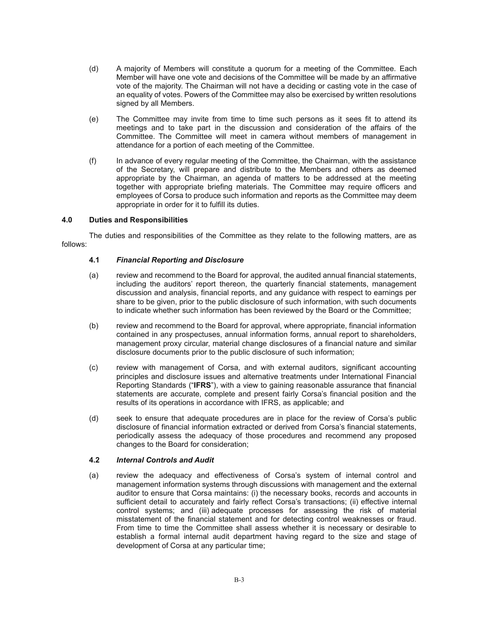- (d) A majority of Members will constitute a quorum for a meeting of the Committee. Each Member will have one vote and decisions of the Committee will be made by an affirmative vote of the majority. The Chairman will not have a deciding or casting vote in the case of an equality of votes. Powers of the Committee may also be exercised by written resolutions signed by all Members.
- (e) The Committee may invite from time to time such persons as it sees fit to attend its meetings and to take part in the discussion and consideration of the affairs of the Committee. The Committee will meet in camera without members of management in attendance for a portion of each meeting of the Committee.
- (f) In advance of every regular meeting of the Committee, the Chairman, with the assistance of the Secretary, will prepare and distribute to the Members and others as deemed appropriate by the Chairman, an agenda of matters to be addressed at the meeting together with appropriate briefing materials. The Committee may require officers and employees of Corsa to produce such information and reports as the Committee may deem appropriate in order for it to fulfill its duties.

### **4.0 Duties and Responsibilities**

The duties and responsibilities of the Committee as they relate to the following matters, are as follows:

## **4.1** *Financial Reporting and Disclosure*

- (a) review and recommend to the Board for approval, the audited annual financial statements, including the auditors' report thereon, the quarterly financial statements, management discussion and analysis, financial reports, and any guidance with respect to earnings per share to be given, prior to the public disclosure of such information, with such documents to indicate whether such information has been reviewed by the Board or the Committee;
- (b) review and recommend to the Board for approval, where appropriate, financial information contained in any prospectuses, annual information forms, annual report to shareholders, management proxy circular, material change disclosures of a financial nature and similar disclosure documents prior to the public disclosure of such information;
- (c) review with management of Corsa, and with external auditors, significant accounting principles and disclosure issues and alternative treatments under International Financial Reporting Standards ("**IFRS**"), with a view to gaining reasonable assurance that financial statements are accurate, complete and present fairly Corsa's financial position and the results of its operations in accordance with IFRS, as applicable; and
- (d) seek to ensure that adequate procedures are in place for the review of Corsa's public disclosure of financial information extracted or derived from Corsa's financial statements, periodically assess the adequacy of those procedures and recommend any proposed changes to the Board for consideration;

### **4.2** *Internal Controls and Audit*

(a) review the adequacy and effectiveness of Corsa's system of internal control and management information systems through discussions with management and the external auditor to ensure that Corsa maintains: (i) the necessary books, records and accounts in sufficient detail to accurately and fairly reflect Corsa's transactions; (ii) effective internal control systems; and (iii) adequate processes for assessing the risk of material misstatement of the financial statement and for detecting control weaknesses or fraud. From time to time the Committee shall assess whether it is necessary or desirable to establish a formal internal audit department having regard to the size and stage of development of Corsa at any particular time;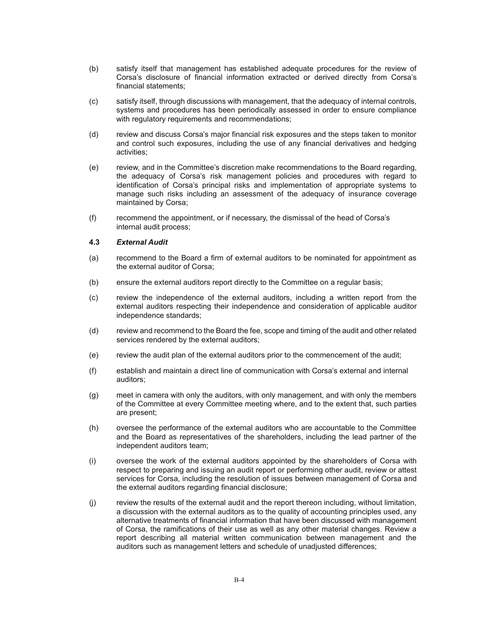- (b) satisfy itself that management has established adequate procedures for the review of Corsa's disclosure of financial information extracted or derived directly from Corsa's financial statements;
- (c) satisfy itself, through discussions with management, that the adequacy of internal controls, systems and procedures has been periodically assessed in order to ensure compliance with regulatory requirements and recommendations;
- (d) review and discuss Corsa's major financial risk exposures and the steps taken to monitor and control such exposures, including the use of any financial derivatives and hedging activities;
- (e) review, and in the Committee's discretion make recommendations to the Board regarding, the adequacy of Corsa's risk management policies and procedures with regard to identification of Corsa's principal risks and implementation of appropriate systems to manage such risks including an assessment of the adequacy of insurance coverage maintained by Corsa;
- (f) recommend the appointment, or if necessary, the dismissal of the head of Corsa's internal audit process;

#### **4.3** *External Audit*

- (a) recommend to the Board a firm of external auditors to be nominated for appointment as the external auditor of Corsa;
- (b) ensure the external auditors report directly to the Committee on a regular basis;
- (c) review the independence of the external auditors, including a written report from the external auditors respecting their independence and consideration of applicable auditor independence standards;
- (d) review and recommend to the Board the fee, scope and timing of the audit and other related services rendered by the external auditors;
- (e) review the audit plan of the external auditors prior to the commencement of the audit;
- (f) establish and maintain a direct line of communication with Corsa's external and internal auditors;
- (g) meet in camera with only the auditors, with only management, and with only the members of the Committee at every Committee meeting where, and to the extent that, such parties are present;
- (h) oversee the performance of the external auditors who are accountable to the Committee and the Board as representatives of the shareholders, including the lead partner of the independent auditors team;
- (i) oversee the work of the external auditors appointed by the shareholders of Corsa with respect to preparing and issuing an audit report or performing other audit, review or attest services for Corsa, including the resolution of issues between management of Corsa and the external auditors regarding financial disclosure;
- (j) review the results of the external audit and the report thereon including, without limitation, a discussion with the external auditors as to the quality of accounting principles used, any alternative treatments of financial information that have been discussed with management of Corsa, the ramifications of their use as well as any other material changes. Review a report describing all material written communication between management and the auditors such as management letters and schedule of unadjusted differences;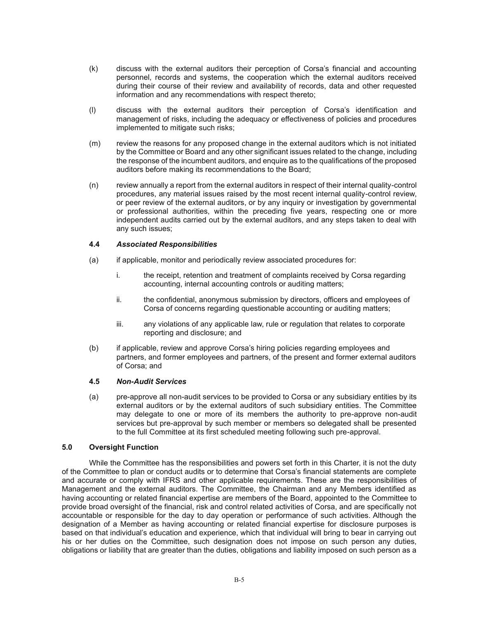- (k) discuss with the external auditors their perception of Corsa's financial and accounting personnel, records and systems, the cooperation which the external auditors received during their course of their review and availability of records, data and other requested information and any recommendations with respect thereto;
- (l) discuss with the external auditors their perception of Corsa's identification and management of risks, including the adequacy or effectiveness of policies and procedures implemented to mitigate such risks;
- (m) review the reasons for any proposed change in the external auditors which is not initiated by the Committee or Board and any other significant issues related to the change, including the response of the incumbent auditors, and enquire as to the qualifications of the proposed auditors before making its recommendations to the Board;
- (n) review annually a report from the external auditors in respect of their internal quality-control procedures, any material issues raised by the most recent internal quality-control review, or peer review of the external auditors, or by any inquiry or investigation by governmental or professional authorities, within the preceding five years, respecting one or more independent audits carried out by the external auditors, and any steps taken to deal with any such issues;

### **4.4** *Associated Responsibilities*

- (a) if applicable, monitor and periodically review associated procedures for:
	- i. the receipt, retention and treatment of complaints received by Corsa regarding accounting, internal accounting controls or auditing matters;
	- ii. the confidential, anonymous submission by directors, officers and employees of Corsa of concerns regarding questionable accounting or auditing matters;
	- iii. any violations of any applicable law, rule or regulation that relates to corporate reporting and disclosure; and
- (b) if applicable, review and approve Corsa's hiring policies regarding employees and partners, and former employees and partners, of the present and former external auditors of Corsa; and

### **4.5** *Non-Audit Services*

(a) pre-approve all non-audit services to be provided to Corsa or any subsidiary entities by its external auditors or by the external auditors of such subsidiary entities. The Committee may delegate to one or more of its members the authority to pre-approve non-audit services but pre-approval by such member or members so delegated shall be presented to the full Committee at its first scheduled meeting following such pre-approval.

# **5.0 Oversight Function**

While the Committee has the responsibilities and powers set forth in this Charter, it is not the duty of the Committee to plan or conduct audits or to determine that Corsa's financial statements are complete and accurate or comply with IFRS and other applicable requirements. These are the responsibilities of Management and the external auditors. The Committee, the Chairman and any Members identified as having accounting or related financial expertise are members of the Board, appointed to the Committee to provide broad oversight of the financial, risk and control related activities of Corsa, and are specifically not accountable or responsible for the day to day operation or performance of such activities. Although the designation of a Member as having accounting or related financial expertise for disclosure purposes is based on that individual's education and experience, which that individual will bring to bear in carrying out his or her duties on the Committee, such designation does not impose on such person any duties, obligations or liability that are greater than the duties, obligations and liability imposed on such person as a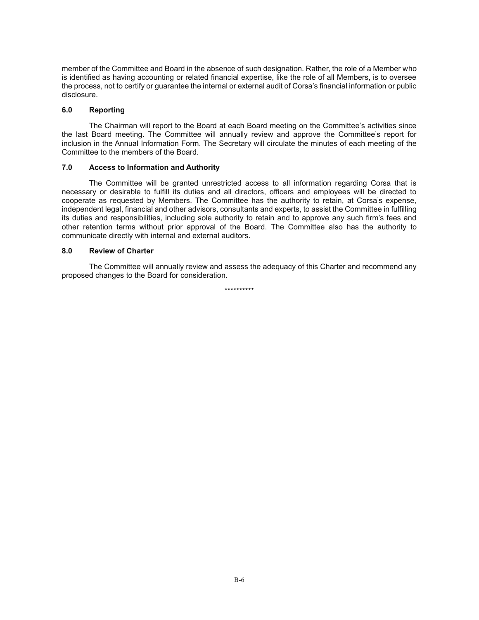member of the Committee and Board in the absence of such designation. Rather, the role of a Member who is identified as having accounting or related financial expertise, like the role of all Members, is to oversee the process, not to certify or guarantee the internal or external audit of Corsa's financial information or public disclosure.

#### **6.0 Reporting**

The Chairman will report to the Board at each Board meeting on the Committee's activities since the last Board meeting. The Committee will annually review and approve the Committee's report for inclusion in the Annual Information Form. The Secretary will circulate the minutes of each meeting of the Committee to the members of the Board.

#### **7.0 Access to Information and Authority**

The Committee will be granted unrestricted access to all information regarding Corsa that is necessary or desirable to fulfill its duties and all directors, officers and employees will be directed to cooperate as requested by Members. The Committee has the authority to retain, at Corsa's expense, independent legal, financial and other advisors, consultants and experts, to assist the Committee in fulfilling its duties and responsibilities, including sole authority to retain and to approve any such firm's fees and other retention terms without prior approval of the Board. The Committee also has the authority to communicate directly with internal and external auditors.

#### **8.0 Review of Charter**

The Committee will annually review and assess the adequacy of this Charter and recommend any proposed changes to the Board for consideration.

\*\*\*\*\*\*\*\*\*\*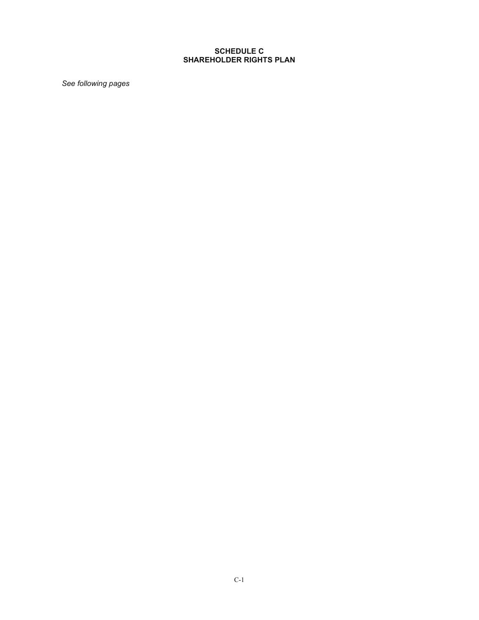# **SCHEDULE C SHAREHOLDER RIGHTS PLAN**

*See following pages*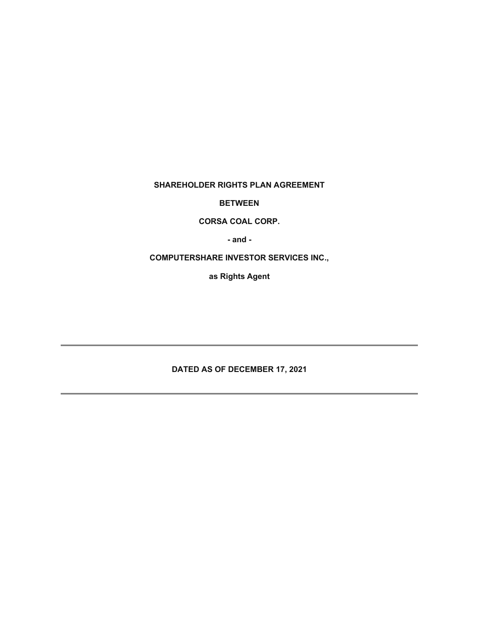**SHAREHOLDER RIGHTS PLAN AGREEMENT** 

**BETWEEN** 

**CORSA COAL CORP.** 

**- and -** 

**COMPUTERSHARE INVESTOR SERVICES INC.,** 

**as Rights Agent** 

**DATED AS OF DECEMBER 17, 2021**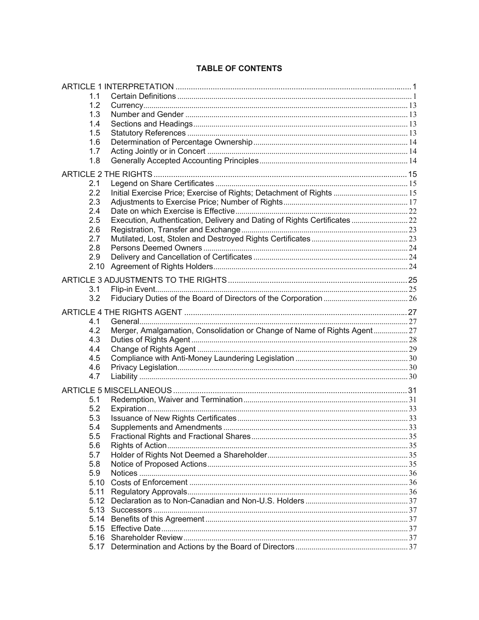| 1.1        |                                                                          |  |  |
|------------|--------------------------------------------------------------------------|--|--|
| 1.2        |                                                                          |  |  |
| 1.3        |                                                                          |  |  |
| 1.4        |                                                                          |  |  |
| 1.5        |                                                                          |  |  |
| 1.6        |                                                                          |  |  |
| 1.7        |                                                                          |  |  |
| 1.8        |                                                                          |  |  |
|            |                                                                          |  |  |
| 2.1        |                                                                          |  |  |
| 2.2        | Initial Exercise Price; Exercise of Rights; Detachment of Rights  15     |  |  |
| 2.3        |                                                                          |  |  |
| 2.4        |                                                                          |  |  |
| 2.5        | Execution, Authentication, Delivery and Dating of Rights Certificates 22 |  |  |
| 2.6        |                                                                          |  |  |
| 2.7        |                                                                          |  |  |
| 2.8        |                                                                          |  |  |
| 2.9        |                                                                          |  |  |
| 2.10       |                                                                          |  |  |
|            |                                                                          |  |  |
|            |                                                                          |  |  |
| 3.1        |                                                                          |  |  |
| 3.2        |                                                                          |  |  |
|            |                                                                          |  |  |
| 4.1        |                                                                          |  |  |
| 4.2        | Merger, Amalgamation, Consolidation or Change of Name of Rights Agent27  |  |  |
| 4.3        |                                                                          |  |  |
| 4.4        |                                                                          |  |  |
| 4.5        |                                                                          |  |  |
| 4.6        |                                                                          |  |  |
| 4.7        |                                                                          |  |  |
|            |                                                                          |  |  |
|            |                                                                          |  |  |
| 5.1<br>5.2 |                                                                          |  |  |
| 5.3        |                                                                          |  |  |
| 5.4        |                                                                          |  |  |
| 5.5        |                                                                          |  |  |
| 5.6        |                                                                          |  |  |
| 5.7        |                                                                          |  |  |
| 5.8        |                                                                          |  |  |
| 5.9        |                                                                          |  |  |
| 5.10       |                                                                          |  |  |
| 5.11       |                                                                          |  |  |
| 5.12       |                                                                          |  |  |
| 5.13       |                                                                          |  |  |
| 5.14       |                                                                          |  |  |
|            |                                                                          |  |  |
|            |                                                                          |  |  |
|            |                                                                          |  |  |
|            |                                                                          |  |  |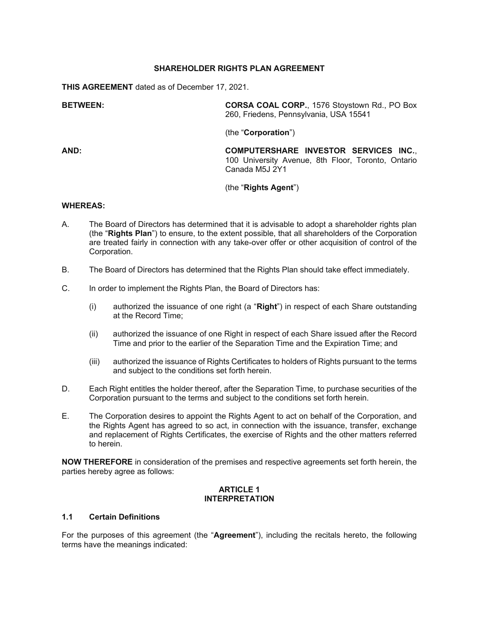## **SHAREHOLDER RIGHTS PLAN AGREEMENT**

**THIS AGREEMENT** dated as of December 17, 2021.

**BETWEEN: CORSA COAL CORP.**, 1576 Stoystown Rd., PO Box 260, Friedens, Pennsylvania, USA 15541

(the "**Corporation**")

**AND: COMPUTERSHARE INVESTOR SERVICES INC.**, 100 University Avenue, 8th Floor, Toronto, Ontario Canada M5J 2Y1

## (the "**Rights Agent**")

### **WHEREAS:**

- A. The Board of Directors has determined that it is advisable to adopt a shareholder rights plan (the "**Rights Plan**") to ensure, to the extent possible, that all shareholders of the Corporation are treated fairly in connection with any take-over offer or other acquisition of control of the Corporation.
- B. The Board of Directors has determined that the Rights Plan should take effect immediately.
- C. In order to implement the Rights Plan, the Board of Directors has:
	- (i) authorized the issuance of one right (a "**Right**") in respect of each Share outstanding at the Record Time;
	- (ii) authorized the issuance of one Right in respect of each Share issued after the Record Time and prior to the earlier of the Separation Time and the Expiration Time; and
	- (iii) authorized the issuance of Rights Certificates to holders of Rights pursuant to the terms and subject to the conditions set forth herein.
- D. Each Right entitles the holder thereof, after the Separation Time, to purchase securities of the Corporation pursuant to the terms and subject to the conditions set forth herein.
- E. The Corporation desires to appoint the Rights Agent to act on behalf of the Corporation, and the Rights Agent has agreed to so act, in connection with the issuance, transfer, exchange and replacement of Rights Certificates, the exercise of Rights and the other matters referred to herein.

**NOW THEREFORE** in consideration of the premises and respective agreements set forth herein, the parties hereby agree as follows:

#### **ARTICLE 1 INTERPRETATION**

## **1.1 Certain Definitions**

For the purposes of this agreement (the "**Agreement**"), including the recitals hereto, the following terms have the meanings indicated: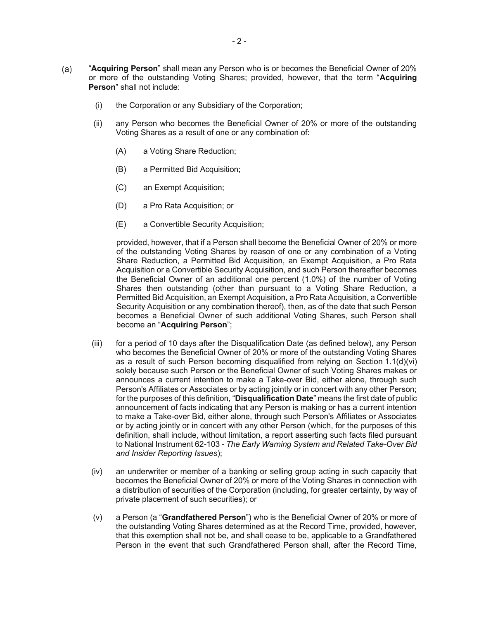- "**Acquiring Person**" shall mean any Person who is or becomes the Beneficial Owner of 20%  $(a)$ or more of the outstanding Voting Shares; provided, however, that the term "**Acquiring Person**" shall not include:
	- (i) the Corporation or any Subsidiary of the Corporation;
	- (ii) any Person who becomes the Beneficial Owner of 20% or more of the outstanding Voting Shares as a result of one or any combination of:
		- (A) a Voting Share Reduction;
		- (B) a Permitted Bid Acquisition;
		- (C) an Exempt Acquisition;
		- (D) a Pro Rata Acquisition; or
		- (E) a Convertible Security Acquisition;

provided, however, that if a Person shall become the Beneficial Owner of 20% or more of the outstanding Voting Shares by reason of one or any combination of a Voting Share Reduction, a Permitted Bid Acquisition, an Exempt Acquisition, a Pro Rata Acquisition or a Convertible Security Acquisition, and such Person thereafter becomes the Beneficial Owner of an additional one percent (1.0%) of the number of Voting Shares then outstanding (other than pursuant to a Voting Share Reduction, a Permitted Bid Acquisition, an Exempt Acquisition, a Pro Rata Acquisition, a Convertible Security Acquisition or any combination thereof), then, as of the date that such Person becomes a Beneficial Owner of such additional Voting Shares, such Person shall become an "**Acquiring Person**";

- (iii) for a period of 10 days after the Disqualification Date (as defined below), any Person who becomes the Beneficial Owner of 20% or more of the outstanding Voting Shares as a result of such Person becoming disqualified from relying on Section 1.1(d)(vi) solely because such Person or the Beneficial Owner of such Voting Shares makes or announces a current intention to make a Take-over Bid, either alone, through such Person's Affiliates or Associates or by acting jointly or in concert with any other Person; for the purposes of this definition, "**Disqualification Date**" means the first date of public announcement of facts indicating that any Person is making or has a current intention to make a Take-over Bid, either alone, through such Person's Affiliates or Associates or by acting jointly or in concert with any other Person (which, for the purposes of this definition, shall include, without limitation, a report asserting such facts filed pursuant to National Instrument 62-103 - *The Early Warning System and Related Take-Over Bid and Insider Reporting Issues*);
- (iv) an underwriter or member of a banking or selling group acting in such capacity that becomes the Beneficial Owner of 20% or more of the Voting Shares in connection with a distribution of securities of the Corporation (including, for greater certainty, by way of private placement of such securities); or
- (v) a Person (a "**Grandfathered Person**") who is the Beneficial Owner of 20% or more of the outstanding Voting Shares determined as at the Record Time, provided, however, that this exemption shall not be, and shall cease to be, applicable to a Grandfathered Person in the event that such Grandfathered Person shall, after the Record Time,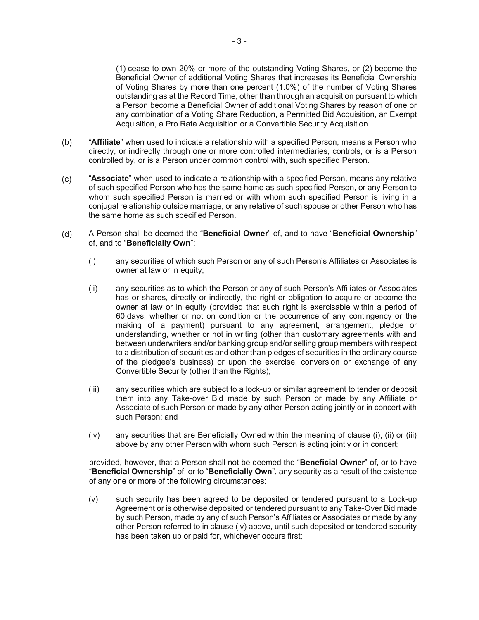(1) cease to own 20% or more of the outstanding Voting Shares, or (2) become the Beneficial Owner of additional Voting Shares that increases its Beneficial Ownership of Voting Shares by more than one percent (1.0%) of the number of Voting Shares outstanding as at the Record Time, other than through an acquisition pursuant to which a Person become a Beneficial Owner of additional Voting Shares by reason of one or any combination of a Voting Share Reduction, a Permitted Bid Acquisition, an Exempt Acquisition, a Pro Rata Acquisition or a Convertible Security Acquisition.

- $(b)$ "**Affiliate**" when used to indicate a relationship with a specified Person, means a Person who directly, or indirectly through one or more controlled intermediaries, controls, or is a Person controlled by, or is a Person under common control with, such specified Person.
- $(c)$ "**Associate**" when used to indicate a relationship with a specified Person, means any relative of such specified Person who has the same home as such specified Person, or any Person to whom such specified Person is married or with whom such specified Person is living in a conjugal relationship outside marriage, or any relative of such spouse or other Person who has the same home as such specified Person.
- $(d)$ A Person shall be deemed the "**Beneficial Owner**" of, and to have "**Beneficial Ownership**" of, and to "**Beneficially Own**":
	- (i) any securities of which such Person or any of such Person's Affiliates or Associates is owner at law or in equity;
	- (ii) any securities as to which the Person or any of such Person's Affiliates or Associates has or shares, directly or indirectly, the right or obligation to acquire or become the owner at law or in equity (provided that such right is exercisable within a period of 60 days, whether or not on condition or the occurrence of any contingency or the making of a payment) pursuant to any agreement, arrangement, pledge or understanding, whether or not in writing (other than customary agreements with and between underwriters and/or banking group and/or selling group members with respect to a distribution of securities and other than pledges of securities in the ordinary course of the pledgee's business) or upon the exercise, conversion or exchange of any Convertible Security (other than the Rights);
	- (iii) any securities which are subject to a lock-up or similar agreement to tender or deposit them into any Take-over Bid made by such Person or made by any Affiliate or Associate of such Person or made by any other Person acting jointly or in concert with such Person; and
	- (iv) any securities that are Beneficially Owned within the meaning of clause (i), (ii) or (iii) above by any other Person with whom such Person is acting jointly or in concert;

provided, however, that a Person shall not be deemed the "**Beneficial Owner**" of, or to have "**Beneficial Ownership**" of, or to "**Beneficially Own**", any security as a result of the existence of any one or more of the following circumstances:

(v) such security has been agreed to be deposited or tendered pursuant to a Lock-up Agreement or is otherwise deposited or tendered pursuant to any Take-Over Bid made by such Person, made by any of such Person's Affiliates or Associates or made by any other Person referred to in clause (iv) above, until such deposited or tendered security has been taken up or paid for, whichever occurs first;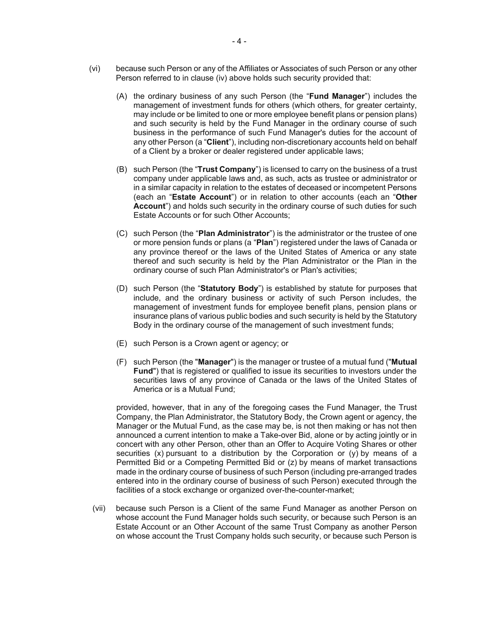- (vi) because such Person or any of the Affiliates or Associates of such Person or any other Person referred to in clause (iv) above holds such security provided that:
	- (A) the ordinary business of any such Person (the "**Fund Manager**") includes the management of investment funds for others (which others, for greater certainty, may include or be limited to one or more employee benefit plans or pension plans) and such security is held by the Fund Manager in the ordinary course of such business in the performance of such Fund Manager's duties for the account of any other Person (a "**Client**"), including non-discretionary accounts held on behalf of a Client by a broker or dealer registered under applicable laws;
	- (B) such Person (the "**Trust Company**") is licensed to carry on the business of a trust company under applicable laws and, as such, acts as trustee or administrator or in a similar capacity in relation to the estates of deceased or incompetent Persons (each an "**Estate Account**") or in relation to other accounts (each an "**Other Account**") and holds such security in the ordinary course of such duties for such Estate Accounts or for such Other Accounts;
	- (C) such Person (the "**Plan Administrator**") is the administrator or the trustee of one or more pension funds or plans (a "**Plan**") registered under the laws of Canada or any province thereof or the laws of the United States of America or any state thereof and such security is held by the Plan Administrator or the Plan in the ordinary course of such Plan Administrator's or Plan's activities;
	- (D) such Person (the "**Statutory Body**") is established by statute for purposes that include, and the ordinary business or activity of such Person includes, the management of investment funds for employee benefit plans, pension plans or insurance plans of various public bodies and such security is held by the Statutory Body in the ordinary course of the management of such investment funds;
	- (E) such Person is a Crown agent or agency; or
	- (F) such Person (the "**Manager**") is the manager or trustee of a mutual fund ("**Mutual Fund**") that is registered or qualified to issue its securities to investors under the securities laws of any province of Canada or the laws of the United States of America or is a Mutual Fund;

provided, however, that in any of the foregoing cases the Fund Manager, the Trust Company, the Plan Administrator, the Statutory Body, the Crown agent or agency, the Manager or the Mutual Fund, as the case may be, is not then making or has not then announced a current intention to make a Take-over Bid, alone or by acting jointly or in concert with any other Person, other than an Offer to Acquire Voting Shares or other securities  $(x)$  pursuant to a distribution by the Corporation or  $(y)$  by means of a Permitted Bid or a Competing Permitted Bid or (z) by means of market transactions made in the ordinary course of business of such Person (including pre-arranged trades entered into in the ordinary course of business of such Person) executed through the facilities of a stock exchange or organized over-the-counter-market;

(vii) because such Person is a Client of the same Fund Manager as another Person on whose account the Fund Manager holds such security, or because such Person is an Estate Account or an Other Account of the same Trust Company as another Person on whose account the Trust Company holds such security, or because such Person is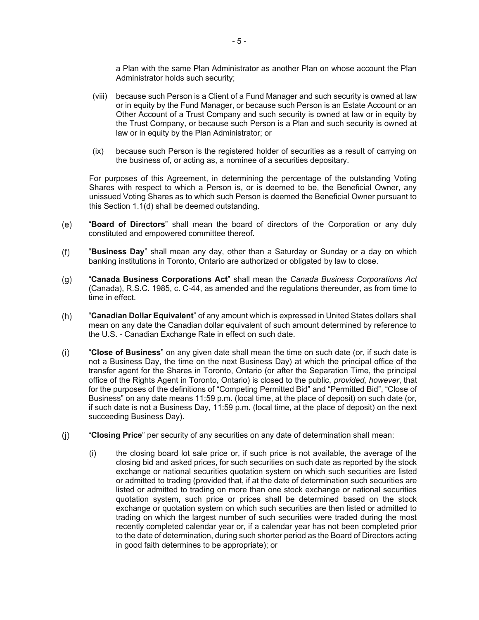a Plan with the same Plan Administrator as another Plan on whose account the Plan Administrator holds such security;

- (viii) because such Person is a Client of a Fund Manager and such security is owned at law or in equity by the Fund Manager, or because such Person is an Estate Account or an Other Account of a Trust Company and such security is owned at law or in equity by the Trust Company, or because such Person is a Plan and such security is owned at law or in equity by the Plan Administrator; or
- (ix) because such Person is the registered holder of securities as a result of carrying on the business of, or acting as, a nominee of a securities depositary.

For purposes of this Agreement, in determining the percentage of the outstanding Voting Shares with respect to which a Person is, or is deemed to be, the Beneficial Owner, any unissued Voting Shares as to which such Person is deemed the Beneficial Owner pursuant to this Section 1.1(d) shall be deemed outstanding.

- $(e)$ "**Board of Directors**" shall mean the board of directors of the Corporation or any duly constituted and empowered committee thereof.
- "**Business Day**" shall mean any day, other than a Saturday or Sunday or a day on which  $(f)$ banking institutions in Toronto, Ontario are authorized or obligated by law to close.
- $(g)$ "**Canada Business Corporations Act**" shall mean the *Canada Business Corporations Act* (Canada), R.S.C. 1985, c. C-44, as amended and the regulations thereunder, as from time to time in effect.
- $(h)$ "**Canadian Dollar Equivalent**" of any amount which is expressed in United States dollars shall mean on any date the Canadian dollar equivalent of such amount determined by reference to the U.S. - Canadian Exchange Rate in effect on such date.
- $(i)$ "**Close of Business**" on any given date shall mean the time on such date (or, if such date is not a Business Day, the time on the next Business Day) at which the principal office of the transfer agent for the Shares in Toronto, Ontario (or after the Separation Time, the principal office of the Rights Agent in Toronto, Ontario) is closed to the public, *provided, however*, that for the purposes of the definitions of "Competing Permitted Bid" and "Permitted Bid", "Close of Business" on any date means 11:59 p.m. (local time, at the place of deposit) on such date (or, if such date is not a Business Day, 11:59 p.m. (local time, at the place of deposit) on the next succeeding Business Day).
- $(i)$ "**Closing Price**" per security of any securities on any date of determination shall mean:
	- (i) the closing board lot sale price or, if such price is not available, the average of the closing bid and asked prices, for such securities on such date as reported by the stock exchange or national securities quotation system on which such securities are listed or admitted to trading (provided that, if at the date of determination such securities are listed or admitted to trading on more than one stock exchange or national securities quotation system, such price or prices shall be determined based on the stock exchange or quotation system on which such securities are then listed or admitted to trading on which the largest number of such securities were traded during the most recently completed calendar year or, if a calendar year has not been completed prior to the date of determination, during such shorter period as the Board of Directors acting in good faith determines to be appropriate); or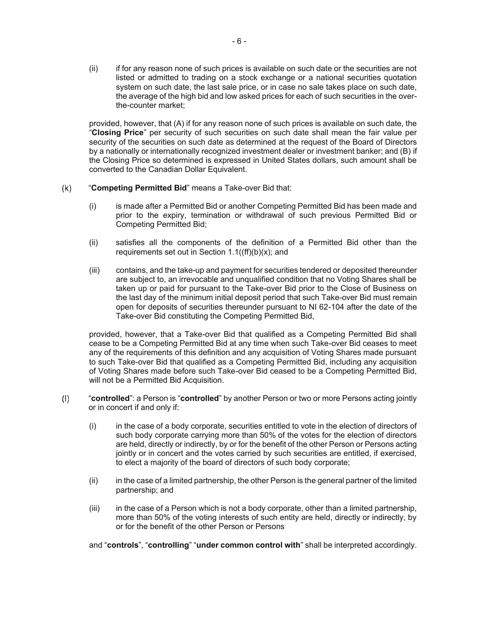(ii) if for any reason none of such prices is available on such date or the securities are not listed or admitted to trading on a stock exchange or a national securities quotation system on such date, the last sale price, or in case no sale takes place on such date, the average of the high bid and low asked prices for each of such securities in the overthe-counter market;

provided, however, that (A) if for any reason none of such prices is available on such date, the "**Closing Price**" per security of such securities on such date shall mean the fair value per security of the securities on such date as determined at the request of the Board of Directors by a nationally or internationally recognized investment dealer or investment banker; and (B) if the Closing Price so determined is expressed in United States dollars, such amount shall be converted to the Canadian Dollar Equivalent.

- $(k)$ "**Competing Permitted Bid**" means a Take-over Bid that:
	- (i) is made after a Permitted Bid or another Competing Permitted Bid has been made and prior to the expiry, termination or withdrawal of such previous Permitted Bid or Competing Permitted Bid;
	- (ii) satisfies all the components of the definition of a Permitted Bid other than the requirements set out in Section  $1.1((ff)(b)(x))$ ; and
	- (iii) contains, and the take-up and payment for securities tendered or deposited thereunder are subject to, an irrevocable and unqualified condition that no Voting Shares shall be taken up or paid for pursuant to the Take-over Bid prior to the Close of Business on the last day of the minimum initial deposit period that such Take-over Bid must remain open for deposits of securities thereunder pursuant to NI 62-104 after the date of the Take-over Bid constituting the Competing Permitted Bid,

provided, however, that a Take-over Bid that qualified as a Competing Permitted Bid shall cease to be a Competing Permitted Bid at any time when such Take-over Bid ceases to meet any of the requirements of this definition and any acquisition of Voting Shares made pursuant to such Take-over Bid that qualified as a Competing Permitted Bid, including any acquisition of Voting Shares made before such Take-over Bid ceased to be a Competing Permitted Bid, will not be a Permitted Bid Acquisition.

- "**controlled**": a Person is "**controlled**" by another Person or two or more Persons acting jointly  $(1)$ or in concert if and only if:
	- (i) in the case of a body corporate, securities entitled to vote in the election of directors of such body corporate carrying more than 50% of the votes for the election of directors are held, directly or indirectly, by or for the benefit of the other Person or Persons acting jointly or in concert and the votes carried by such securities are entitled, if exercised, to elect a majority of the board of directors of such body corporate;
	- (ii) in the case of a limited partnership, the other Person is the general partner of the limited partnership; and
	- (iii) in the case of a Person which is not a body corporate, other than a limited partnership, more than 50% of the voting interests of such entity are held, directly or indirectly, by or for the benefit of the other Person or Persons

and "**controls**", "**controlling**" "**under common control with**" shall be interpreted accordingly.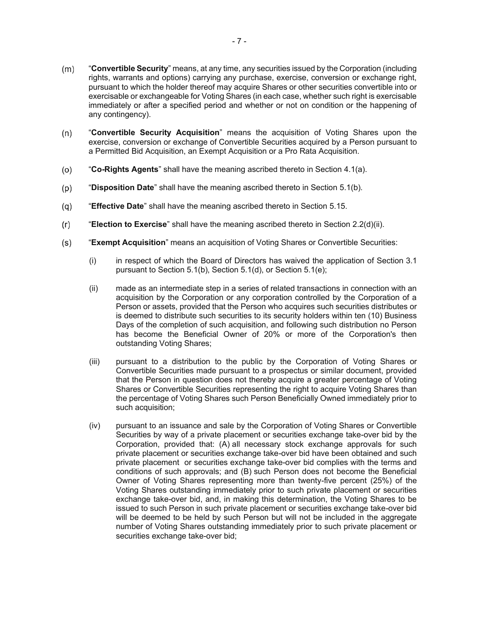- $(m)$ "**Convertible Security**" means, at any time, any securities issued by the Corporation (including rights, warrants and options) carrying any purchase, exercise, conversion or exchange right, pursuant to which the holder thereof may acquire Shares or other securities convertible into or exercisable or exchangeable for Voting Shares (in each case, whether such right is exercisable immediately or after a specified period and whether or not on condition or the happening of any contingency).
- $(n)$ "**Convertible Security Acquisition**" means the acquisition of Voting Shares upon the exercise, conversion or exchange of Convertible Securities acquired by a Person pursuant to a Permitted Bid Acquisition, an Exempt Acquisition or a Pro Rata Acquisition.
- $(0)$ "**Co-Rights Agents**" shall have the meaning ascribed thereto in Section 4.1(a).
- "**Disposition Date**" shall have the meaning ascribed thereto in Section 5.1(b).  $(p)$
- $(q)$ "**Effective Date**" shall have the meaning ascribed thereto in Section 5.15.
- "**Election to Exercise**" shall have the meaning ascribed thereto in Section 2.2(d)(ii).  $(r)$
- $(s)$ "**Exempt Acquisition**" means an acquisition of Voting Shares or Convertible Securities:
	- (i) in respect of which the Board of Directors has waived the application of Section 3.1 pursuant to Section 5.1(b), Section 5.1(d), or Section 5.1(e);
	- (ii) made as an intermediate step in a series of related transactions in connection with an acquisition by the Corporation or any corporation controlled by the Corporation of a Person or assets, provided that the Person who acquires such securities distributes or is deemed to distribute such securities to its security holders within ten (10) Business Days of the completion of such acquisition, and following such distribution no Person has become the Beneficial Owner of 20% or more of the Corporation's then outstanding Voting Shares;
	- (iii) pursuant to a distribution to the public by the Corporation of Voting Shares or Convertible Securities made pursuant to a prospectus or similar document, provided that the Person in question does not thereby acquire a greater percentage of Voting Shares or Convertible Securities representing the right to acquire Voting Shares than the percentage of Voting Shares such Person Beneficially Owned immediately prior to such acquisition;
	- (iv) pursuant to an issuance and sale by the Corporation of Voting Shares or Convertible Securities by way of a private placement or securities exchange take-over bid by the Corporation, provided that: (A) all necessary stock exchange approvals for such private placement or securities exchange take-over bid have been obtained and such private placement or securities exchange take-over bid complies with the terms and conditions of such approvals; and (B) such Person does not become the Beneficial Owner of Voting Shares representing more than twenty-five percent (25%) of the Voting Shares outstanding immediately prior to such private placement or securities exchange take-over bid, and, in making this determination, the Voting Shares to be issued to such Person in such private placement or securities exchange take-over bid will be deemed to be held by such Person but will not be included in the aggregate number of Voting Shares outstanding immediately prior to such private placement or securities exchange take-over bid;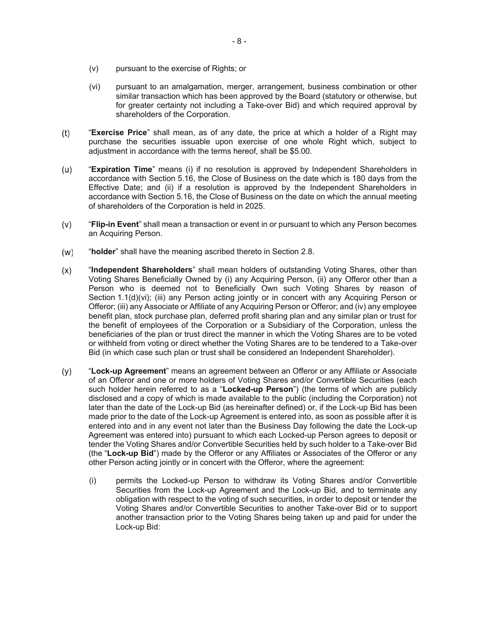- (v) pursuant to the exercise of Rights; or
- (vi) pursuant to an amalgamation, merger, arrangement, business combination or other similar transaction which has been approved by the Board (statutory or otherwise, but for greater certainty not including a Take-over Bid) and which required approval by shareholders of the Corporation.
- $(t)$ "**Exercise Price**" shall mean, as of any date, the price at which a holder of a Right may purchase the securities issuable upon exercise of one whole Right which, subject to adjustment in accordance with the terms hereof, shall be \$5.00.
- $(u)$ "**Expiration Time**" means (i) if no resolution is approved by Independent Shareholders in accordance with Section 5.16, the Close of Business on the date which is 180 days from the Effective Date; and (ii) if a resolution is approved by the Independent Shareholders in accordance with Section 5.16, the Close of Business on the date on which the annual meeting of shareholders of the Corporation is held in 2025.
- $(v)$ "**Flip-in Event**" shall mean a transaction or event in or pursuant to which any Person becomes an Acquiring Person.
- $(w)$ "**holder**" shall have the meaning ascribed thereto in Section 2.8.
- $(x)$ "**Independent Shareholders**" shall mean holders of outstanding Voting Shares, other than Voting Shares Beneficially Owned by (i) any Acquiring Person, (ii) any Offeror other than a Person who is deemed not to Beneficially Own such Voting Shares by reason of Section 1.1(d)(vi); (iii) any Person acting jointly or in concert with any Acquiring Person or Offeror; (iii) any Associate or Affiliate of any Acquiring Person or Offeror; and (iv) any employee benefit plan, stock purchase plan, deferred profit sharing plan and any similar plan or trust for the benefit of employees of the Corporation or a Subsidiary of the Corporation, unless the beneficiaries of the plan or trust direct the manner in which the Voting Shares are to be voted or withheld from voting or direct whether the Voting Shares are to be tendered to a Take-over Bid (in which case such plan or trust shall be considered an Independent Shareholder).
- "**Lock-up Agreement**" means an agreement between an Offeror or any Affiliate or Associate  $(y)$ of an Offeror and one or more holders of Voting Shares and/or Convertible Securities (each such holder herein referred to as a "**Locked-up Person**") (the terms of which are publicly disclosed and a copy of which is made available to the public (including the Corporation) not later than the date of the Lock-up Bid (as hereinafter defined) or, if the Lock-up Bid has been made prior to the date of the Lock-up Agreement is entered into, as soon as possible after it is entered into and in any event not later than the Business Day following the date the Lock-up Agreement was entered into) pursuant to which each Locked-up Person agrees to deposit or tender the Voting Shares and/or Convertible Securities held by such holder to a Take-over Bid (the "**Lock-up Bid**") made by the Offeror or any Affiliates or Associates of the Offeror or any other Person acting jointly or in concert with the Offeror, where the agreement:
	- (i) permits the Locked-up Person to withdraw its Voting Shares and/or Convertible Securities from the Lock-up Agreement and the Lock-up Bid, and to terminate any obligation with respect to the voting of such securities, in order to deposit or tender the Voting Shares and/or Convertible Securities to another Take-over Bid or to support another transaction prior to the Voting Shares being taken up and paid for under the Lock-up Bid: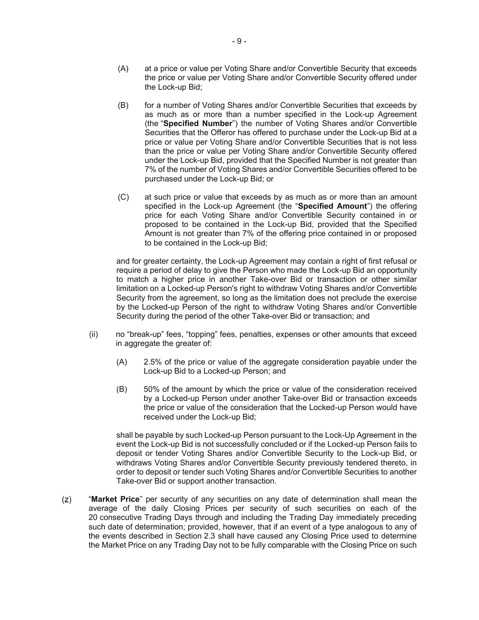- (A) at a price or value per Voting Share and/or Convertible Security that exceeds the price or value per Voting Share and/or Convertible Security offered under the Lock-up Bid;
- (B) for a number of Voting Shares and/or Convertible Securities that exceeds by as much as or more than a number specified in the Lock-up Agreement (the "**Specified Number**") the number of Voting Shares and/or Convertible Securities that the Offeror has offered to purchase under the Lock-up Bid at a price or value per Voting Share and/or Convertible Securities that is not less than the price or value per Voting Share and/or Convertible Security offered under the Lock-up Bid, provided that the Specified Number is not greater than 7% of the number of Voting Shares and/or Convertible Securities offered to be purchased under the Lock-up Bid; or
- (C) at such price or value that exceeds by as much as or more than an amount specified in the Lock-up Agreement (the "**Specified Amount**") the offering price for each Voting Share and/or Convertible Security contained in or proposed to be contained in the Lock-up Bid, provided that the Specified Amount is not greater than 7% of the offering price contained in or proposed to be contained in the Lock-up Bid;

and for greater certainty, the Lock-up Agreement may contain a right of first refusal or require a period of delay to give the Person who made the Lock-up Bid an opportunity to match a higher price in another Take-over Bid or transaction or other similar limitation on a Locked-up Person's right to withdraw Voting Shares and/or Convertible Security from the agreement, so long as the limitation does not preclude the exercise by the Locked-up Person of the right to withdraw Voting Shares and/or Convertible Security during the period of the other Take-over Bid or transaction; and

- (ii) no "break-up" fees, "topping" fees, penalties, expenses or other amounts that exceed in aggregate the greater of:
	- (A) 2.5% of the price or value of the aggregate consideration payable under the Lock-up Bid to a Locked-up Person; and
	- (B) 50% of the amount by which the price or value of the consideration received by a Locked-up Person under another Take-over Bid or transaction exceeds the price or value of the consideration that the Locked-up Person would have received under the Lock-up Bid;

shall be payable by such Locked-up Person pursuant to the Lock-Up Agreement in the event the Lock-up Bid is not successfully concluded or if the Locked-up Person fails to deposit or tender Voting Shares and/or Convertible Security to the Lock-up Bid, or withdraws Voting Shares and/or Convertible Security previously tendered thereto, in order to deposit or tender such Voting Shares and/or Convertible Securities to another Take-over Bid or support another transaction.

 $(z)$ "**Market Price**" per security of any securities on any date of determination shall mean the average of the daily Closing Prices per security of such securities on each of the 20 consecutive Trading Days through and including the Trading Day immediately preceding such date of determination; provided, however, that if an event of a type analogous to any of the events described in Section 2.3 shall have caused any Closing Price used to determine the Market Price on any Trading Day not to be fully comparable with the Closing Price on such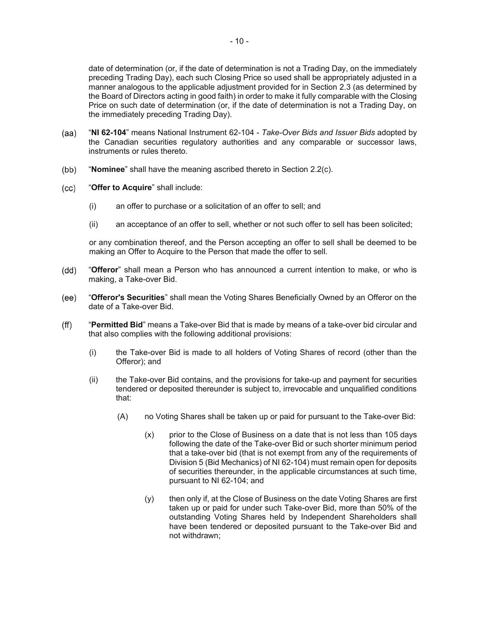date of determination (or, if the date of determination is not a Trading Day, on the immediately preceding Trading Day), each such Closing Price so used shall be appropriately adjusted in a manner analogous to the applicable adjustment provided for in Section 2.3 (as determined by the Board of Directors acting in good faith) in order to make it fully comparable with the Closing Price on such date of determination (or, if the date of determination is not a Trading Day, on the immediately preceding Trading Day).

- $(aa)$ "**NI 62-104**" means National Instrument 62-104 - *Take-Over Bids and Issuer Bids* adopted by the Canadian securities regulatory authorities and any comparable or successor laws, instruments or rules thereto.
- $(bb)$ "**Nominee**" shall have the meaning ascribed thereto in Section 2.2(c).
- "**Offer to Acquire**" shall include:  $(cc)$ 
	- (i) an offer to purchase or a solicitation of an offer to sell; and
	- (ii) an acceptance of an offer to sell, whether or not such offer to sell has been solicited;

or any combination thereof, and the Person accepting an offer to sell shall be deemed to be making an Offer to Acquire to the Person that made the offer to sell.

- (dd) "**Offeror**" shall mean a Person who has announced a current intention to make, or who is making, a Take-over Bid.
- "**Offeror's Securities**" shall mean the Voting Shares Beneficially Owned by an Offeror on the  $(ee)$ date of a Take-over Bid.
- $(f\mathsf{f})$ "**Permitted Bid**" means a Take-over Bid that is made by means of a take-over bid circular and that also complies with the following additional provisions:
	- (i) the Take-over Bid is made to all holders of Voting Shares of record (other than the Offeror); and
	- (ii) the Take-over Bid contains, and the provisions for take-up and payment for securities tendered or deposited thereunder is subject to, irrevocable and unqualified conditions that:
		- (A) no Voting Shares shall be taken up or paid for pursuant to the Take-over Bid:
			- (x) prior to the Close of Business on a date that is not less than 105 days following the date of the Take-over Bid or such shorter minimum period that a take-over bid (that is not exempt from any of the requirements of Division 5 (Bid Mechanics) of NI 62-104) must remain open for deposits of securities thereunder, in the applicable circumstances at such time, pursuant to NI 62-104; and
			- (y) then only if, at the Close of Business on the date Voting Shares are first taken up or paid for under such Take-over Bid, more than 50% of the outstanding Voting Shares held by Independent Shareholders shall have been tendered or deposited pursuant to the Take-over Bid and not withdrawn;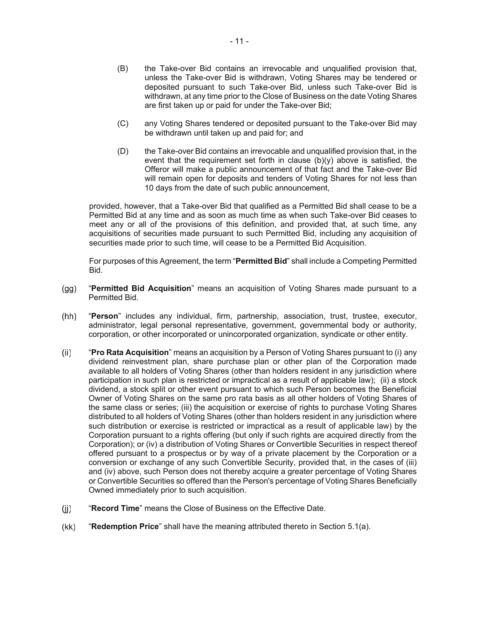- (B) the Take-over Bid contains an irrevocable and unqualified provision that, unless the Take-over Bid is withdrawn, Voting Shares may be tendered or deposited pursuant to such Take-over Bid, unless such Take-over Bid is withdrawn, at any time prior to the Close of Business on the date Voting Shares are first taken up or paid for under the Take-over Bid;
- (C) any Voting Shares tendered or deposited pursuant to the Take-over Bid may be withdrawn until taken up and paid for; and
- (D) the Take-over Bid contains an irrevocable and unqualified provision that, in the event that the requirement set forth in clause  $(b)(y)$  above is satisfied, the Offeror will make a public announcement of that fact and the Take-over Bid will remain open for deposits and tenders of Voting Shares for not less than 10 days from the date of such public announcement,

provided, however, that a Take-over Bid that qualified as a Permitted Bid shall cease to be a Permitted Bid at any time and as soon as much time as when such Take-over Bid ceases to meet any or all of the provisions of this definition, and provided that, at such time, any acquisitions of securities made pursuant to such Permitted Bid, including any acquisition of securities made prior to such time, will cease to be a Permitted Bid Acquisition.

For purposes of this Agreement, the term "**Permitted Bid**" shall include a Competing Permitted Bid.

- "**Permitted Bid Acquisition**" means an acquisition of Voting Shares made pursuant to a  $(gg)$ Permitted Bid.
- $(hh)$ "**Person**" includes any individual, firm, partnership, association, trust, trustee, executor, administrator, legal personal representative, government, governmental body or authority, corporation, or other incorporated or unincorporated organization, syndicate or other entity.
- $(ii)$ "**Pro Rata Acquisition**" means an acquisition by a Person of Voting Shares pursuant to (i) any dividend reinvestment plan, share purchase plan or other plan of the Corporation made available to all holders of Voting Shares (other than holders resident in any jurisdiction where participation in such plan is restricted or impractical as a result of applicable law); (ii) a stock dividend, a stock split or other event pursuant to which such Person becomes the Beneficial Owner of Voting Shares on the same pro rata basis as all other holders of Voting Shares of the same class or series; (iii) the acquisition or exercise of rights to purchase Voting Shares distributed to all holders of Voting Shares (other than holders resident in any jurisdiction where such distribution or exercise is restricted or impractical as a result of applicable law) by the Corporation pursuant to a rights offering (but only if such rights are acquired directly from the Corporation); or (iv) a distribution of Voting Shares or Convertible Securities in respect thereof offered pursuant to a prospectus or by way of a private placement by the Corporation or a conversion or exchange of any such Convertible Security, provided that, in the cases of (iii) and (iv) above, such Person does not thereby acquire a greater percentage of Voting Shares or Convertible Securities so offered than the Person's percentage of Voting Shares Beneficially Owned immediately prior to such acquisition.
- $(ii)$ "**Record Time**" means the Close of Business on the Effective Date.
- $(kk)$ "**Redemption Price**" shall have the meaning attributed thereto in Section 5.1(a).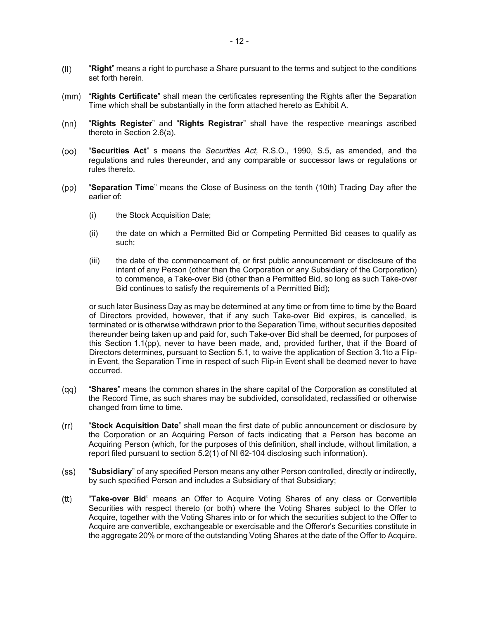- $(II)$ "**Right**" means a right to purchase a Share pursuant to the terms and subject to the conditions set forth herein.
- "**Rights Certificate**" shall mean the certificates representing the Rights after the Separation  $(mm)$ Time which shall be substantially in the form attached hereto as Exhibit A.
- $(nn)$ "**Rights Register**" and "**Rights Registrar**" shall have the respective meanings ascribed thereto in Section 2.6(a).
- $(00)$ "**Securities Act**" s means the *Securities Act,* R.S.O., 1990, S.5, as amended, and the regulations and rules thereunder, and any comparable or successor laws or regulations or rules thereto.
- "**Separation Time**" means the Close of Business on the tenth (10th) Trading Day after the  $(pp)$ earlier of:
	- (i) the Stock Acquisition Date;
	- (ii) the date on which a Permitted Bid or Competing Permitted Bid ceases to qualify as such;
	- (iii) the date of the commencement of, or first public announcement or disclosure of the intent of any Person (other than the Corporation or any Subsidiary of the Corporation) to commence, a Take-over Bid (other than a Permitted Bid, so long as such Take-over Bid continues to satisfy the requirements of a Permitted Bid);

or such later Business Day as may be determined at any time or from time to time by the Board of Directors provided, however, that if any such Take-over Bid expires, is cancelled, is terminated or is otherwise withdrawn prior to the Separation Time, without securities deposited thereunder being taken up and paid for, such Take-over Bid shall be deemed, for purposes of this Section 1.1(pp), never to have been made, and, provided further, that if the Board of Directors determines, pursuant to Section 5.1, to waive the application of Section 3.1to a Flipin Event, the Separation Time in respect of such Flip-in Event shall be deemed never to have occurred.

- "**Shares**" means the common shares in the share capital of the Corporation as constituted at  $(qq)$ the Record Time, as such shares may be subdivided, consolidated, reclassified or otherwise changed from time to time.
- "**Stock Acquisition Date**" shall mean the first date of public announcement or disclosure by  $(rr)$ the Corporation or an Acquiring Person of facts indicating that a Person has become an Acquiring Person (which, for the purposes of this definition, shall include, without limitation, a report filed pursuant to section 5.2(1) of NI 62-104 disclosing such information).
- $(s<sub>S</sub>)$ "**Subsidiary**" of any specified Person means any other Person controlled, directly or indirectly, by such specified Person and includes a Subsidiary of that Subsidiary;
- $(tt)$ "**Take-over Bid**" means an Offer to Acquire Voting Shares of any class or Convertible Securities with respect thereto (or both) where the Voting Shares subject to the Offer to Acquire, together with the Voting Shares into or for which the securities subject to the Offer to Acquire are convertible, exchangeable or exercisable and the Offeror's Securities constitute in the aggregate 20% or more of the outstanding Voting Shares at the date of the Offer to Acquire.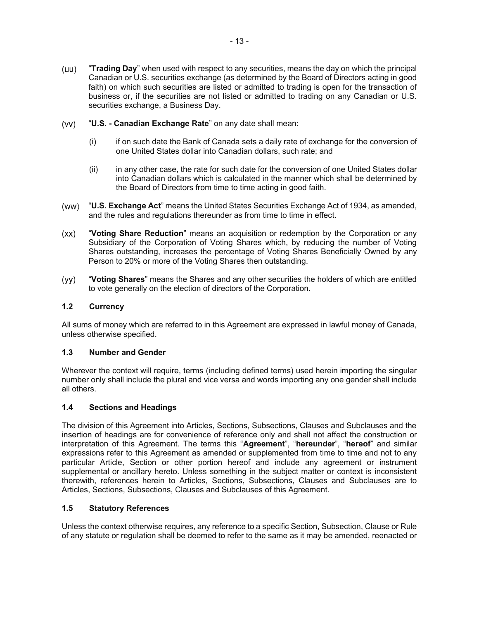- (uu) "**Trading Day**" when used with respect to any securities, means the day on which the principal Canadian or U.S. securities exchange (as determined by the Board of Directors acting in good faith) on which such securities are listed or admitted to trading is open for the transaction of business or, if the securities are not listed or admitted to trading on any Canadian or U.S. securities exchange, a Business Day.
- $(vv)$ "**U.S. - Canadian Exchange Rate**" on any date shall mean:
	- (i) if on such date the Bank of Canada sets a daily rate of exchange for the conversion of one United States dollar into Canadian dollars, such rate; and
	- (ii) in any other case, the rate for such date for the conversion of one United States dollar into Canadian dollars which is calculated in the manner which shall be determined by the Board of Directors from time to time acting in good faith.
- (ww) "**U.S. Exchange Act**" means the United States Securities Exchange Act of 1934, as amended, and the rules and regulations thereunder as from time to time in effect.
- "**Voting Share Reduction**" means an acquisition or redemption by the Corporation or any  $(xx)$ Subsidiary of the Corporation of Voting Shares which, by reducing the number of Voting Shares outstanding, increases the percentage of Voting Shares Beneficially Owned by any Person to 20% or more of the Voting Shares then outstanding.
- $(yy)$ "**Voting Shares**" means the Shares and any other securities the holders of which are entitled to vote generally on the election of directors of the Corporation.

### **1.2 Currency**

All sums of money which are referred to in this Agreement are expressed in lawful money of Canada, unless otherwise specified.

### **1.3 Number and Gender**

Wherever the context will require, terms (including defined terms) used herein importing the singular number only shall include the plural and vice versa and words importing any one gender shall include all others.

### **1.4 Sections and Headings**

The division of this Agreement into Articles, Sections, Subsections, Clauses and Subclauses and the insertion of headings are for convenience of reference only and shall not affect the construction or interpretation of this Agreement. The terms this "**Agreement**", "**hereunder**", "**hereof**" and similar expressions refer to this Agreement as amended or supplemented from time to time and not to any particular Article, Section or other portion hereof and include any agreement or instrument supplemental or ancillary hereto. Unless something in the subject matter or context is inconsistent therewith, references herein to Articles, Sections, Subsections, Clauses and Subclauses are to Articles, Sections, Subsections, Clauses and Subclauses of this Agreement.

### **1.5 Statutory References**

Unless the context otherwise requires, any reference to a specific Section, Subsection, Clause or Rule of any statute or regulation shall be deemed to refer to the same as it may be amended, reenacted or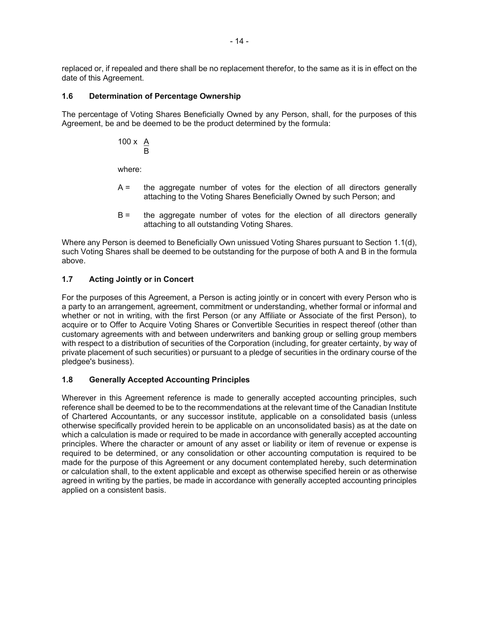replaced or, if repealed and there shall be no replacement therefor, to the same as it is in effect on the date of this Agreement.

## **1.6 Determination of Percentage Ownership**

The percentage of Voting Shares Beneficially Owned by any Person, shall, for the purposes of this Agreement, be and be deemed to be the product determined by the formula:

$$
100 \times \frac{A}{B}
$$

where:

- A = the aggregate number of votes for the election of all directors generally attaching to the Voting Shares Beneficially Owned by such Person; and
- B = the aggregate number of votes for the election of all directors generally attaching to all outstanding Voting Shares.

Where any Person is deemed to Beneficially Own unissued Voting Shares pursuant to Section 1.1(d), such Voting Shares shall be deemed to be outstanding for the purpose of both A and B in the formula above.

# **1.7 Acting Jointly or in Concert**

For the purposes of this Agreement, a Person is acting jointly or in concert with every Person who is a party to an arrangement, agreement, commitment or understanding, whether formal or informal and whether or not in writing, with the first Person (or any Affiliate or Associate of the first Person), to acquire or to Offer to Acquire Voting Shares or Convertible Securities in respect thereof (other than customary agreements with and between underwriters and banking group or selling group members with respect to a distribution of securities of the Corporation (including, for greater certainty, by way of private placement of such securities) or pursuant to a pledge of securities in the ordinary course of the pledgee's business).

# **1.8 Generally Accepted Accounting Principles**

Wherever in this Agreement reference is made to generally accepted accounting principles, such reference shall be deemed to be to the recommendations at the relevant time of the Canadian Institute of Chartered Accountants, or any successor institute, applicable on a consolidated basis (unless otherwise specifically provided herein to be applicable on an unconsolidated basis) as at the date on which a calculation is made or required to be made in accordance with generally accepted accounting principles. Where the character or amount of any asset or liability or item of revenue or expense is required to be determined, or any consolidation or other accounting computation is required to be made for the purpose of this Agreement or any document contemplated hereby, such determination or calculation shall, to the extent applicable and except as otherwise specified herein or as otherwise agreed in writing by the parties, be made in accordance with generally accepted accounting principles applied on a consistent basis.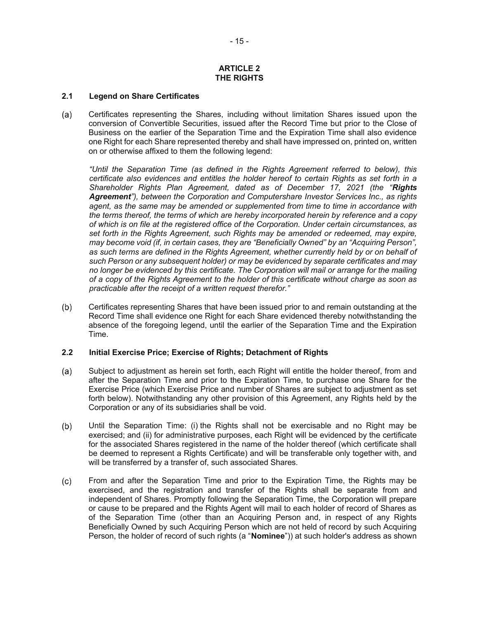#### **ARTICLE 2 THE RIGHTS**

### **2.1 Legend on Share Certificates**

Certificates representing the Shares, including without limitation Shares issued upon the  $(a)$ conversion of Convertible Securities, issued after the Record Time but prior to the Close of Business on the earlier of the Separation Time and the Expiration Time shall also evidence one Right for each Share represented thereby and shall have impressed on, printed on, written on or otherwise affixed to them the following legend:

*"Until the Separation Time (as defined in the Rights Agreement referred to below), this certificate also evidences and entitles the holder hereof to certain Rights as set forth in a Shareholder Rights Plan Agreement, dated as of December 17, 2021 (the "Rights Agreement"), between the Corporation and Computershare Investor Services Inc., as rights agent, as the same may be amended or supplemented from time to time in accordance with the terms thereof, the terms of which are hereby incorporated herein by reference and a copy of which is on file at the registered office of the Corporation. Under certain circumstances, as set forth in the Rights Agreement, such Rights may be amended or redeemed, may expire, may become void (if, in certain cases, they are "Beneficially Owned" by an "Acquiring Person",*  as such terms are defined in the Rights Agreement, whether currently held by or on behalf of *such Person or any subsequent holder) or may be evidenced by separate certificates and may no longer be evidenced by this certificate. The Corporation will mail or arrange for the mailing of a copy of the Rights Agreement to the holder of this certificate without charge as soon as practicable after the receipt of a written request therefor."* 

 $(b)$ Certificates representing Shares that have been issued prior to and remain outstanding at the Record Time shall evidence one Right for each Share evidenced thereby notwithstanding the absence of the foregoing legend, until the earlier of the Separation Time and the Expiration Time.

## **2.2 Initial Exercise Price; Exercise of Rights; Detachment of Rights**

- Subject to adjustment as herein set forth, each Right will entitle the holder thereof, from and  $(a)$ after the Separation Time and prior to the Expiration Time, to purchase one Share for the Exercise Price (which Exercise Price and number of Shares are subject to adjustment as set forth below). Notwithstanding any other provision of this Agreement, any Rights held by the Corporation or any of its subsidiaries shall be void.
- $(b)$ Until the Separation Time: (i) the Rights shall not be exercisable and no Right may be exercised; and (ii) for administrative purposes, each Right will be evidenced by the certificate for the associated Shares registered in the name of the holder thereof (which certificate shall be deemed to represent a Rights Certificate) and will be transferable only together with, and will be transferred by a transfer of, such associated Shares.
- $(c)$ From and after the Separation Time and prior to the Expiration Time, the Rights may be exercised, and the registration and transfer of the Rights shall be separate from and independent of Shares. Promptly following the Separation Time, the Corporation will prepare or cause to be prepared and the Rights Agent will mail to each holder of record of Shares as of the Separation Time (other than an Acquiring Person and, in respect of any Rights Beneficially Owned by such Acquiring Person which are not held of record by such Acquiring Person, the holder of record of such rights (a "**Nominee**")) at such holder's address as shown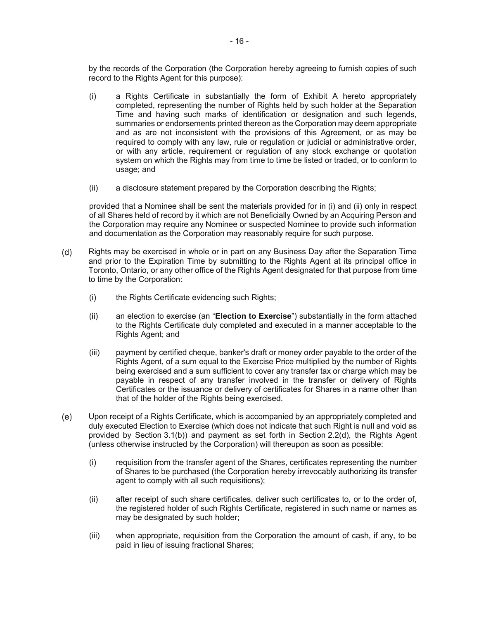by the records of the Corporation (the Corporation hereby agreeing to furnish copies of such record to the Rights Agent for this purpose):

- (i) a Rights Certificate in substantially the form of Exhibit A hereto appropriately completed, representing the number of Rights held by such holder at the Separation Time and having such marks of identification or designation and such legends, summaries or endorsements printed thereon as the Corporation may deem appropriate and as are not inconsistent with the provisions of this Agreement, or as may be required to comply with any law, rule or regulation or judicial or administrative order, or with any article, requirement or regulation of any stock exchange or quotation system on which the Rights may from time to time be listed or traded, or to conform to usage; and
- (ii) a disclosure statement prepared by the Corporation describing the Rights;

provided that a Nominee shall be sent the materials provided for in (i) and (ii) only in respect of all Shares held of record by it which are not Beneficially Owned by an Acquiring Person and the Corporation may require any Nominee or suspected Nominee to provide such information and documentation as the Corporation may reasonably require for such purpose.

- $(d)$ Rights may be exercised in whole or in part on any Business Day after the Separation Time and prior to the Expiration Time by submitting to the Rights Agent at its principal office in Toronto, Ontario, or any other office of the Rights Agent designated for that purpose from time to time by the Corporation:
	- (i) the Rights Certificate evidencing such Rights;
	- (ii) an election to exercise (an "**Election to Exercise**") substantially in the form attached to the Rights Certificate duly completed and executed in a manner acceptable to the Rights Agent; and
	- (iii) payment by certified cheque, banker's draft or money order payable to the order of the Rights Agent, of a sum equal to the Exercise Price multiplied by the number of Rights being exercised and a sum sufficient to cover any transfer tax or charge which may be payable in respect of any transfer involved in the transfer or delivery of Rights Certificates or the issuance or delivery of certificates for Shares in a name other than that of the holder of the Rights being exercised.
- Upon receipt of a Rights Certificate, which is accompanied by an appropriately completed and  $(e)$ duly executed Election to Exercise (which does not indicate that such Right is null and void as provided by Section 3.1(b)) and payment as set forth in Section 2.2(d), the Rights Agent (unless otherwise instructed by the Corporation) will thereupon as soon as possible:
	- (i) requisition from the transfer agent of the Shares, certificates representing the number of Shares to be purchased (the Corporation hereby irrevocably authorizing its transfer agent to comply with all such requisitions);
	- (ii) after receipt of such share certificates, deliver such certificates to, or to the order of, the registered holder of such Rights Certificate, registered in such name or names as may be designated by such holder;
	- (iii) when appropriate, requisition from the Corporation the amount of cash, if any, to be paid in lieu of issuing fractional Shares;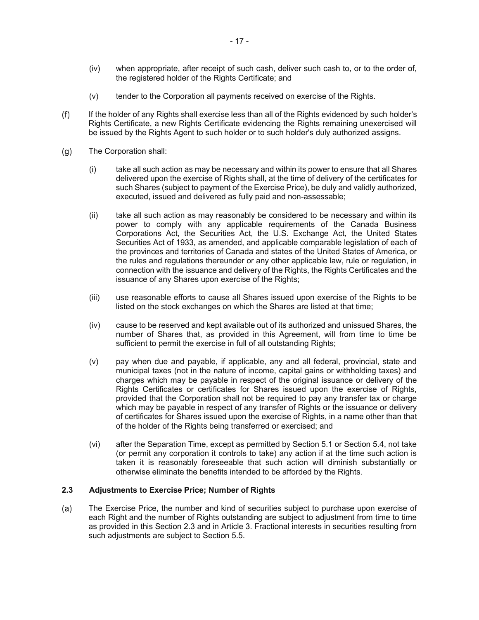- (iv) when appropriate, after receipt of such cash, deliver such cash to, or to the order of, the registered holder of the Rights Certificate; and
- (v) tender to the Corporation all payments received on exercise of the Rights.
- If the holder of any Rights shall exercise less than all of the Rights evidenced by such holder's  $(f)$ Rights Certificate, a new Rights Certificate evidencing the Rights remaining unexercised will be issued by the Rights Agent to such holder or to such holder's duly authorized assigns.
- $(g)$ The Corporation shall:
	- (i) take all such action as may be necessary and within its power to ensure that all Shares delivered upon the exercise of Rights shall, at the time of delivery of the certificates for such Shares (subject to payment of the Exercise Price), be duly and validly authorized, executed, issued and delivered as fully paid and non-assessable;
	- (ii) take all such action as may reasonably be considered to be necessary and within its power to comply with any applicable requirements of the Canada Business Corporations Act, the Securities Act, the U.S. Exchange Act, the United States Securities Act of 1933, as amended, and applicable comparable legislation of each of the provinces and territories of Canada and states of the United States of America, or the rules and regulations thereunder or any other applicable law, rule or regulation, in connection with the issuance and delivery of the Rights, the Rights Certificates and the issuance of any Shares upon exercise of the Rights;
	- (iii) use reasonable efforts to cause all Shares issued upon exercise of the Rights to be listed on the stock exchanges on which the Shares are listed at that time;
	- (iv) cause to be reserved and kept available out of its authorized and unissued Shares, the number of Shares that, as provided in this Agreement, will from time to time be sufficient to permit the exercise in full of all outstanding Rights;
	- (v) pay when due and payable, if applicable, any and all federal, provincial, state and municipal taxes (not in the nature of income, capital gains or withholding taxes) and charges which may be payable in respect of the original issuance or delivery of the Rights Certificates or certificates for Shares issued upon the exercise of Rights, provided that the Corporation shall not be required to pay any transfer tax or charge which may be payable in respect of any transfer of Rights or the issuance or delivery of certificates for Shares issued upon the exercise of Rights, in a name other than that of the holder of the Rights being transferred or exercised; and
	- (vi) after the Separation Time, except as permitted by Section 5.1 or Section 5.4, not take (or permit any corporation it controls to take) any action if at the time such action is taken it is reasonably foreseeable that such action will diminish substantially or otherwise eliminate the benefits intended to be afforded by the Rights.

### **2.3 Adjustments to Exercise Price; Number of Rights**

 $(a)$ The Exercise Price, the number and kind of securities subject to purchase upon exercise of each Right and the number of Rights outstanding are subject to adjustment from time to time as provided in this Section 2.3 and in Article 3. Fractional interests in securities resulting from such adjustments are subject to Section 5.5.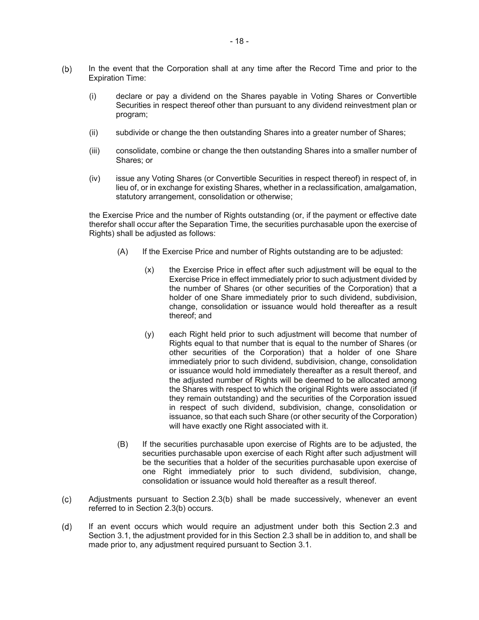- $(b)$ In the event that the Corporation shall at any time after the Record Time and prior to the Expiration Time:
	- (i) declare or pay a dividend on the Shares payable in Voting Shares or Convertible Securities in respect thereof other than pursuant to any dividend reinvestment plan or program;
	- (ii) subdivide or change the then outstanding Shares into a greater number of Shares;
	- (iii) consolidate, combine or change the then outstanding Shares into a smaller number of Shares; or
	- (iv) issue any Voting Shares (or Convertible Securities in respect thereof) in respect of, in lieu of, or in exchange for existing Shares, whether in a reclassification, amalgamation, statutory arrangement, consolidation or otherwise;

the Exercise Price and the number of Rights outstanding (or, if the payment or effective date therefor shall occur after the Separation Time, the securities purchasable upon the exercise of Rights) shall be adjusted as follows:

- (A) If the Exercise Price and number of Rights outstanding are to be adjusted:
	- (x) the Exercise Price in effect after such adjustment will be equal to the Exercise Price in effect immediately prior to such adjustment divided by the number of Shares (or other securities of the Corporation) that a holder of one Share immediately prior to such dividend, subdivision, change, consolidation or issuance would hold thereafter as a result thereof; and
	- (y) each Right held prior to such adjustment will become that number of Rights equal to that number that is equal to the number of Shares (or other securities of the Corporation) that a holder of one Share immediately prior to such dividend, subdivision, change, consolidation or issuance would hold immediately thereafter as a result thereof, and the adjusted number of Rights will be deemed to be allocated among the Shares with respect to which the original Rights were associated (if they remain outstanding) and the securities of the Corporation issued in respect of such dividend, subdivision, change, consolidation or issuance, so that each such Share (or other security of the Corporation) will have exactly one Right associated with it.
- (B) If the securities purchasable upon exercise of Rights are to be adjusted, the securities purchasable upon exercise of each Right after such adjustment will be the securities that a holder of the securities purchasable upon exercise of one Right immediately prior to such dividend, subdivision, change, consolidation or issuance would hold thereafter as a result thereof.
- Adjustments pursuant to Section 2.3(b) shall be made successively, whenever an event  $(c)$ referred to in Section 2.3(b) occurs.
- $(d)$ If an event occurs which would require an adjustment under both this Section 2.3 and Section 3.1, the adjustment provided for in this Section 2.3 shall be in addition to, and shall be made prior to, any adjustment required pursuant to Section 3.1.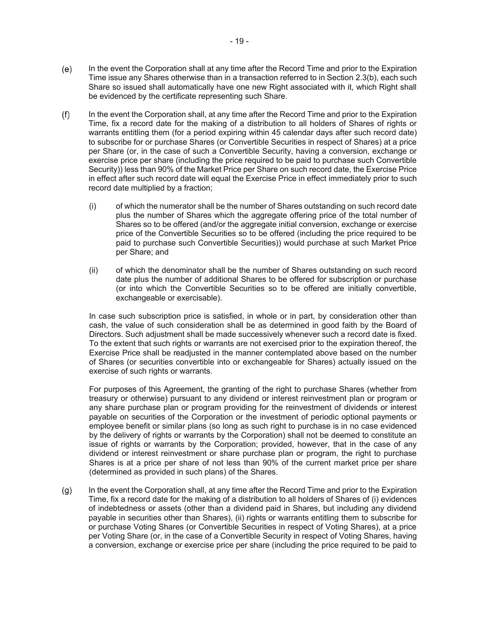- $(e)$ In the event the Corporation shall at any time after the Record Time and prior to the Expiration Time issue any Shares otherwise than in a transaction referred to in Section 2.3(b), each such Share so issued shall automatically have one new Right associated with it, which Right shall be evidenced by the certificate representing such Share.
- $(f)$ In the event the Corporation shall, at any time after the Record Time and prior to the Expiration Time, fix a record date for the making of a distribution to all holders of Shares of rights or warrants entitling them (for a period expiring within 45 calendar days after such record date) to subscribe for or purchase Shares (or Convertible Securities in respect of Shares) at a price per Share (or, in the case of such a Convertible Security, having a conversion, exchange or exercise price per share (including the price required to be paid to purchase such Convertible Security)) less than 90% of the Market Price per Share on such record date, the Exercise Price in effect after such record date will equal the Exercise Price in effect immediately prior to such record date multiplied by a fraction;
	- (i) of which the numerator shall be the number of Shares outstanding on such record date plus the number of Shares which the aggregate offering price of the total number of Shares so to be offered (and/or the aggregate initial conversion, exchange or exercise price of the Convertible Securities so to be offered (including the price required to be paid to purchase such Convertible Securities)) would purchase at such Market Price per Share; and
	- (ii) of which the denominator shall be the number of Shares outstanding on such record date plus the number of additional Shares to be offered for subscription or purchase (or into which the Convertible Securities so to be offered are initially convertible, exchangeable or exercisable).

In case such subscription price is satisfied, in whole or in part, by consideration other than cash, the value of such consideration shall be as determined in good faith by the Board of Directors. Such adjustment shall be made successively whenever such a record date is fixed. To the extent that such rights or warrants are not exercised prior to the expiration thereof, the Exercise Price shall be readjusted in the manner contemplated above based on the number of Shares (or securities convertible into or exchangeable for Shares) actually issued on the exercise of such rights or warrants.

For purposes of this Agreement, the granting of the right to purchase Shares (whether from treasury or otherwise) pursuant to any dividend or interest reinvestment plan or program or any share purchase plan or program providing for the reinvestment of dividends or interest payable on securities of the Corporation or the investment of periodic optional payments or employee benefit or similar plans (so long as such right to purchase is in no case evidenced by the delivery of rights or warrants by the Corporation) shall not be deemed to constitute an issue of rights or warrants by the Corporation; provided, however, that in the case of any dividend or interest reinvestment or share purchase plan or program, the right to purchase Shares is at a price per share of not less than 90% of the current market price per share (determined as provided in such plans) of the Shares.

In the event the Corporation shall, at any time after the Record Time and prior to the Expiration  $(g)$ Time, fix a record date for the making of a distribution to all holders of Shares of (i) evidences of indebtedness or assets (other than a dividend paid in Shares, but including any dividend payable in securities other than Shares), (ii) rights or warrants entitling them to subscribe for or purchase Voting Shares (or Convertible Securities in respect of Voting Shares), at a price per Voting Share (or, in the case of a Convertible Security in respect of Voting Shares, having a conversion, exchange or exercise price per share (including the price required to be paid to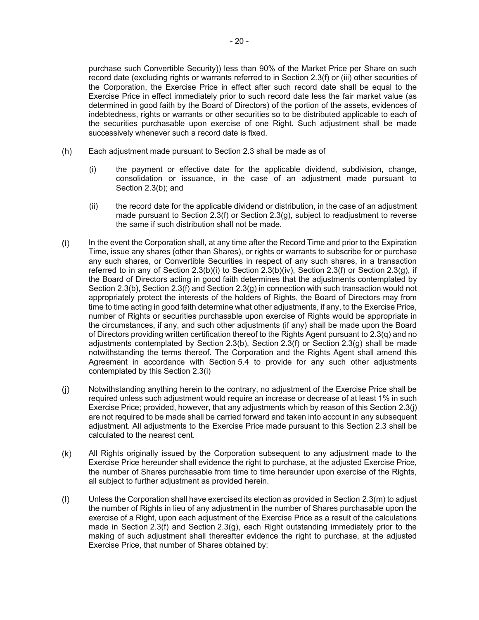purchase such Convertible Security)) less than 90% of the Market Price per Share on such record date (excluding rights or warrants referred to in Section 2.3(f) or (iii) other securities of the Corporation, the Exercise Price in effect after such record date shall be equal to the Exercise Price in effect immediately prior to such record date less the fair market value (as determined in good faith by the Board of Directors) of the portion of the assets, evidences of indebtedness, rights or warrants or other securities so to be distributed applicable to each of the securities purchasable upon exercise of one Right. Such adjustment shall be made successively whenever such a record date is fixed.

- $(h)$ Each adjustment made pursuant to Section 2.3 shall be made as of
	- (i) the payment or effective date for the applicable dividend, subdivision, change, consolidation or issuance, in the case of an adjustment made pursuant to Section 2.3(b); and
	- (ii) the record date for the applicable dividend or distribution, in the case of an adjustment made pursuant to Section 2.3(f) or Section 2.3(g), subject to readjustment to reverse the same if such distribution shall not be made.
- $(i)$ In the event the Corporation shall, at any time after the Record Time and prior to the Expiration Time, issue any shares (other than Shares), or rights or warrants to subscribe for or purchase any such shares, or Convertible Securities in respect of any such shares, in a transaction referred to in any of Section  $2.3(b)(i)$  to Section  $2.3(b)(iv)$ , Section  $2.3(f)$  or Section  $2.3(g)$ , if the Board of Directors acting in good faith determines that the adjustments contemplated by Section 2.3(b), Section 2.3(f) and Section 2.3(g) in connection with such transaction would not appropriately protect the interests of the holders of Rights, the Board of Directors may from time to time acting in good faith determine what other adjustments, if any, to the Exercise Price, number of Rights or securities purchasable upon exercise of Rights would be appropriate in the circumstances, if any, and such other adjustments (if any) shall be made upon the Board of Directors providing written certification thereof to the Rights Agent pursuant to 2.3(q) and no adjustments contemplated by Section 2.3(b), Section 2.3(f) or Section 2.3(g) shall be made notwithstanding the terms thereof. The Corporation and the Rights Agent shall amend this Agreement in accordance with Section 5.4 to provide for any such other adjustments contemplated by this Section 2.3(i)
- $(i)$ Notwithstanding anything herein to the contrary, no adjustment of the Exercise Price shall be required unless such adjustment would require an increase or decrease of at least 1% in such Exercise Price; provided, however, that any adjustments which by reason of this Section 2.3(j) are not required to be made shall be carried forward and taken into account in any subsequent adjustment. All adjustments to the Exercise Price made pursuant to this Section 2.3 shall be calculated to the nearest cent.
- $(k)$ All Rights originally issued by the Corporation subsequent to any adjustment made to the Exercise Price hereunder shall evidence the right to purchase, at the adjusted Exercise Price, the number of Shares purchasable from time to time hereunder upon exercise of the Rights, all subject to further adjustment as provided herein.
- $(1)$ Unless the Corporation shall have exercised its election as provided in Section 2.3(m) to adjust the number of Rights in lieu of any adjustment in the number of Shares purchasable upon the exercise of a Right, upon each adjustment of the Exercise Price as a result of the calculations made in Section 2.3(f) and Section 2.3(g), each Right outstanding immediately prior to the making of such adjustment shall thereafter evidence the right to purchase, at the adjusted Exercise Price, that number of Shares obtained by: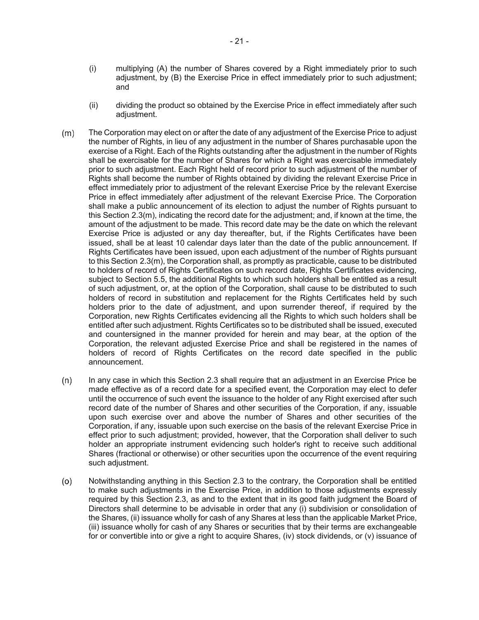- (i) multiplying (A) the number of Shares covered by a Right immediately prior to such adjustment, by (B) the Exercise Price in effect immediately prior to such adjustment; and
- (ii) dividing the product so obtained by the Exercise Price in effect immediately after such adjustment.
- $(m)$ The Corporation may elect on or after the date of any adjustment of the Exercise Price to adjust the number of Rights, in lieu of any adjustment in the number of Shares purchasable upon the exercise of a Right. Each of the Rights outstanding after the adjustment in the number of Rights shall be exercisable for the number of Shares for which a Right was exercisable immediately prior to such adjustment. Each Right held of record prior to such adjustment of the number of Rights shall become the number of Rights obtained by dividing the relevant Exercise Price in effect immediately prior to adjustment of the relevant Exercise Price by the relevant Exercise Price in effect immediately after adjustment of the relevant Exercise Price. The Corporation shall make a public announcement of its election to adjust the number of Rights pursuant to this Section 2.3(m), indicating the record date for the adjustment; and, if known at the time, the amount of the adjustment to be made. This record date may be the date on which the relevant Exercise Price is adjusted or any day thereafter, but, if the Rights Certificates have been issued, shall be at least 10 calendar days later than the date of the public announcement. If Rights Certificates have been issued, upon each adjustment of the number of Rights pursuant to this Section 2.3(m), the Corporation shall, as promptly as practicable, cause to be distributed to holders of record of Rights Certificates on such record date, Rights Certificates evidencing, subject to Section 5.5, the additional Rights to which such holders shall be entitled as a result of such adjustment, or, at the option of the Corporation, shall cause to be distributed to such holders of record in substitution and replacement for the Rights Certificates held by such holders prior to the date of adjustment, and upon surrender thereof, if required by the Corporation, new Rights Certificates evidencing all the Rights to which such holders shall be entitled after such adjustment. Rights Certificates so to be distributed shall be issued, executed and countersigned in the manner provided for herein and may bear, at the option of the Corporation, the relevant adjusted Exercise Price and shall be registered in the names of holders of record of Rights Certificates on the record date specified in the public announcement.
- In any case in which this Section 2.3 shall require that an adjustment in an Exercise Price be  $(n)$ made effective as of a record date for a specified event, the Corporation may elect to defer until the occurrence of such event the issuance to the holder of any Right exercised after such record date of the number of Shares and other securities of the Corporation, if any, issuable upon such exercise over and above the number of Shares and other securities of the Corporation, if any, issuable upon such exercise on the basis of the relevant Exercise Price in effect prior to such adjustment; provided, however, that the Corporation shall deliver to such holder an appropriate instrument evidencing such holder's right to receive such additional Shares (fractional or otherwise) or other securities upon the occurrence of the event requiring such adjustment.
- $(0)$ Notwithstanding anything in this Section 2.3 to the contrary, the Corporation shall be entitled to make such adjustments in the Exercise Price, in addition to those adjustments expressly required by this Section 2.3, as and to the extent that in its good faith judgment the Board of Directors shall determine to be advisable in order that any (i) subdivision or consolidation of the Shares, (ii) issuance wholly for cash of any Shares at less than the applicable Market Price, (iii) issuance wholly for cash of any Shares or securities that by their terms are exchangeable for or convertible into or give a right to acquire Shares, (iv) stock dividends, or (v) issuance of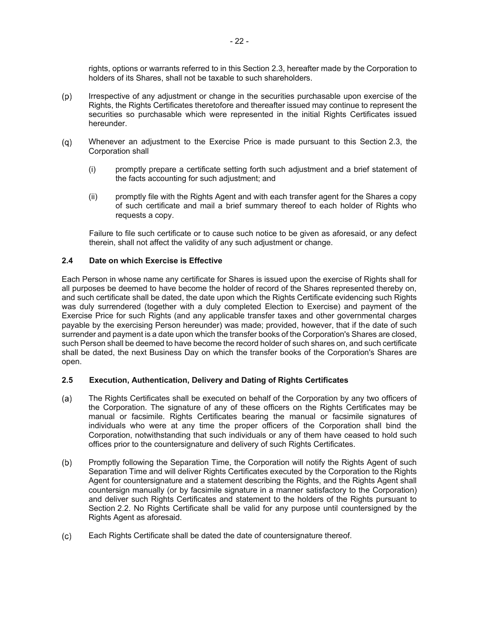rights, options or warrants referred to in this Section 2.3, hereafter made by the Corporation to holders of its Shares, shall not be taxable to such shareholders.

- $(p)$ Irrespective of any adjustment or change in the securities purchasable upon exercise of the Rights, the Rights Certificates theretofore and thereafter issued may continue to represent the securities so purchasable which were represented in the initial Rights Certificates issued hereunder.
- Whenever an adjustment to the Exercise Price is made pursuant to this Section 2.3, the  $(q)$ Corporation shall
	- (i) promptly prepare a certificate setting forth such adjustment and a brief statement of the facts accounting for such adjustment; and
	- (ii) promptly file with the Rights Agent and with each transfer agent for the Shares a copy of such certificate and mail a brief summary thereof to each holder of Rights who requests a copy.

Failure to file such certificate or to cause such notice to be given as aforesaid, or any defect therein, shall not affect the validity of any such adjustment or change.

## **2.4 Date on which Exercise is Effective**

Each Person in whose name any certificate for Shares is issued upon the exercise of Rights shall for all purposes be deemed to have become the holder of record of the Shares represented thereby on, and such certificate shall be dated, the date upon which the Rights Certificate evidencing such Rights was duly surrendered (together with a duly completed Election to Exercise) and payment of the Exercise Price for such Rights (and any applicable transfer taxes and other governmental charges payable by the exercising Person hereunder) was made; provided, however, that if the date of such surrender and payment is a date upon which the transfer books of the Corporation's Shares are closed, such Person shall be deemed to have become the record holder of such shares on, and such certificate shall be dated, the next Business Day on which the transfer books of the Corporation's Shares are open.

## **2.5 Execution, Authentication, Delivery and Dating of Rights Certificates**

- (a) The Rights Certificates shall be executed on behalf of the Corporation by any two officers of the Corporation. The signature of any of these officers on the Rights Certificates may be manual or facsimile. Rights Certificates bearing the manual or facsimile signatures of individuals who were at any time the proper officers of the Corporation shall bind the Corporation, notwithstanding that such individuals or any of them have ceased to hold such offices prior to the countersignature and delivery of such Rights Certificates.
- Promptly following the Separation Time, the Corporation will notify the Rights Agent of such  $(b)$ Separation Time and will deliver Rights Certificates executed by the Corporation to the Rights Agent for countersignature and a statement describing the Rights, and the Rights Agent shall countersign manually (or by facsimile signature in a manner satisfactory to the Corporation) and deliver such Rights Certificates and statement to the holders of the Rights pursuant to Section 2.2. No Rights Certificate shall be valid for any purpose until countersigned by the Rights Agent as aforesaid.
- Each Rights Certificate shall be dated the date of countersignature thereof. $(c)$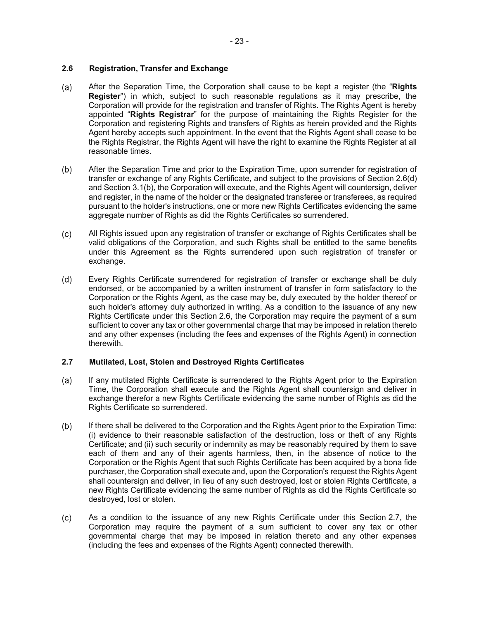# **2.6 Registration, Transfer and Exchange**

- After the Separation Time, the Corporation shall cause to be kept a register (the "**Rights**   $(a)$ **Register**") in which, subject to such reasonable regulations as it may prescribe, the Corporation will provide for the registration and transfer of Rights. The Rights Agent is hereby appointed "**Rights Registrar**" for the purpose of maintaining the Rights Register for the Corporation and registering Rights and transfers of Rights as herein provided and the Rights Agent hereby accepts such appointment. In the event that the Rights Agent shall cease to be the Rights Registrar, the Rights Agent will have the right to examine the Rights Register at all reasonable times.
- $(b)$ After the Separation Time and prior to the Expiration Time, upon surrender for registration of transfer or exchange of any Rights Certificate, and subject to the provisions of Section 2.6(d) and Section 3.1(b), the Corporation will execute, and the Rights Agent will countersign, deliver and register, in the name of the holder or the designated transferee or transferees, as required pursuant to the holder's instructions, one or more new Rights Certificates evidencing the same aggregate number of Rights as did the Rights Certificates so surrendered.
- $(c)$ All Rights issued upon any registration of transfer or exchange of Rights Certificates shall be valid obligations of the Corporation, and such Rights shall be entitled to the same benefits under this Agreement as the Rights surrendered upon such registration of transfer or exchange.
- $(d)$ Every Rights Certificate surrendered for registration of transfer or exchange shall be duly endorsed, or be accompanied by a written instrument of transfer in form satisfactory to the Corporation or the Rights Agent, as the case may be, duly executed by the holder thereof or such holder's attorney duly authorized in writing. As a condition to the issuance of any new Rights Certificate under this Section 2.6, the Corporation may require the payment of a sum sufficient to cover any tax or other governmental charge that may be imposed in relation thereto and any other expenses (including the fees and expenses of the Rights Agent) in connection therewith.

# **2.7 Mutilated, Lost, Stolen and Destroyed Rights Certificates**

- $(a)$ If any mutilated Rights Certificate is surrendered to the Rights Agent prior to the Expiration Time, the Corporation shall execute and the Rights Agent shall countersign and deliver in exchange therefor a new Rights Certificate evidencing the same number of Rights as did the Rights Certificate so surrendered.
- $(b)$ If there shall be delivered to the Corporation and the Rights Agent prior to the Expiration Time: (i) evidence to their reasonable satisfaction of the destruction, loss or theft of any Rights Certificate; and (ii) such security or indemnity as may be reasonably required by them to save each of them and any of their agents harmless, then, in the absence of notice to the Corporation or the Rights Agent that such Rights Certificate has been acquired by a bona fide purchaser, the Corporation shall execute and, upon the Corporation's request the Rights Agent shall countersign and deliver, in lieu of any such destroyed, lost or stolen Rights Certificate, a new Rights Certificate evidencing the same number of Rights as did the Rights Certificate so destroyed, lost or stolen.
- As a condition to the issuance of any new Rights Certificate under this Section 2.7, the  $(c)$ Corporation may require the payment of a sum sufficient to cover any tax or other governmental charge that may be imposed in relation thereto and any other expenses (including the fees and expenses of the Rights Agent) connected therewith.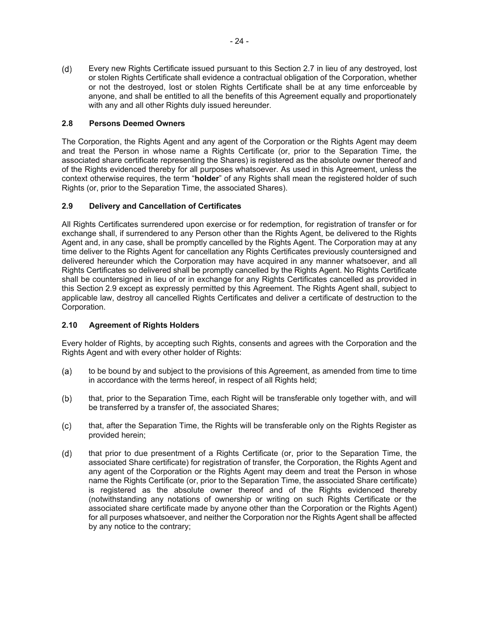$(d)$ Every new Rights Certificate issued pursuant to this Section 2.7 in lieu of any destroyed, lost or stolen Rights Certificate shall evidence a contractual obligation of the Corporation, whether or not the destroyed, lost or stolen Rights Certificate shall be at any time enforceable by anyone, and shall be entitled to all the benefits of this Agreement equally and proportionately with any and all other Rights duly issued hereunder.

# **2.8 Persons Deemed Owners**

The Corporation, the Rights Agent and any agent of the Corporation or the Rights Agent may deem and treat the Person in whose name a Rights Certificate (or, prior to the Separation Time, the associated share certificate representing the Shares) is registered as the absolute owner thereof and of the Rights evidenced thereby for all purposes whatsoever. As used in this Agreement, unless the context otherwise requires, the term "**holder**" of any Rights shall mean the registered holder of such Rights (or, prior to the Separation Time, the associated Shares).

# **2.9 Delivery and Cancellation of Certificates**

All Rights Certificates surrendered upon exercise or for redemption, for registration of transfer or for exchange shall, if surrendered to any Person other than the Rights Agent, be delivered to the Rights Agent and, in any case, shall be promptly cancelled by the Rights Agent. The Corporation may at any time deliver to the Rights Agent for cancellation any Rights Certificates previously countersigned and delivered hereunder which the Corporation may have acquired in any manner whatsoever, and all Rights Certificates so delivered shall be promptly cancelled by the Rights Agent. No Rights Certificate shall be countersigned in lieu of or in exchange for any Rights Certificates cancelled as provided in this Section 2.9 except as expressly permitted by this Agreement. The Rights Agent shall, subject to applicable law, destroy all cancelled Rights Certificates and deliver a certificate of destruction to the Corporation.

# **2.10 Agreement of Rights Holders**

Every holder of Rights, by accepting such Rights, consents and agrees with the Corporation and the Rights Agent and with every other holder of Rights:

- to be bound by and subject to the provisions of this Agreement, as amended from time to time  $(a)$ in accordance with the terms hereof, in respect of all Rights held;
- $(b)$ that, prior to the Separation Time, each Right will be transferable only together with, and will be transferred by a transfer of, the associated Shares;
- $(c)$ that, after the Separation Time, the Rights will be transferable only on the Rights Register as provided herein;
- that prior to due presentment of a Rights Certificate (or, prior to the Separation Time, the  $(d)$ associated Share certificate) for registration of transfer, the Corporation, the Rights Agent and any agent of the Corporation or the Rights Agent may deem and treat the Person in whose name the Rights Certificate (or, prior to the Separation Time, the associated Share certificate) is registered as the absolute owner thereof and of the Rights evidenced thereby (notwithstanding any notations of ownership or writing on such Rights Certificate or the associated share certificate made by anyone other than the Corporation or the Rights Agent) for all purposes whatsoever, and neither the Corporation nor the Rights Agent shall be affected by any notice to the contrary;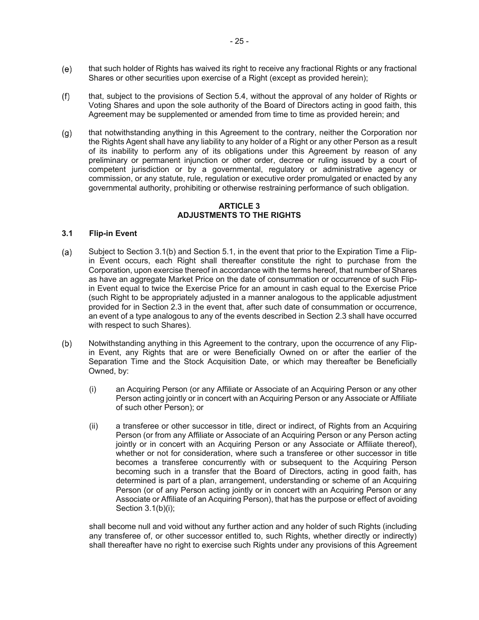- that such holder of Rights has waived its right to receive any fractional Rights or any fractional  $(e)$ Shares or other securities upon exercise of a Right (except as provided herein);
- $(f)$ that, subject to the provisions of Section 5.4, without the approval of any holder of Rights or Voting Shares and upon the sole authority of the Board of Directors acting in good faith, this Agreement may be supplemented or amended from time to time as provided herein; and
- $(q)$ that notwithstanding anything in this Agreement to the contrary, neither the Corporation nor the Rights Agent shall have any liability to any holder of a Right or any other Person as a result of its inability to perform any of its obligations under this Agreement by reason of any preliminary or permanent injunction or other order, decree or ruling issued by a court of competent jurisdiction or by a governmental, regulatory or administrative agency or commission, or any statute, rule, regulation or executive order promulgated or enacted by any governmental authority, prohibiting or otherwise restraining performance of such obligation.

#### **ARTICLE 3 ADJUSTMENTS TO THE RIGHTS**

## **3.1 Flip-in Event**

- Subject to Section 3.1(b) and Section 5.1, in the event that prior to the Expiration Time a Flip-(a) in Event occurs, each Right shall thereafter constitute the right to purchase from the Corporation, upon exercise thereof in accordance with the terms hereof, that number of Shares as have an aggregate Market Price on the date of consummation or occurrence of such Flipin Event equal to twice the Exercise Price for an amount in cash equal to the Exercise Price (such Right to be appropriately adjusted in a manner analogous to the applicable adjustment provided for in Section 2.3 in the event that, after such date of consummation or occurrence, an event of a type analogous to any of the events described in Section 2.3 shall have occurred with respect to such Shares).
- $(b)$ Notwithstanding anything in this Agreement to the contrary, upon the occurrence of any Flipin Event, any Rights that are or were Beneficially Owned on or after the earlier of the Separation Time and the Stock Acquisition Date, or which may thereafter be Beneficially Owned, by:
	- (i) an Acquiring Person (or any Affiliate or Associate of an Acquiring Person or any other Person acting jointly or in concert with an Acquiring Person or any Associate or Affiliate of such other Person); or
	- (ii) a transferee or other successor in title, direct or indirect, of Rights from an Acquiring Person (or from any Affiliate or Associate of an Acquiring Person or any Person acting jointly or in concert with an Acquiring Person or any Associate or Affiliate thereof), whether or not for consideration, where such a transferee or other successor in title becomes a transferee concurrently with or subsequent to the Acquiring Person becoming such in a transfer that the Board of Directors, acting in good faith, has determined is part of a plan, arrangement, understanding or scheme of an Acquiring Person (or of any Person acting jointly or in concert with an Acquiring Person or any Associate or Affiliate of an Acquiring Person), that has the purpose or effect of avoiding Section 3.1(b)(i);

shall become null and void without any further action and any holder of such Rights (including any transferee of, or other successor entitled to, such Rights, whether directly or indirectly) shall thereafter have no right to exercise such Rights under any provisions of this Agreement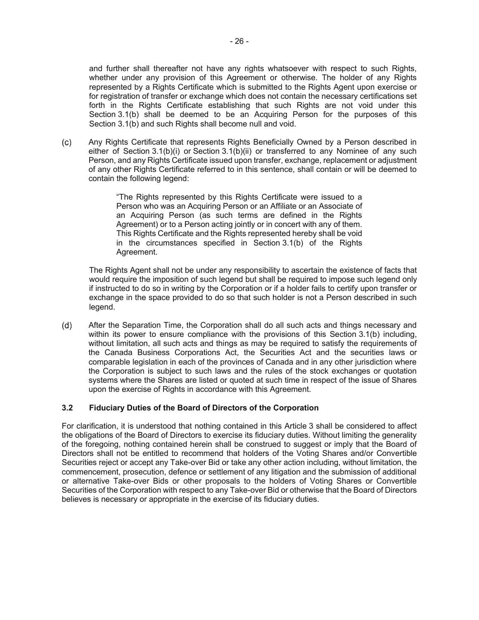and further shall thereafter not have any rights whatsoever with respect to such Rights, whether under any provision of this Agreement or otherwise. The holder of any Rights represented by a Rights Certificate which is submitted to the Rights Agent upon exercise or for registration of transfer or exchange which does not contain the necessary certifications set forth in the Rights Certificate establishing that such Rights are not void under this Section 3.1(b) shall be deemed to be an Acquiring Person for the purposes of this Section 3.1(b) and such Rights shall become null and void.

Any Rights Certificate that represents Rights Beneficially Owned by a Person described in  $(c)$ either of Section 3.1(b)(i) or Section 3.1(b)(ii) or transferred to any Nominee of any such Person, and any Rights Certificate issued upon transfer, exchange, replacement or adjustment of any other Rights Certificate referred to in this sentence, shall contain or will be deemed to contain the following legend:

> "The Rights represented by this Rights Certificate were issued to a Person who was an Acquiring Person or an Affiliate or an Associate of an Acquiring Person (as such terms are defined in the Rights Agreement) or to a Person acting jointly or in concert with any of them. This Rights Certificate and the Rights represented hereby shall be void in the circumstances specified in Section 3.1(b) of the Rights Agreement.

The Rights Agent shall not be under any responsibility to ascertain the existence of facts that would require the imposition of such legend but shall be required to impose such legend only if instructed to do so in writing by the Corporation or if a holder fails to certify upon transfer or exchange in the space provided to do so that such holder is not a Person described in such legend.

 $(d)$ After the Separation Time, the Corporation shall do all such acts and things necessary and within its power to ensure compliance with the provisions of this Section 3.1(b) including, without limitation, all such acts and things as may be required to satisfy the requirements of the Canada Business Corporations Act, the Securities Act and the securities laws or comparable legislation in each of the provinces of Canada and in any other jurisdiction where the Corporation is subject to such laws and the rules of the stock exchanges or quotation systems where the Shares are listed or quoted at such time in respect of the issue of Shares upon the exercise of Rights in accordance with this Agreement.

### **3.2 Fiduciary Duties of the Board of Directors of the Corporation**

For clarification, it is understood that nothing contained in this Article 3 shall be considered to affect the obligations of the Board of Directors to exercise its fiduciary duties. Without limiting the generality of the foregoing, nothing contained herein shall be construed to suggest or imply that the Board of Directors shall not be entitled to recommend that holders of the Voting Shares and/or Convertible Securities reject or accept any Take-over Bid or take any other action including, without limitation, the commencement, prosecution, defence or settlement of any litigation and the submission of additional or alternative Take-over Bids or other proposals to the holders of Voting Shares or Convertible Securities of the Corporation with respect to any Take-over Bid or otherwise that the Board of Directors believes is necessary or appropriate in the exercise of its fiduciary duties.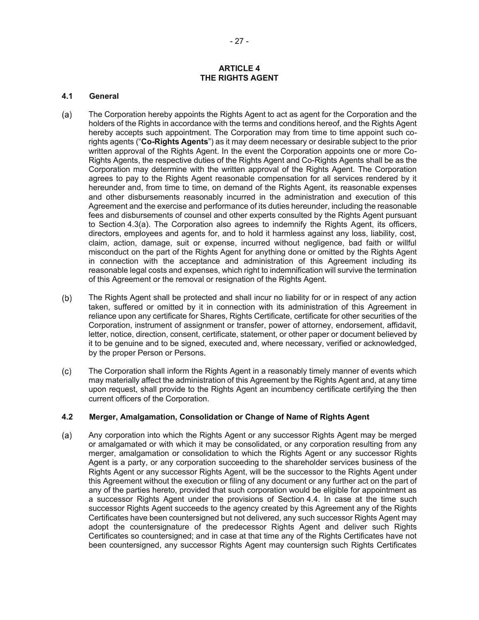### **ARTICLE 4 THE RIGHTS AGENT**

### **4.1 General**

- The Corporation hereby appoints the Rights Agent to act as agent for the Corporation and the  $(a)$ holders of the Rights in accordance with the terms and conditions hereof, and the Rights Agent hereby accepts such appointment. The Corporation may from time to time appoint such corights agents ("**Co-Rights Agents**") as it may deem necessary or desirable subject to the prior written approval of the Rights Agent. In the event the Corporation appoints one or more Co-Rights Agents, the respective duties of the Rights Agent and Co-Rights Agents shall be as the Corporation may determine with the written approval of the Rights Agent. The Corporation agrees to pay to the Rights Agent reasonable compensation for all services rendered by it hereunder and, from time to time, on demand of the Rights Agent, its reasonable expenses and other disbursements reasonably incurred in the administration and execution of this Agreement and the exercise and performance of its duties hereunder, including the reasonable fees and disbursements of counsel and other experts consulted by the Rights Agent pursuant to Section 4.3(a). The Corporation also agrees to indemnify the Rights Agent, its officers, directors, employees and agents for, and to hold it harmless against any loss, liability, cost, claim, action, damage, suit or expense, incurred without negligence, bad faith or willful misconduct on the part of the Rights Agent for anything done or omitted by the Rights Agent in connection with the acceptance and administration of this Agreement including its reasonable legal costs and expenses, which right to indemnification will survive the termination of this Agreement or the removal or resignation of the Rights Agent.
- $(b)$ The Rights Agent shall be protected and shall incur no liability for or in respect of any action taken, suffered or omitted by it in connection with its administration of this Agreement in reliance upon any certificate for Shares, Rights Certificate, certificate for other securities of the Corporation, instrument of assignment or transfer, power of attorney, endorsement, affidavit, letter, notice, direction, consent, certificate, statement, or other paper or document believed by it to be genuine and to be signed, executed and, where necessary, verified or acknowledged, by the proper Person or Persons.
- $(c)$ The Corporation shall inform the Rights Agent in a reasonably timely manner of events which may materially affect the administration of this Agreement by the Rights Agent and, at any time upon request, shall provide to the Rights Agent an incumbency certificate certifying the then current officers of the Corporation.

### **4.2 Merger, Amalgamation, Consolidation or Change of Name of Rights Agent**

 $(a)$ Any corporation into which the Rights Agent or any successor Rights Agent may be merged or amalgamated or with which it may be consolidated, or any corporation resulting from any merger, amalgamation or consolidation to which the Rights Agent or any successor Rights Agent is a party, or any corporation succeeding to the shareholder services business of the Rights Agent or any successor Rights Agent, will be the successor to the Rights Agent under this Agreement without the execution or filing of any document or any further act on the part of any of the parties hereto, provided that such corporation would be eligible for appointment as a successor Rights Agent under the provisions of Section 4.4. In case at the time such successor Rights Agent succeeds to the agency created by this Agreement any of the Rights Certificates have been countersigned but not delivered, any such successor Rights Agent may adopt the countersignature of the predecessor Rights Agent and deliver such Rights Certificates so countersigned; and in case at that time any of the Rights Certificates have not been countersigned, any successor Rights Agent may countersign such Rights Certificates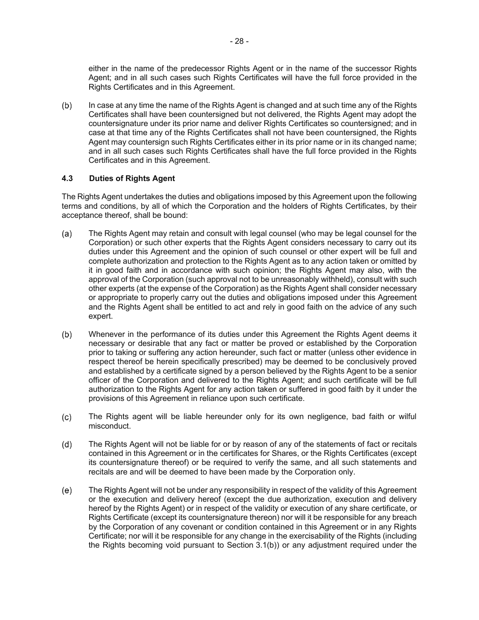either in the name of the predecessor Rights Agent or in the name of the successor Rights Agent; and in all such cases such Rights Certificates will have the full force provided in the Rights Certificates and in this Agreement.

 $(b)$ In case at any time the name of the Rights Agent is changed and at such time any of the Rights Certificates shall have been countersigned but not delivered, the Rights Agent may adopt the countersignature under its prior name and deliver Rights Certificates so countersigned; and in case at that time any of the Rights Certificates shall not have been countersigned, the Rights Agent may countersign such Rights Certificates either in its prior name or in its changed name; and in all such cases such Rights Certificates shall have the full force provided in the Rights Certificates and in this Agreement.

## **4.3 Duties of Rights Agent**

The Rights Agent undertakes the duties and obligations imposed by this Agreement upon the following terms and conditions, by all of which the Corporation and the holders of Rights Certificates, by their acceptance thereof, shall be bound:

- The Rights Agent may retain and consult with legal counsel (who may be legal counsel for the  $(a)$ Corporation) or such other experts that the Rights Agent considers necessary to carry out its duties under this Agreement and the opinion of such counsel or other expert will be full and complete authorization and protection to the Rights Agent as to any action taken or omitted by it in good faith and in accordance with such opinion; the Rights Agent may also, with the approval of the Corporation (such approval not to be unreasonably withheld), consult with such other experts (at the expense of the Corporation) as the Rights Agent shall consider necessary or appropriate to properly carry out the duties and obligations imposed under this Agreement and the Rights Agent shall be entitled to act and rely in good faith on the advice of any such expert.
- $(b)$ Whenever in the performance of its duties under this Agreement the Rights Agent deems it necessary or desirable that any fact or matter be proved or established by the Corporation prior to taking or suffering any action hereunder, such fact or matter (unless other evidence in respect thereof be herein specifically prescribed) may be deemed to be conclusively proved and established by a certificate signed by a person believed by the Rights Agent to be a senior officer of the Corporation and delivered to the Rights Agent; and such certificate will be full authorization to the Rights Agent for any action taken or suffered in good faith by it under the provisions of this Agreement in reliance upon such certificate.
- $(c)$ The Rights agent will be liable hereunder only for its own negligence, bad faith or wilful misconduct.
- The Rights Agent will not be liable for or by reason of any of the statements of fact or recitals  $(d)$ contained in this Agreement or in the certificates for Shares, or the Rights Certificates (except its countersignature thereof) or be required to verify the same, and all such statements and recitals are and will be deemed to have been made by the Corporation only.
- $(e)$ The Rights Agent will not be under any responsibility in respect of the validity of this Agreement or the execution and delivery hereof (except the due authorization, execution and delivery hereof by the Rights Agent) or in respect of the validity or execution of any share certificate, or Rights Certificate (except its countersignature thereon) nor will it be responsible for any breach by the Corporation of any covenant or condition contained in this Agreement or in any Rights Certificate; nor will it be responsible for any change in the exercisability of the Rights (including the Rights becoming void pursuant to Section 3.1(b)) or any adjustment required under the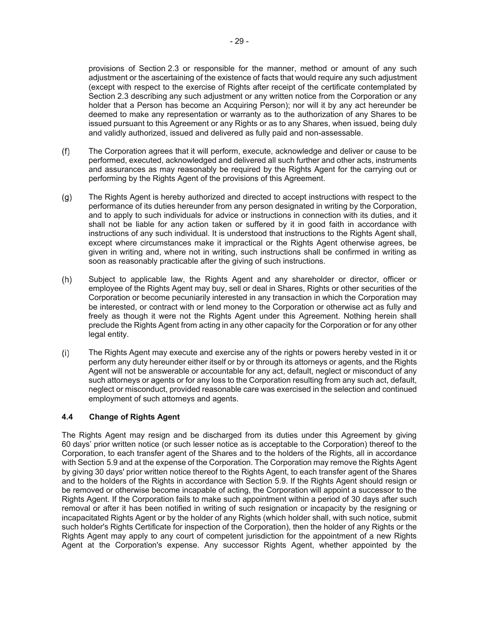provisions of Section 2.3 or responsible for the manner, method or amount of any such adjustment or the ascertaining of the existence of facts that would require any such adjustment (except with respect to the exercise of Rights after receipt of the certificate contemplated by Section 2.3 describing any such adjustment or any written notice from the Corporation or any holder that a Person has become an Acquiring Person); nor will it by any act hereunder be deemed to make any representation or warranty as to the authorization of any Shares to be issued pursuant to this Agreement or any Rights or as to any Shares, when issued, being duly and validly authorized, issued and delivered as fully paid and non-assessable.

- $(f)$ The Corporation agrees that it will perform, execute, acknowledge and deliver or cause to be performed, executed, acknowledged and delivered all such further and other acts, instruments and assurances as may reasonably be required by the Rights Agent for the carrying out or performing by the Rights Agent of the provisions of this Agreement.
- $(g)$ The Rights Agent is hereby authorized and directed to accept instructions with respect to the performance of its duties hereunder from any person designated in writing by the Corporation, and to apply to such individuals for advice or instructions in connection with its duties, and it shall not be liable for any action taken or suffered by it in good faith in accordance with instructions of any such individual. It is understood that instructions to the Rights Agent shall, except where circumstances make it impractical or the Rights Agent otherwise agrees, be given in writing and, where not in writing, such instructions shall be confirmed in writing as soon as reasonably practicable after the giving of such instructions.
- $(h)$ Subject to applicable law, the Rights Agent and any shareholder or director, officer or employee of the Rights Agent may buy, sell or deal in Shares, Rights or other securities of the Corporation or become pecuniarily interested in any transaction in which the Corporation may be interested, or contract with or lend money to the Corporation or otherwise act as fully and freely as though it were not the Rights Agent under this Agreement. Nothing herein shall preclude the Rights Agent from acting in any other capacity for the Corporation or for any other legal entity.
- The Rights Agent may execute and exercise any of the rights or powers hereby vested in it or  $(i)$ perform any duty hereunder either itself or by or through its attorneys or agents, and the Rights Agent will not be answerable or accountable for any act, default, neglect or misconduct of any such attorneys or agents or for any loss to the Corporation resulting from any such act, default, neglect or misconduct, provided reasonable care was exercised in the selection and continued employment of such attorneys and agents.

# **4.4 Change of Rights Agent**

The Rights Agent may resign and be discharged from its duties under this Agreement by giving 60 days' prior written notice (or such lesser notice as is acceptable to the Corporation) thereof to the Corporation, to each transfer agent of the Shares and to the holders of the Rights, all in accordance with Section 5.9 and at the expense of the Corporation. The Corporation may remove the Rights Agent by giving 30 days' prior written notice thereof to the Rights Agent, to each transfer agent of the Shares and to the holders of the Rights in accordance with Section 5.9. If the Rights Agent should resign or be removed or otherwise become incapable of acting, the Corporation will appoint a successor to the Rights Agent. If the Corporation fails to make such appointment within a period of 30 days after such removal or after it has been notified in writing of such resignation or incapacity by the resigning or incapacitated Rights Agent or by the holder of any Rights (which holder shall, with such notice, submit such holder's Rights Certificate for inspection of the Corporation), then the holder of any Rights or the Rights Agent may apply to any court of competent jurisdiction for the appointment of a new Rights Agent at the Corporation's expense. Any successor Rights Agent, whether appointed by the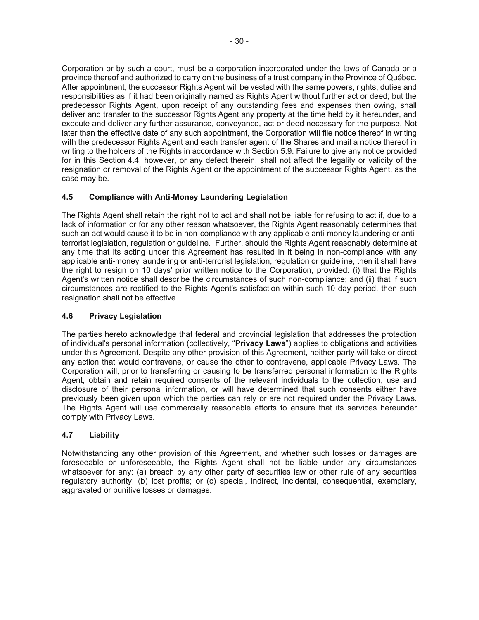Corporation or by such a court, must be a corporation incorporated under the laws of Canada or a province thereof and authorized to carry on the business of a trust company in the Province of Québec. After appointment, the successor Rights Agent will be vested with the same powers, rights, duties and responsibilities as if it had been originally named as Rights Agent without further act or deed; but the predecessor Rights Agent, upon receipt of any outstanding fees and expenses then owing, shall deliver and transfer to the successor Rights Agent any property at the time held by it hereunder, and execute and deliver any further assurance, conveyance, act or deed necessary for the purpose. Not later than the effective date of any such appointment, the Corporation will file notice thereof in writing with the predecessor Rights Agent and each transfer agent of the Shares and mail a notice thereof in writing to the holders of the Rights in accordance with Section 5.9. Failure to give any notice provided for in this Section 4.4, however, or any defect therein, shall not affect the legality or validity of the resignation or removal of the Rights Agent or the appointment of the successor Rights Agent, as the case may be.

# **4.5 Compliance with Anti-Money Laundering Legislation**

The Rights Agent shall retain the right not to act and shall not be liable for refusing to act if, due to a lack of information or for any other reason whatsoever, the Rights Agent reasonably determines that such an act would cause it to be in non-compliance with any applicable anti-money laundering or antiterrorist legislation, regulation or guideline. Further, should the Rights Agent reasonably determine at any time that its acting under this Agreement has resulted in it being in non-compliance with any applicable anti-money laundering or anti-terrorist legislation, regulation or guideline, then it shall have the right to resign on 10 days' prior written notice to the Corporation, provided: (i) that the Rights Agent's written notice shall describe the circumstances of such non-compliance; and (ii) that if such circumstances are rectified to the Rights Agent's satisfaction within such 10 day period, then such resignation shall not be effective.

# **4.6 Privacy Legislation**

The parties hereto acknowledge that federal and provincial legislation that addresses the protection of individual's personal information (collectively, "**Privacy Laws**") applies to obligations and activities under this Agreement. Despite any other provision of this Agreement, neither party will take or direct any action that would contravene, or cause the other to contravene, applicable Privacy Laws. The Corporation will, prior to transferring or causing to be transferred personal information to the Rights Agent, obtain and retain required consents of the relevant individuals to the collection, use and disclosure of their personal information, or will have determined that such consents either have previously been given upon which the parties can rely or are not required under the Privacy Laws. The Rights Agent will use commercially reasonable efforts to ensure that its services hereunder comply with Privacy Laws.

# **4.7 Liability**

Notwithstanding any other provision of this Agreement, and whether such losses or damages are foreseeable or unforeseeable, the Rights Agent shall not be liable under any circumstances whatsoever for any: (a) breach by any other party of securities law or other rule of any securities regulatory authority; (b) lost profits; or (c) special, indirect, incidental, consequential, exemplary, aggravated or punitive losses or damages.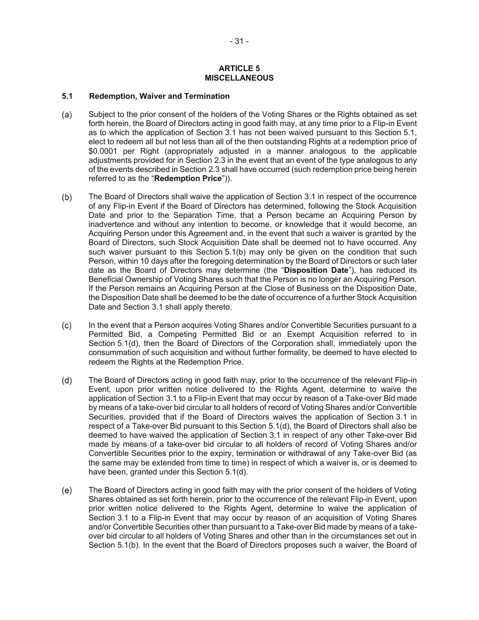#### **ARTICLE 5 MISCELLANEOUS**

#### **5.1 Redemption, Waiver and Termination**

- Subject to the prior consent of the holders of the Voting Shares or the Rights obtained as set  $(a)$ forth herein, the Board of Directors acting in good faith may, at any time prior to a Flip-in Event as to which the application of Section 3.1 has not been waived pursuant to this Section 5.1, elect to redeem all but not less than all of the then outstanding Rights at a redemption price of \$0.0001 per Right (appropriately adjusted in a manner analogous to the applicable adjustments provided for in Section 2.3 in the event that an event of the type analogous to any of the events described in Section 2.3 shall have occurred (such redemption price being herein referred to as the "**Redemption Price**")).
- $(b)$ The Board of Directors shall waive the application of Section 3.1 in respect of the occurrence of any Flip-in Event if the Board of Directors has determined, following the Stock Acquisition Date and prior to the Separation Time, that a Person became an Acquiring Person by inadvertence and without any intention to become, or knowledge that it would become, an Acquiring Person under this Agreement and, in the event that such a waiver is granted by the Board of Directors, such Stock Acquisition Date shall be deemed not to have occurred. Any such waiver pursuant to this Section 5.1(b) may only be given on the condition that such Person, within 10 days after the foregoing determination by the Board of Directors or such later date as the Board of Directors may determine (the "**Disposition Date**"), has reduced its Beneficial Ownership of Voting Shares such that the Person is no longer an Acquiring Person. If the Person remains an Acquiring Person at the Close of Business on the Disposition Date, the Disposition Date shall be deemed to be the date of occurrence of a further Stock Acquisition Date and Section 3.1 shall apply thereto.
- $(c)$ In the event that a Person acquires Voting Shares and/or Convertible Securities pursuant to a Permitted Bid, a Competing Permitted Bid or an Exempt Acquisition referred to in Section 5.1(d), then the Board of Directors of the Corporation shall, immediately upon the consummation of such acquisition and without further formality, be deemed to have elected to redeem the Rights at the Redemption Price.
- $(d)$ The Board of Directors acting in good faith may, prior to the occurrence of the relevant Flip-in Event, upon prior written notice delivered to the Rights Agent, determine to waive the application of Section 3.1 to a Flip-in Event that may occur by reason of a Take-over Bid made by means of a take-over bid circular to all holders of record of Voting Shares and/or Convertible Securities, provided that if the Board of Directors waives the application of Section 3.1 in respect of a Take-over Bid pursuant to this Section 5.1(d), the Board of Directors shall also be deemed to have waived the application of Section 3.1 in respect of any other Take-over Bid made by means of a take-over bid circular to all holders of record of Voting Shares and/or Convertible Securities prior to the expiry, termination or withdrawal of any Take-over Bid (as the same may be extended from time to time) in respect of which a waiver is, or is deemed to have been, granted under this Section 5.1(d).
- The Board of Directors acting in good faith may with the prior consent of the holders of Voting  $(e)$ Shares obtained as set forth herein, prior to the occurrence of the relevant Flip-in Event, upon prior written notice delivered to the Rights Agent, determine to waive the application of Section 3.1 to a Flip-in Event that may occur by reason of an acquisition of Voting Shares and/or Convertible Securities other than pursuant to a Take-over Bid made by means of a takeover bid circular to all holders of Voting Shares and other than in the circumstances set out in Section 5.1(b). In the event that the Board of Directors proposes such a waiver, the Board of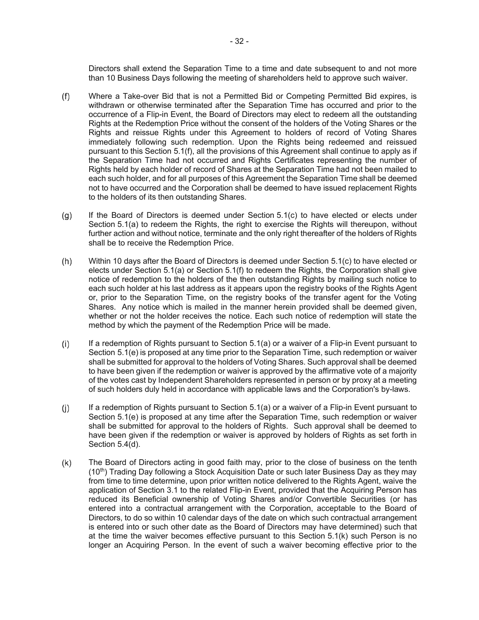Directors shall extend the Separation Time to a time and date subsequent to and not more than 10 Business Days following the meeting of shareholders held to approve such waiver.

- $(f)$ Where a Take-over Bid that is not a Permitted Bid or Competing Permitted Bid expires, is withdrawn or otherwise terminated after the Separation Time has occurred and prior to the occurrence of a Flip-in Event, the Board of Directors may elect to redeem all the outstanding Rights at the Redemption Price without the consent of the holders of the Voting Shares or the Rights and reissue Rights under this Agreement to holders of record of Voting Shares immediately following such redemption. Upon the Rights being redeemed and reissued pursuant to this Section 5.1(f), all the provisions of this Agreement shall continue to apply as if the Separation Time had not occurred and Rights Certificates representing the number of Rights held by each holder of record of Shares at the Separation Time had not been mailed to each such holder, and for all purposes of this Agreement the Separation Time shall be deemed not to have occurred and the Corporation shall be deemed to have issued replacement Rights to the holders of its then outstanding Shares.
- If the Board of Directors is deemed under Section 5.1(c) to have elected or elects under  $(g)$ Section 5.1(a) to redeem the Rights, the right to exercise the Rights will thereupon, without further action and without notice, terminate and the only right thereafter of the holders of Rights shall be to receive the Redemption Price.
- Within 10 days after the Board of Directors is deemed under Section 5.1(c) to have elected or  $(h)$ elects under Section 5.1(a) or Section 5.1(f) to redeem the Rights, the Corporation shall give notice of redemption to the holders of the then outstanding Rights by mailing such notice to each such holder at his last address as it appears upon the registry books of the Rights Agent or, prior to the Separation Time, on the registry books of the transfer agent for the Voting Shares. Any notice which is mailed in the manner herein provided shall be deemed given, whether or not the holder receives the notice. Each such notice of redemption will state the method by which the payment of the Redemption Price will be made.
- $(i)$ If a redemption of Rights pursuant to Section 5.1(a) or a waiver of a Flip-in Event pursuant to Section 5.1(e) is proposed at any time prior to the Separation Time, such redemption or waiver shall be submitted for approval to the holders of Voting Shares. Such approval shall be deemed to have been given if the redemption or waiver is approved by the affirmative vote of a majority of the votes cast by Independent Shareholders represented in person or by proxy at a meeting of such holders duly held in accordance with applicable laws and the Corporation's by-laws.
- $(i)$ If a redemption of Rights pursuant to Section 5.1(a) or a waiver of a Flip-in Event pursuant to Section 5.1(e) is proposed at any time after the Separation Time, such redemption or waiver shall be submitted for approval to the holders of Rights. Such approval shall be deemed to have been given if the redemption or waiver is approved by holders of Rights as set forth in Section 5.4(d).
- The Board of Directors acting in good faith may, prior to the close of business on the tenth  $(k)$  $(10<sup>th</sup>)$  Trading Day following a Stock Acquisition Date or such later Business Day as they may from time to time determine, upon prior written notice delivered to the Rights Agent, waive the application of Section 3.1 to the related Flip-in Event, provided that the Acquiring Person has reduced its Beneficial ownership of Voting Shares and/or Convertible Securities (or has entered into a contractual arrangement with the Corporation, acceptable to the Board of Directors, to do so within 10 calendar days of the date on which such contractual arrangement is entered into or such other date as the Board of Directors may have determined) such that at the time the waiver becomes effective pursuant to this Section 5.1(k) such Person is no longer an Acquiring Person. In the event of such a waiver becoming effective prior to the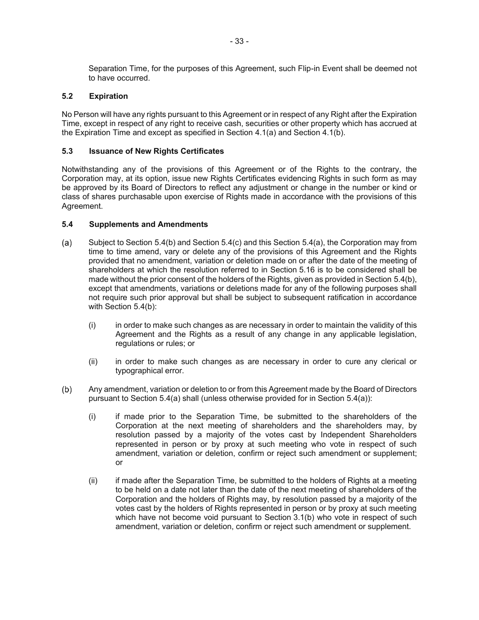Separation Time, for the purposes of this Agreement, such Flip-in Event shall be deemed not to have occurred.

## **5.2 Expiration**

No Person will have any rights pursuant to this Agreement or in respect of any Right after the Expiration Time, except in respect of any right to receive cash, securities or other property which has accrued at the Expiration Time and except as specified in Section 4.1(a) and Section 4.1(b).

# **5.3 Issuance of New Rights Certificates**

Notwithstanding any of the provisions of this Agreement or of the Rights to the contrary, the Corporation may, at its option, issue new Rights Certificates evidencing Rights in such form as may be approved by its Board of Directors to reflect any adjustment or change in the number or kind or class of shares purchasable upon exercise of Rights made in accordance with the provisions of this Agreement.

## **5.4 Supplements and Amendments**

- Subject to Section 5.4(b) and Section 5.4(c) and this Section 5.4(a), the Corporation may from  $(a)$ time to time amend, vary or delete any of the provisions of this Agreement and the Rights provided that no amendment, variation or deletion made on or after the date of the meeting of shareholders at which the resolution referred to in Section 5.16 is to be considered shall be made without the prior consent of the holders of the Rights, given as provided in Section 5.4(b), except that amendments, variations or deletions made for any of the following purposes shall not require such prior approval but shall be subject to subsequent ratification in accordance with Section 5.4(b):
	- (i) in order to make such changes as are necessary in order to maintain the validity of this Agreement and the Rights as a result of any change in any applicable legislation, regulations or rules; or
	- (ii) in order to make such changes as are necessary in order to cure any clerical or typographical error.
- Any amendment, variation or deletion to or from this Agreement made by the Board of Directors  $(b)$ pursuant to Section 5.4(a) shall (unless otherwise provided for in Section 5.4(a)):
	- (i) if made prior to the Separation Time, be submitted to the shareholders of the Corporation at the next meeting of shareholders and the shareholders may, by resolution passed by a majority of the votes cast by Independent Shareholders represented in person or by proxy at such meeting who vote in respect of such amendment, variation or deletion, confirm or reject such amendment or supplement; or
	- (ii) if made after the Separation Time, be submitted to the holders of Rights at a meeting to be held on a date not later than the date of the next meeting of shareholders of the Corporation and the holders of Rights may, by resolution passed by a majority of the votes cast by the holders of Rights represented in person or by proxy at such meeting which have not become void pursuant to Section 3.1(b) who vote in respect of such amendment, variation or deletion, confirm or reject such amendment or supplement.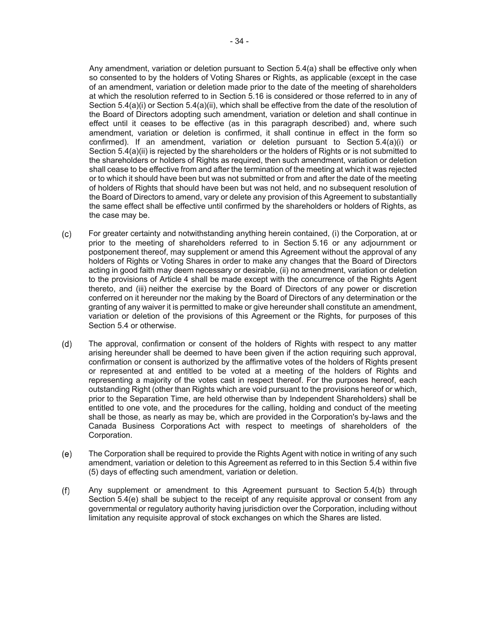Any amendment, variation or deletion pursuant to Section 5.4(a) shall be effective only when so consented to by the holders of Voting Shares or Rights, as applicable (except in the case of an amendment, variation or deletion made prior to the date of the meeting of shareholders at which the resolution referred to in Section 5.16 is considered or those referred to in any of Section 5.4(a)(i) or Section 5.4(a)(ii), which shall be effective from the date of the resolution of the Board of Directors adopting such amendment, variation or deletion and shall continue in effect until it ceases to be effective (as in this paragraph described) and, where such amendment, variation or deletion is confirmed, it shall continue in effect in the form so confirmed). If an amendment, variation or deletion pursuant to Section 5.4(a)(i) or Section 5.4(a)(ii) is rejected by the shareholders or the holders of Rights or is not submitted to the shareholders or holders of Rights as required, then such amendment, variation or deletion shall cease to be effective from and after the termination of the meeting at which it was rejected or to which it should have been but was not submitted or from and after the date of the meeting of holders of Rights that should have been but was not held, and no subsequent resolution of the Board of Directors to amend, vary or delete any provision of this Agreement to substantially the same effect shall be effective until confirmed by the shareholders or holders of Rights, as the case may be.

- $(c)$ For greater certainty and notwithstanding anything herein contained, (i) the Corporation, at or prior to the meeting of shareholders referred to in Section 5.16 or any adjournment or postponement thereof, may supplement or amend this Agreement without the approval of any holders of Rights or Voting Shares in order to make any changes that the Board of Directors acting in good faith may deem necessary or desirable, (ii) no amendment, variation or deletion to the provisions of Article 4 shall be made except with the concurrence of the Rights Agent thereto, and (iii) neither the exercise by the Board of Directors of any power or discretion conferred on it hereunder nor the making by the Board of Directors of any determination or the granting of any waiver it is permitted to make or give hereunder shall constitute an amendment, variation or deletion of the provisions of this Agreement or the Rights, for purposes of this Section 5.4 or otherwise.
- $(d)$ The approval, confirmation or consent of the holders of Rights with respect to any matter arising hereunder shall be deemed to have been given if the action requiring such approval, confirmation or consent is authorized by the affirmative votes of the holders of Rights present or represented at and entitled to be voted at a meeting of the holders of Rights and representing a majority of the votes cast in respect thereof. For the purposes hereof, each outstanding Right (other than Rights which are void pursuant to the provisions hereof or which, prior to the Separation Time, are held otherwise than by Independent Shareholders) shall be entitled to one vote, and the procedures for the calling, holding and conduct of the meeting shall be those, as nearly as may be, which are provided in the Corporation's by-laws and the Canada Business Corporations Act with respect to meetings of shareholders of the Corporation.
- The Corporation shall be required to provide the Rights Agent with notice in writing of any such  $(e)$ amendment, variation or deletion to this Agreement as referred to in this Section 5.4 within five (5) days of effecting such amendment, variation or deletion.
- $(f)$ Any supplement or amendment to this Agreement pursuant to Section 5.4(b) through Section 5.4(e) shall be subject to the receipt of any requisite approval or consent from any governmental or regulatory authority having jurisdiction over the Corporation, including without limitation any requisite approval of stock exchanges on which the Shares are listed.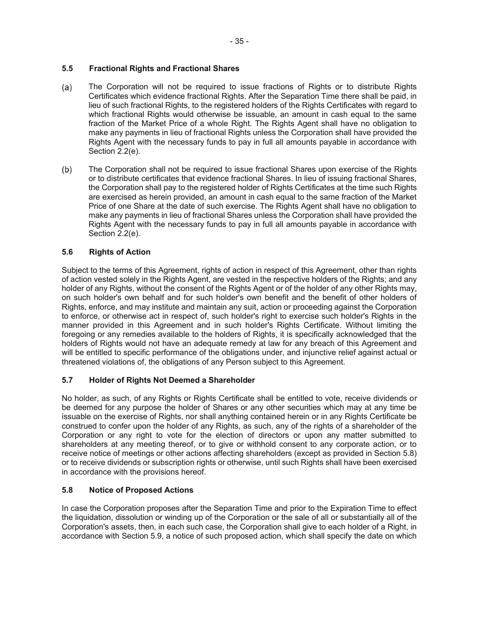# **5.5 Fractional Rights and Fractional Shares**

- $(a)$ The Corporation will not be required to issue fractions of Rights or to distribute Rights Certificates which evidence fractional Rights. After the Separation Time there shall be paid, in lieu of such fractional Rights, to the registered holders of the Rights Certificates with regard to which fractional Rights would otherwise be issuable, an amount in cash equal to the same fraction of the Market Price of a whole Right. The Rights Agent shall have no obligation to make any payments in lieu of fractional Rights unless the Corporation shall have provided the Rights Agent with the necessary funds to pay in full all amounts payable in accordance with Section 2.2(e).
- $(b)$ The Corporation shall not be required to issue fractional Shares upon exercise of the Rights or to distribute certificates that evidence fractional Shares. In lieu of issuing fractional Shares, the Corporation shall pay to the registered holder of Rights Certificates at the time such Rights are exercised as herein provided, an amount in cash equal to the same fraction of the Market Price of one Share at the date of such exercise. The Rights Agent shall have no obligation to make any payments in lieu of fractional Shares unless the Corporation shall have provided the Rights Agent with the necessary funds to pay in full all amounts payable in accordance with Section 2.2(e).

# **5.6 Rights of Action**

Subject to the terms of this Agreement, rights of action in respect of this Agreement, other than rights of action vested solely in the Rights Agent, are vested in the respective holders of the Rights; and any holder of any Rights, without the consent of the Rights Agent or of the holder of any other Rights may, on such holder's own behalf and for such holder's own benefit and the benefit of other holders of Rights, enforce, and may institute and maintain any suit, action or proceeding against the Corporation to enforce, or otherwise act in respect of, such holder's right to exercise such holder's Rights in the manner provided in this Agreement and in such holder's Rights Certificate. Without limiting the foregoing or any remedies available to the holders of Rights, it is specifically acknowledged that the holders of Rights would not have an adequate remedy at law for any breach of this Agreement and will be entitled to specific performance of the obligations under, and injunctive relief against actual or threatened violations of, the obligations of any Person subject to this Agreement.

# **5.7 Holder of Rights Not Deemed a Shareholder**

No holder, as such, of any Rights or Rights Certificate shall be entitled to vote, receive dividends or be deemed for any purpose the holder of Shares or any other securities which may at any time be issuable on the exercise of Rights, nor shall anything contained herein or in any Rights Certificate be construed to confer upon the holder of any Rights, as such, any of the rights of a shareholder of the Corporation or any right to vote for the election of directors or upon any matter submitted to shareholders at any meeting thereof, or to give or withhold consent to any corporate action, or to receive notice of meetings or other actions affecting shareholders (except as provided in Section 5.8) or to receive dividends or subscription rights or otherwise, until such Rights shall have been exercised in accordance with the provisions hereof.

# **5.8 Notice of Proposed Actions**

In case the Corporation proposes after the Separation Time and prior to the Expiration Time to effect the liquidation, dissolution or winding up of the Corporation or the sale of all or substantially all of the Corporation's assets, then, in each such case, the Corporation shall give to each holder of a Right, in accordance with Section 5.9, a notice of such proposed action, which shall specify the date on which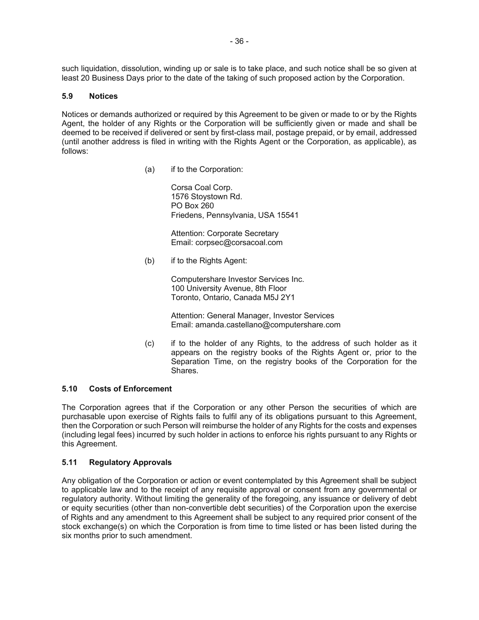such liquidation, dissolution, winding up or sale is to take place, and such notice shall be so given at least 20 Business Days prior to the date of the taking of such proposed action by the Corporation.

### **5.9 Notices**

Notices or demands authorized or required by this Agreement to be given or made to or by the Rights Agent, the holder of any Rights or the Corporation will be sufficiently given or made and shall be deemed to be received if delivered or sent by first-class mail, postage prepaid, or by email, addressed (until another address is filed in writing with the Rights Agent or the Corporation, as applicable), as follows:

(a) if to the Corporation:

Corsa Coal Corp. 1576 Stoystown Rd. PO Box 260 Friedens, Pennsylvania, USA 15541

Attention: Corporate Secretary Email: corpsec@corsacoal.com

(b) if to the Rights Agent:

Computershare Investor Services Inc. 100 University Avenue, 8th Floor Toronto, Ontario, Canada M5J 2Y1

Attention: General Manager, Investor Services Email: amanda.castellano@computershare.com

(c) if to the holder of any Rights, to the address of such holder as it appears on the registry books of the Rights Agent or, prior to the Separation Time, on the registry books of the Corporation for the **Shares** 

# **5.10 Costs of Enforcement**

The Corporation agrees that if the Corporation or any other Person the securities of which are purchasable upon exercise of Rights fails to fulfil any of its obligations pursuant to this Agreement, then the Corporation or such Person will reimburse the holder of any Rights for the costs and expenses (including legal fees) incurred by such holder in actions to enforce his rights pursuant to any Rights or this Agreement.

# **5.11 Regulatory Approvals**

Any obligation of the Corporation or action or event contemplated by this Agreement shall be subject to applicable law and to the receipt of any requisite approval or consent from any governmental or regulatory authority. Without limiting the generality of the foregoing, any issuance or delivery of debt or equity securities (other than non-convertible debt securities) of the Corporation upon the exercise of Rights and any amendment to this Agreement shall be subject to any required prior consent of the stock exchange(s) on which the Corporation is from time to time listed or has been listed during the six months prior to such amendment.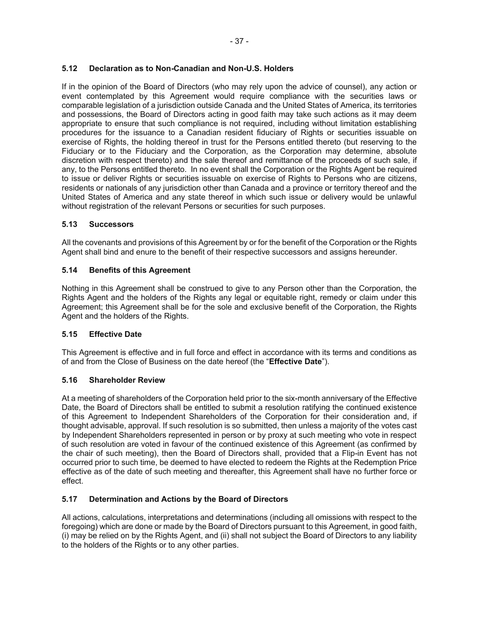# **5.12 Declaration as to Non-Canadian and Non-U.S. Holders**

If in the opinion of the Board of Directors (who may rely upon the advice of counsel), any action or event contemplated by this Agreement would require compliance with the securities laws or comparable legislation of a jurisdiction outside Canada and the United States of America, its territories and possessions, the Board of Directors acting in good faith may take such actions as it may deem appropriate to ensure that such compliance is not required, including without limitation establishing procedures for the issuance to a Canadian resident fiduciary of Rights or securities issuable on exercise of Rights, the holding thereof in trust for the Persons entitled thereto (but reserving to the Fiduciary or to the Fiduciary and the Corporation, as the Corporation may determine, absolute discretion with respect thereto) and the sale thereof and remittance of the proceeds of such sale, if any, to the Persons entitled thereto. In no event shall the Corporation or the Rights Agent be required to issue or deliver Rights or securities issuable on exercise of Rights to Persons who are citizens, residents or nationals of any jurisdiction other than Canada and a province or territory thereof and the United States of America and any state thereof in which such issue or delivery would be unlawful without registration of the relevant Persons or securities for such purposes.

# **5.13 Successors**

All the covenants and provisions of this Agreement by or for the benefit of the Corporation or the Rights Agent shall bind and enure to the benefit of their respective successors and assigns hereunder.

# **5.14 Benefits of this Agreement**

Nothing in this Agreement shall be construed to give to any Person other than the Corporation, the Rights Agent and the holders of the Rights any legal or equitable right, remedy or claim under this Agreement; this Agreement shall be for the sole and exclusive benefit of the Corporation, the Rights Agent and the holders of the Rights.

# **5.15 Effective Date**

This Agreement is effective and in full force and effect in accordance with its terms and conditions as of and from the Close of Business on the date hereof (the "**Effective Date**").

# **5.16 Shareholder Review**

At a meeting of shareholders of the Corporation held prior to the six-month anniversary of the Effective Date, the Board of Directors shall be entitled to submit a resolution ratifying the continued existence of this Agreement to Independent Shareholders of the Corporation for their consideration and, if thought advisable, approval. If such resolution is so submitted, then unless a majority of the votes cast by Independent Shareholders represented in person or by proxy at such meeting who vote in respect of such resolution are voted in favour of the continued existence of this Agreement (as confirmed by the chair of such meeting), then the Board of Directors shall, provided that a Flip-in Event has not occurred prior to such time, be deemed to have elected to redeem the Rights at the Redemption Price effective as of the date of such meeting and thereafter, this Agreement shall have no further force or effect.

# **5.17 Determination and Actions by the Board of Directors**

All actions, calculations, interpretations and determinations (including all omissions with respect to the foregoing) which are done or made by the Board of Directors pursuant to this Agreement, in good faith, (i) may be relied on by the Rights Agent, and (ii) shall not subject the Board of Directors to any liability to the holders of the Rights or to any other parties.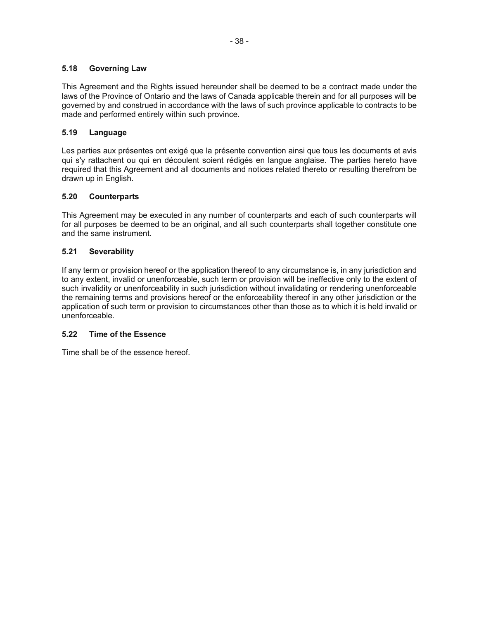# **5.18 Governing Law**

This Agreement and the Rights issued hereunder shall be deemed to be a contract made under the laws of the Province of Ontario and the laws of Canada applicable therein and for all purposes will be governed by and construed in accordance with the laws of such province applicable to contracts to be made and performed entirely within such province.

# **5.19 Language**

Les parties aux présentes ont exigé que la présente convention ainsi que tous les documents et avis qui s'y rattachent ou qui en découlent soient rédigés en langue anglaise. The parties hereto have required that this Agreement and all documents and notices related thereto or resulting therefrom be drawn up in English.

# **5.20 Counterparts**

This Agreement may be executed in any number of counterparts and each of such counterparts will for all purposes be deemed to be an original, and all such counterparts shall together constitute one and the same instrument.

# **5.21 Severability**

If any term or provision hereof or the application thereof to any circumstance is, in any jurisdiction and to any extent, invalid or unenforceable, such term or provision will be ineffective only to the extent of such invalidity or unenforceability in such jurisdiction without invalidating or rendering unenforceable the remaining terms and provisions hereof or the enforceability thereof in any other jurisdiction or the application of such term or provision to circumstances other than those as to which it is held invalid or unenforceable.

# **5.22 Time of the Essence**

Time shall be of the essence hereof.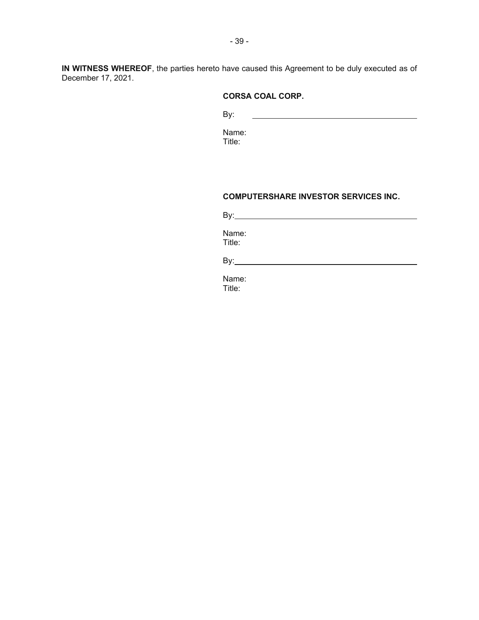**IN WITNESS WHEREOF**, the parties hereto have caused this Agreement to be duly executed as of December 17, 2021.

# **CORSA COAL CORP.**

By: 

Name: Title:

### **COMPUTERSHARE INVESTOR SERVICES INC.**

| By:             |  |  |  |
|-----------------|--|--|--|
| Name:<br>Title: |  |  |  |
| By:             |  |  |  |

Name: Title: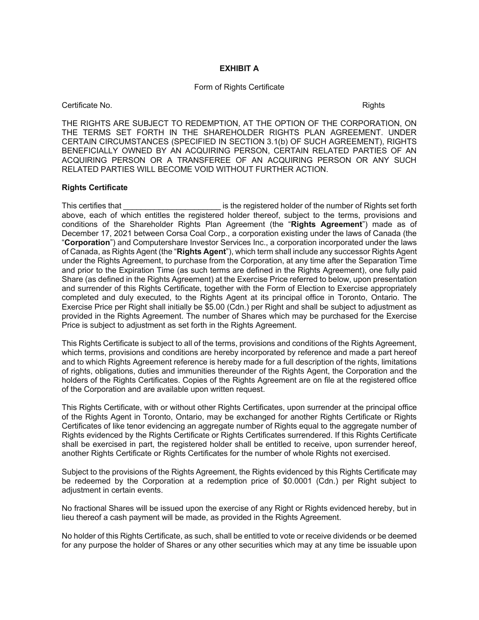## **EXHIBIT A**

#### Form of Rights Certificate

Certificate No. 2008 **Certificate No.** 2008 **Certificate No.** 2008. 2009 **Rights** 

THE RIGHTS ARE SUBJECT TO REDEMPTION, AT THE OPTION OF THE CORPORATION, ON THE TERMS SET FORTH IN THE SHAREHOLDER RIGHTS PLAN AGREEMENT. UNDER CERTAIN CIRCUMSTANCES (SPECIFIED IN SECTION 3.1(b) OF SUCH AGREEMENT), RIGHTS BENEFICIALLY OWNED BY AN ACQUIRING PERSON, CERTAIN RELATED PARTIES OF AN ACQUIRING PERSON OR A TRANSFEREE OF AN ACQUIRING PERSON OR ANY SUCH RELATED PARTIES WILL BECOME VOID WITHOUT FURTHER ACTION.

#### **Rights Certificate**

This certifies that **The Election Contract is the registered holder of the number of Rights set forth** above, each of which entitles the registered holder thereof, subject to the terms, provisions and conditions of the Shareholder Rights Plan Agreement (the "**Rights Agreement**") made as of December 17, 2021 between Corsa Coal Corp., a corporation existing under the laws of Canada (the "**Corporation**") and Computershare Investor Services Inc., a corporation incorporated under the laws of Canada, as Rights Agent (the "**Rights Agent**"), which term shall include any successor Rights Agent under the Rights Agreement, to purchase from the Corporation, at any time after the Separation Time and prior to the Expiration Time (as such terms are defined in the Rights Agreement), one fully paid Share (as defined in the Rights Agreement) at the Exercise Price referred to below, upon presentation and surrender of this Rights Certificate, together with the Form of Election to Exercise appropriately completed and duly executed, to the Rights Agent at its principal office in Toronto, Ontario. The Exercise Price per Right shall initially be \$5.00 (Cdn.) per Right and shall be subject to adjustment as provided in the Rights Agreement. The number of Shares which may be purchased for the Exercise Price is subject to adjustment as set forth in the Rights Agreement.

This Rights Certificate is subject to all of the terms, provisions and conditions of the Rights Agreement, which terms, provisions and conditions are hereby incorporated by reference and made a part hereof and to which Rights Agreement reference is hereby made for a full description of the rights, limitations of rights, obligations, duties and immunities thereunder of the Rights Agent, the Corporation and the holders of the Rights Certificates. Copies of the Rights Agreement are on file at the registered office of the Corporation and are available upon written request.

This Rights Certificate, with or without other Rights Certificates, upon surrender at the principal office of the Rights Agent in Toronto, Ontario, may be exchanged for another Rights Certificate or Rights Certificates of like tenor evidencing an aggregate number of Rights equal to the aggregate number of Rights evidenced by the Rights Certificate or Rights Certificates surrendered. If this Rights Certificate shall be exercised in part, the registered holder shall be entitled to receive, upon surrender hereof, another Rights Certificate or Rights Certificates for the number of whole Rights not exercised.

Subject to the provisions of the Rights Agreement, the Rights evidenced by this Rights Certificate may be redeemed by the Corporation at a redemption price of \$0.0001 (Cdn.) per Right subject to adjustment in certain events.

No fractional Shares will be issued upon the exercise of any Right or Rights evidenced hereby, but in lieu thereof a cash payment will be made, as provided in the Rights Agreement.

No holder of this Rights Certificate, as such, shall be entitled to vote or receive dividends or be deemed for any purpose the holder of Shares or any other securities which may at any time be issuable upon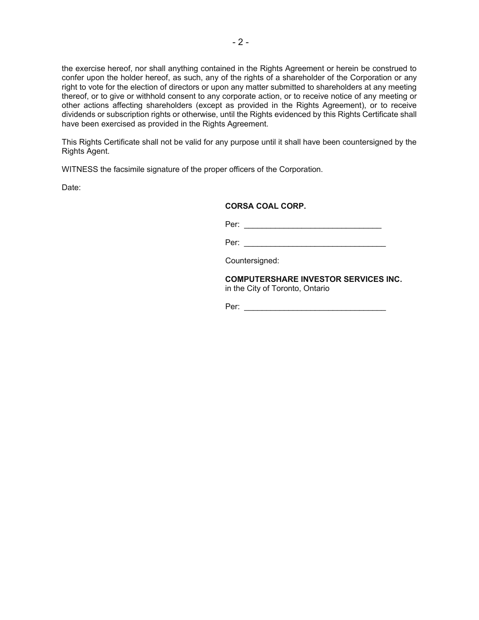the exercise hereof, nor shall anything contained in the Rights Agreement or herein be construed to confer upon the holder hereof, as such, any of the rights of a shareholder of the Corporation or any right to vote for the election of directors or upon any matter submitted to shareholders at any meeting thereof, or to give or withhold consent to any corporate action, or to receive notice of any meeting or other actions affecting shareholders (except as provided in the Rights Agreement), or to receive dividends or subscription rights or otherwise, until the Rights evidenced by this Rights Certificate shall have been exercised as provided in the Rights Agreement.

This Rights Certificate shall not be valid for any purpose until it shall have been countersigned by the Rights Agent.

WITNESS the facsimile signature of the proper officers of the Corporation.

Date:

## **CORSA COAL CORP.**

Per: \_\_\_\_\_\_\_\_\_\_\_\_\_\_\_\_\_\_\_\_\_\_\_\_\_\_\_\_\_\_\_ Per: \_\_\_\_\_\_\_\_\_\_\_\_\_\_\_\_\_\_\_\_\_\_\_\_\_\_\_\_\_\_\_\_

Countersigned:

**COMPUTERSHARE INVESTOR SERVICES INC.**  in the City of Toronto, Ontario

Per: \_\_\_\_\_\_\_\_\_\_\_\_\_\_\_\_\_\_\_\_\_\_\_\_\_\_\_\_\_\_\_\_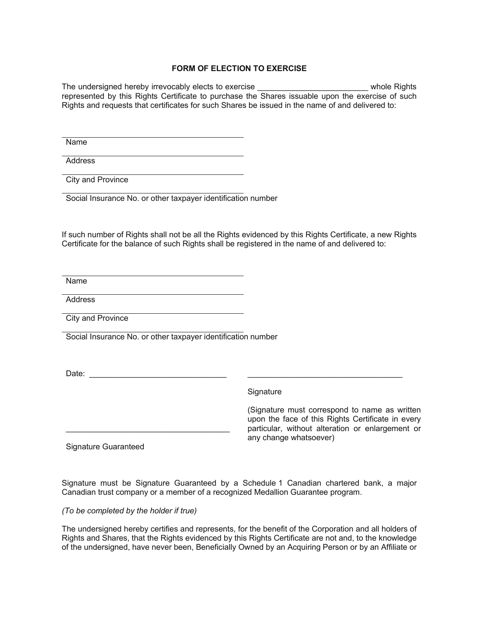## **FORM OF ELECTION TO EXERCISE**

The undersigned hereby irrevocably elects to exercise \_\_\_\_\_\_\_\_\_\_\_\_\_\_\_\_\_\_\_\_\_\_\_\_\_\_\_ whole Rights represented by this Rights Certificate to purchase the Shares issuable upon the exercise of such Rights and requests that certificates for such Shares be issued in the name of and delivered to:

Name

Address

City and Province

Social Insurance No. or other taxpayer identification number

If such number of Rights shall not be all the Rights evidenced by this Rights Certificate, a new Rights Certificate for the balance of such Rights shall be registered in the name of and delivered to:

Name

Address

City and Province

Social Insurance No. or other taxpayer identification number

Date: \_\_\_\_\_\_\_\_\_\_\_\_\_\_\_\_\_\_\_\_\_\_\_\_\_\_\_\_\_\_\_ \_\_\_\_\_\_\_\_\_\_\_\_\_\_\_\_\_\_\_\_\_\_\_\_\_\_\_\_\_\_\_\_\_\_\_

\_\_\_\_\_\_\_\_\_\_\_\_\_\_\_\_\_\_\_\_\_\_\_\_\_\_\_\_\_\_\_\_\_\_\_\_\_

Signature

(Signature must correspond to name as written upon the face of this Rights Certificate in every particular, without alteration or enlargement or any change whatsoever)

Signature Guaranteed

Signature must be Signature Guaranteed by a Schedule 1 Canadian chartered bank, a major Canadian trust company or a member of a recognized Medallion Guarantee program.

*(To be completed by the holder if true)* 

The undersigned hereby certifies and represents, for the benefit of the Corporation and all holders of Rights and Shares, that the Rights evidenced by this Rights Certificate are not and, to the knowledge of the undersigned, have never been, Beneficially Owned by an Acquiring Person or by an Affiliate or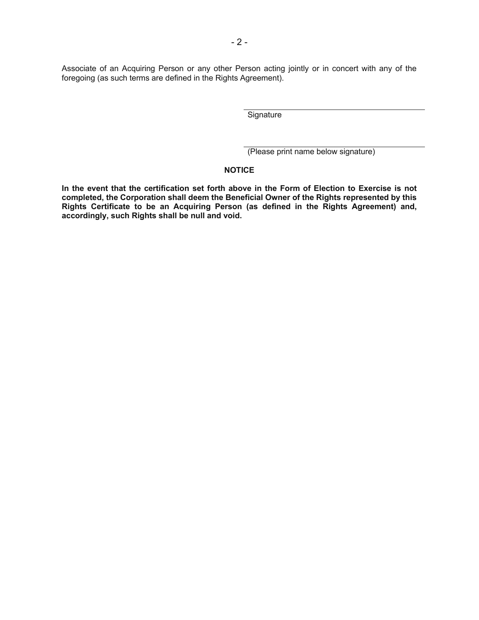Associate of an Acquiring Person or any other Person acting jointly or in concert with any of the foregoing (as such terms are defined in the Rights Agreement).

**Signature** 

(Please print name below signature)

# **NOTICE**

**In the event that the certification set forth above in the Form of Election to Exercise is not completed, the Corporation shall deem the Beneficial Owner of the Rights represented by this Rights Certificate to be an Acquiring Person (as defined in the Rights Agreement) and, accordingly, such Rights shall be null and void.**